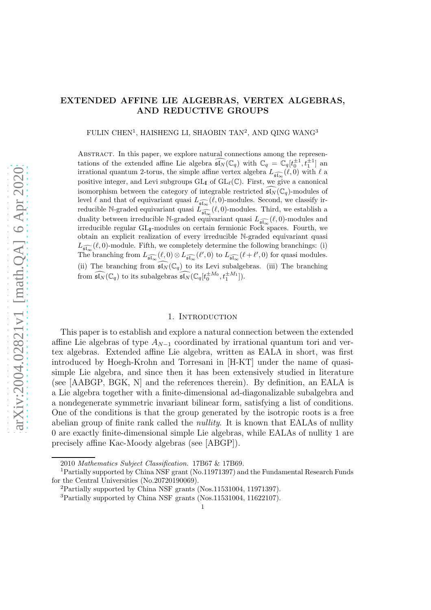## EXTENDED AFFINE LIE ALGEBRAS, VERTEX ALGEBRAS, AND REDUCTIVE GROUPS

FULIN CHEN<sup>1</sup>, HAISHENG LI, SHAOBIN TAN<sup>2</sup>, AND QING WANG<sup>3</sup>

ABSTRACT. In this paper, we explore natural connections among the representations of the extended affine Lie algebra  $\widehat{\mathfrak{sl}_N}(\mathbb{C}_q)$  with  $\mathbb{C}_q = \mathbb{C}_q[t_0^{\pm 1}, t_1^{\pm 1}]$  and irrational quantum 2-torus, the simple affine vertex algebra  $L_{\widehat{\mathfrak{sl}_\infty}}(\ell,0)$  with  $\ell$  a positive integer, and Levi subgroups  $GL_I$  of  $GL_\ell(\mathbb{C})$ . First, we give a canonical isomorphism between the category of integrable restricted  $\mathfrak{sl}_N(\mathbb{C}_q)$ -modules of level  $\ell$  and that of equivariant quasi  $L_{\widehat{\mathfrak{sl}_\infty}}(\ell,0)$ -modules. Second, we classify irreducible N-graded equivariant quasi  $\widetilde{L_{\widehat{\mathfrak{sl}_\infty}}}(\ell,0)$ -modules. Third, we establish a duality between irreducible N-graded equivariant quasi  $L_{\widehat{\mathfrak{sl}_\infty}}(\ell,0)$ -modules and irreducible regular  $GL_{\mathbf{I}}$ -modules on certain fermionic Fock spaces. Fourth, we obtain an explicit realization of every irreducible N-graded equivariant quasi  $L_{\widehat{\mathfrak{sl}_\infty}}(\ell,0)$ -module. Fifth, we completely determine the following branchings: (i) The branching from  $L_{\widehat{\mathfrak{sl}_\infty}}(\ell,0)\otimes L_{\widehat{\mathfrak{sl}_\infty}}(\ell',0)$  to  $L_{\widehat{\mathfrak{sl}_\infty}}(\ell+\ell',0)$  for quasi modules. (ii) The branching from  $\widehat{\mathfrak{sl}_N}(\mathbb{C}_q)$  to its Levi subalgebras. (iii) The branching from  $\widehat{\mathfrak{sl}_N}(\mathbb{C}_q)$  to its subalgebras  $\widehat{\mathfrak{sl}_N}(\mathbb{C}_q[t_0^{\pm M_0}, t_1^{\pm M_1}]).$ 

#### 1. INTRODUCTION

This paper is to establish and explore a natural connection between the extended affine Lie algebras of type  $A_{N-1}$  coordinated by irrational quantum tori and vertex algebras. Extended affine Lie algebra, written as EALA in short, was first introduced by Hoegh-Krohn and Torresani in [H-KT] under the name of quasisimple Lie algebra, and since then it has been extensively studied in literature (see [AABGP, BGK, N] and the references therein). By definition, an EALA is a Lie algebra together with a finite-dimensional ad-diagonalizable subalgebra and a nondegenerate symmetric invariant bilinear form, satisfying a list of conditions. One of the conditions is that the group generated by the isotropic roots is a free abelian group of finite rank called the *nullity*. It is known that EALAs of nullity 0 are exactly finite-dimensional simple Lie algebras, while EALAs of nullity 1 are precisely affine Kac-Moody algebras (see [ABGP]).

<sup>2010</sup> Mathematics Subject Classification. 17B67 & 17B69.

<sup>1</sup>Partially supported by China NSF grant (No.11971397) and the Fundamental Research Funds for the Central Universities (No.20720190069).

<sup>2</sup>Partially supported by China NSF grants (Nos.11531004, 11971397).

<sup>3</sup>Partially supported by China NSF grants (Nos.11531004, 11622107).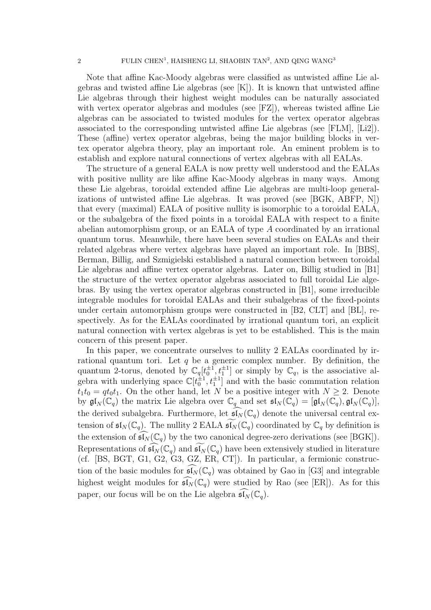Note that affine Kac-Moody algebras were classified as untwisted affine Lie algebras and twisted affine Lie algebras (see [K]). It is known that untwisted affine Lie algebras through their highest weight modules can be naturally associated with vertex operator algebras and modules (see [FZ]), whereas twisted affine Lie algebras can be associated to twisted modules for the vertex operator algebras associated to the corresponding untwisted affine Lie algebras (see [FLM], [Li2]). These (affine) vertex operator algebras, being the major building blocks in vertex operator algebra theory, play an important role. An eminent problem is to establish and explore natural connections of vertex algebras with all EALAs.

The structure of a general EALA is now pretty well understood and the EALAs with positive nullity are like affine Kac-Moody algebras in many ways. Among these Lie algebras, toroidal extended affine Lie algebras are multi-loop generalizations of untwisted affine Lie algebras. It was proved (see [BGK, ABFP, N]) that every (maximal) EALA of positive nullity is isomorphic to a toroidal EALA, or the subalgebra of the fixed points in a toroidal EALA with respect to a finite abelian automorphism group, or an EALA of type A coordinated by an irrational quantum torus. Meanwhile, there have been several studies on EALAs and their related algebras where vertex algebras have played an important role. In [BBS], Berman, Billig, and Szmigielski established a natural connection between toroidal Lie algebras and affine vertex operator algebras. Later on, Billig studied in [B1] the structure of the vertex operator algebras associated to full toroidal Lie algebras. By using the vertex operator algebras constructed in [B1], some irreducible integrable modules for toroidal EALAs and their subalgebras of the fixed-points under certain automorphism groups were constructed in [B2, CLT] and [BL], respectively. As for the EALAs coordinated by irrational quantum tori, an explicit natural connection with vertex algebras is yet to be established. This is the main concern of this present paper.

In this paper, we concentrate ourselves to nullity 2 EALAs coordinated by irrational quantum tori. Let q be a generic complex number. By definition, the quantum 2-torus, denoted by  $\mathbb{C}_q[t_0^{\pm 1}, t_1^{\pm 1}]$  or simply by  $\mathbb{C}_q$ , is the associative algebra with underlying space  $\mathbb{C}[t_0^{\pm 1}, t_1^{\pm 1}]$  and with the basic commutation relation  $t_1t_0 = qt_0t_1$ . On the other hand, let N be a positive integer with  $N \geq 2$ . Denote by  $\mathfrak{gl}_N(\mathbb{C}_q)$  the matrix Lie algebra over  $\mathbb{C}_q$  and set  $\mathfrak{sl}_N(\mathbb{C}_q) = [\mathfrak{gl}_N(\mathbb{C}_q), \mathfrak{gl}_N(\mathbb{C}_q)],$ the derived subalgebra. Furthermore, let  $\widehat{\mathfrak{sl}_N}(\mathbb{C}_q)$  denote the universal central extension of  $\mathfrak{sl}_N(\mathbb{C}_q)$ . The nullity 2 EALA  $\widetilde{\mathfrak{sl}_N}(\mathbb{C}_q)$  coordinated by  $\mathbb{C}_q$  by definition is the extension of  $\mathfrak{sl}_N(\mathbb{C}_q)$  by the two canonical degree-zero derivations (see [BGK]). Representations of  $\mathfrak{sl}_N(\mathbb{C}_q)$  and  $\mathfrak{sl}_N(\mathbb{C}_q)$  have been extensively studied in literature (cf. [BS, BGT, G1, G2, G3, GZ, ER, CT]). In particular, a fermionic construction of the basic modules for  $\mathfrak{sl}_N(\mathbb{C}_q)$  was obtained by Gao in [G3] and integrable highest weight modules for  $\mathfrak{sl}_N(\mathbb{C}_q)$  were studied by Rao (see [ER]). As for this paper, our focus will be on the Lie algebra  $\mathfrak{sl}_N(\mathbb{C}_q)$ .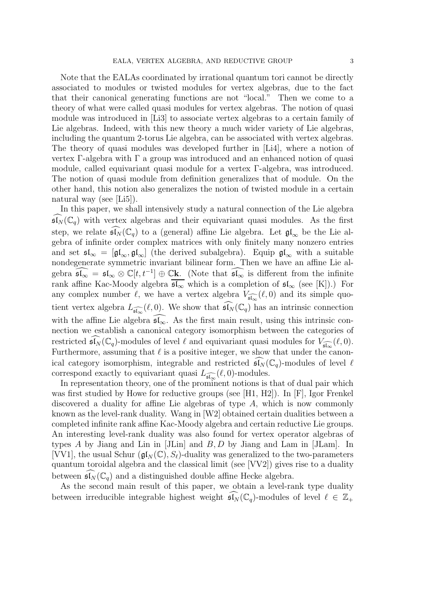Note that the EALAs coordinated by irrational quantum tori cannot be directly associated to modules or twisted modules for vertex algebras, due to the fact that their canonical generating functions are not "local." Then we come to a theory of what were called quasi modules for vertex algebras. The notion of quasi module was introduced in [Li3] to associate vertex algebras to a certain family of Lie algebras. Indeed, with this new theory a much wider variety of Lie algebras, including the quantum 2-torus Lie algebra, can be associated with vertex algebras. The theory of quasi modules was developed further in [Li4], where a notion of vertex Γ-algebra with Γ a group was introduced and an enhanced notion of quasi module, called equivariant quasi module for a vertex Γ-algebra, was introduced. The notion of quasi module from definition generalizes that of module. On the other hand, this notion also generalizes the notion of twisted module in a certain natural way (see [Li5]).

In this paper, we shall intensively study a natural connection of the Lie algebra  $\widehat{\mathfrak{sl}_N}(\mathbb{C}_q)$  with vertex algebras and their equivariant quasi modules. As the first step, we relate  $\mathfrak{sl}_N(\mathbb{C}_q)$  to a (general) affine Lie algebra. Let  $\mathfrak{gl}_\infty$  be the Lie algebra of infinite order complex matrices with only finitely many nonzero entries and set  $\mathfrak{sl}_{\infty} = [\mathfrak{gl}_{\infty}, \mathfrak{gl}_{\infty}]$  (the derived subalgebra). Equip  $\mathfrak{gl}_{\infty}$  with a suitable nondegenerate symmetric invariant bilinear form. Then we have an affine Lie algebra  $\widehat{\mathfrak{sl}_{\infty}} = \mathfrak{sl}_{\infty} \otimes \mathbb{C}[t, t^{-1}] \oplus \mathbb{C}$ **k**. (Note that  $\widehat{\mathfrak{sl}_{\infty}}$  is different from the infinite rank affine Kac-Moody algebra  $\overline{\mathfrak{sl}_{\infty}}$  which is a completion of  $\mathfrak{sl}_{\infty}$  (see [K]).) For any complex number  $\ell$ , we have a vertex algebra  $V_{\widehat{\mathfrak{sl}_\infty}}(\ell,0)$  and its simple quotient vertex algebra  $L_{\widehat{\mathfrak{sl}_\infty}}(\ell,0)$ . We show that  $\widehat{\mathfrak{sl}_N}(\mathbb{C}_q)$  has an intrinsic connection with the affine Lie algebra  $\mathfrak{sl}_{\infty}$ . As the first main result, using this intrinsic connection we establish a canonical category isomorphism between the categories of restricted  $\widehat{\mathfrak{sl}_N}(\mathbb{C}_q)$ -modules of level  $\ell$  and equivariant quasi modules for  $V_{\widehat{\mathfrak{sl}_\infty}}(\ell,0)$ . Furthermore, assuming that  $\ell$  is a positive integer, we show that under the canonical category isomorphism, integrable and restricted  $\mathfrak{sl}_N(\mathbb{C}_q)$ -modules of level  $\ell$ correspond exactly to equivariant quasi  $L_{\widehat{\mathfrak{sl}_\infty}}(\ell,0)$ -modules.

In representation theory, one of the prominent notions is that of dual pair which was first studied by Howe for reductive groups (see [H1, H2]). In [F], Igor Frenkel discovered a duality for affine Lie algebras of type A, which is now commonly known as the level-rank duality. Wang in [W2] obtained certain dualities between a completed infinite rank affine Kac-Moody algebra and certain reductive Lie groups. An interesting level-rank duality was also found for vertex operator algebras of types A by Jiang and Lin in  $|JLin|$  and B, D by Jiang and Lam in  $|JLam|$ . In [VV1], the usual Schur ( $\mathfrak{gl}_N(\mathbb{C}), S_\ell$ )-duality was generalized to the two-parameters quantum toroidal algebra and the classical limit (see [VV2]) gives rise to a duality between  $\mathfrak{sl}_N(\mathbb{C}_q)$  and a distinguished double affine Hecke algebra.

As the second main result of this paper, we obtain a level-rank type duality between irreducible integrable highest weight  $\mathfrak{sl}_N(\mathbb{C}_q)$ -modules of level  $\ell \in \mathbb{Z}_+$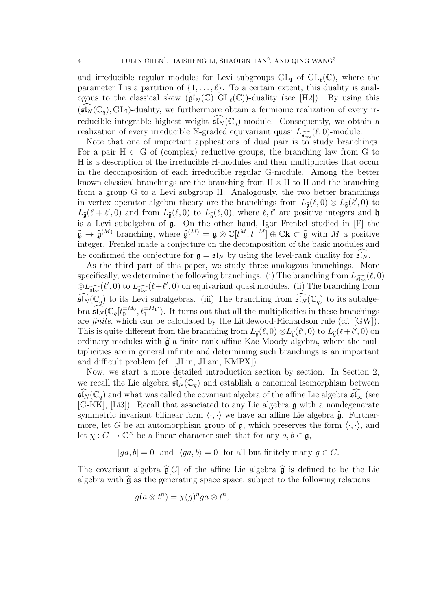and irreducible regular modules for Levi subgroups  $GL_{\mathbf{I}}$  of  $GL_{\ell}(\mathbb{C})$ , where the parameter **I** is a partition of  $\{1, \ldots, \ell\}$ . To a certain extent, this duality is analogous to the classical skew  $(\mathfrak{gl}_N(\mathbb{C}), GL_\ell(\mathbb{C}))$ -duality (see [H2]). By using this  $(\mathfrak{sl}_N(\mathbb{C}_q), GL_I)$ -duality, we furthermore obtain a fermionic realization of every irreducible integrable highest weight  $\widehat{\mathfrak{sl}_N}(\mathbb C_q)$ -module. Consequently, we obtain a realization of every irreducible N-graded equivariant quasi  $L_{\widehat{\mathfrak{sl}_\infty}}(\ell,0)$ -module.

Note that one of important applications of dual pair is to study branchings. For a pair  $H \subset G$  of (complex) reductive groups, the branching law from G to H is a description of the irreducible H-modules and their multiplicities that occur in the decomposition of each irreducible regular G-module. Among the better known classical branchings are the branching from  $H \times H$  to H and the branching from a group G to a Levi subgroup H. Analogously, the two better branchings in vertex operator algebra theory are the branchings from  $L_{\widehat{\mathfrak{g}}}(\ell,0) \otimes L_{\widehat{\mathfrak{g}}}(\ell',0)$  to  $L_{\widehat{\mathfrak{g}}}(\ell + \ell', 0)$  and from  $L_{\widehat{\mathfrak{g}}}(\ell, 0)$  to  $L_{\widehat{\mathfrak{h}}}(\ell, 0)$ , where  $\ell, \ell'$  are positive integers and  $\mathfrak h$ is a Levi subalgebra of g. On the other hand, Igor Frenkel studied in [F] the  $\widehat{\mathfrak{g}} \to \widehat{\mathfrak{g}}^{(M)}$  branching, where  $\widehat{\mathfrak{g}}^{(M)} = \mathfrak{g} \otimes \mathbb{C}[t^M, t^{-M}] \oplus \mathbb{C}k \subset \widehat{\mathfrak{g}}$  with M a positive integer. Frenkel made a conjecture on the decomposition of the basic modules and he confirmed the conjecture for  $\mathfrak{g} = \mathfrak{sl}_N$  by using the level-rank duality for  $\mathfrak{sl}_N$ .

As the third part of this paper, we study three analogous branchings. More specifically, we determine the following branchings: (i) The branching from  $L_{\widehat{\mathfrak{sl}_\infty}}(\ell,0)$  $\otimes L_{\widehat{\mathfrak{sl}_\infty}}(\ell',0)$  to  $L_{\widehat{\mathfrak{sl}_\infty}}(\ell+\ell',0)$  on equivariant quasi modules. (ii) The branching from  $\widehat{\mathfrak{sl}_N}(\mathbb{C}_q)$  to its Levi subalgebras. (iii) The branching from  $\widehat{\mathfrak{sl}_N}(\mathbb{C}_q)$  to its subalgebra  $\widehat{\mathfrak{sl}_N}(\mathbb{C}_q[t_0^{\pm M_0}, t_1^{\pm M_1}])$ . It turns out that all the multiplicities in these branchings are finite, which can be calculated by the Littlewood-Richardson rule (cf. [GW]). This is quite different from the branching from  $L_{\hat{\mathfrak{g}}}(\ell,0) \otimes L_{\hat{\mathfrak{g}}}(\ell',0)$  to  $L_{\hat{\mathfrak{g}}}(\ell+\ell',0)$  on ordinary modules with  $\hat{\mathfrak{g}}$  a finite rank affine Kac-Moody algebra, where the multiplicities are in general infinite and determining such branchings is an important and difficult problem (cf. [JLin, JLam, KMPX]).

Now, we start a more detailed introduction section by section. In Section 2, we recall the Lie algebra  $\mathfrak{sl}_N(\mathbb{C}_q)$  and establish a canonical isomorphism between  $\mathfrak{sl}_N(\mathbb{C}_q)$  and what was called the covariant algebra of the affine Lie algebra  $\mathfrak{sl}_\infty$  (see [G-KK], [Li3]). Recall that associated to any Lie algebra g with a nondegenerate symmetric invariant bilinear form  $\langle \cdot, \cdot \rangle$  we have an affine Lie algebra  $\hat{\mathfrak{g}}$ . Furthermore, let G be an automorphism group of  $\mathfrak{g}$ , which preserves the form  $\langle \cdot, \cdot \rangle$ , and let  $\chi: G \to \mathbb{C}^\times$  be a linear character such that for any  $a, b \in \mathfrak{g}$ ,

$$
[ga, b] = 0
$$
 and  $\langle ga, b \rangle = 0$  for all but finitely many  $g \in G$ .

The covariant algebra  $\widehat{\mathfrak{g}}[G]$  of the affine Lie algebra  $\widehat{\mathfrak{g}}$  is defined to be the Lie algebra with  $\hat{\mathfrak{g}}$  as the generating space space, subject to the following relations

$$
g(a \otimes t^n) = \chi(g)^n ga \otimes t^n,
$$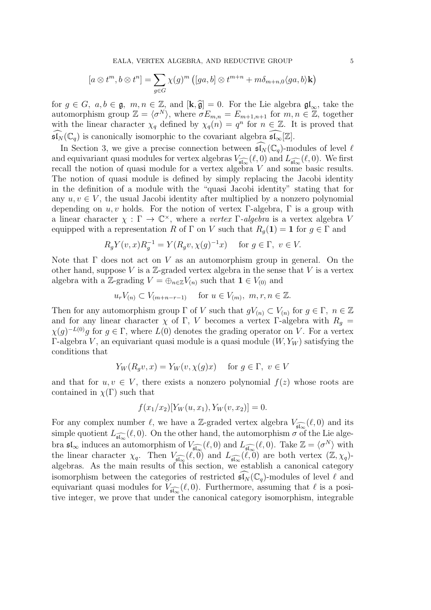EALA, VERTEX ALGEBRA, AND REDUCTIVE GROUP 5

$$
[a \otimes t^m, b \otimes t^n] = \sum_{g \in G} \chi(g)^m \left( [ga, b] \otimes t^{m+n} + m \delta_{m+n,0} \langle ga, b \rangle \mathbf{k} \right)
$$

for  $g \in G$ ,  $a, b \in \mathfrak{g}$ ,  $m, n \in \mathbb{Z}$ , and  $[\mathbf{k}, \hat{\mathfrak{g}}] = 0$ . For the Lie algebra  $\mathfrak{gl}_{\infty}$ , take the automorphism group  $\mathbb{Z} = \langle \sigma^N \rangle$ , where  $\sigma E_{m,n} = E_{m+1,n+1}$  for  $m, n \in \mathbb{Z}$ , together with the linear character  $\chi_q$  defined by  $\chi_q(n) = q^n$  for  $n \in \mathbb{Z}$ . It is proved that  $\mathfrak{sl}_N(\mathbb{C}_q)$  is canonically isomorphic to the covariant algebra  $\mathfrak{sl}_\infty[\mathbb{Z}]$ .

In Section 3, we give a precise connection between  $\mathfrak{sl}_N(\mathbb{C}_q)$ -modules of level  $\ell$ and equivariant quasi modules for vertex algebras  $V_{\widehat{\mathfrak{sl}_\infty}}(\ell,0)$  and  $L_{\widehat{\mathfrak{sl}_\infty}}(\ell,0)$ . We first recall the notion of quasi module for a vertex algebra V and some basic results. The notion of quasi module is defined by simply replacing the Jacobi identity in the definition of a module with the "quasi Jacobi identity" stating that for any  $u, v \in V$ , the usual Jacobi identity after multiplied by a nonzero polynomial depending on  $u, v$  holds. For the notion of vertex Γ-algebra, Γ is a group with a linear character  $\chi : \Gamma \to \mathbb{C}^{\times}$ , where a vertex  $\Gamma$ -algebra is a vertex algebra V equipped with a representation R of  $\Gamma$  on V such that  $R_q(1) = 1$  for  $g \in \Gamma$  and

$$
R_g Y(v, x) R_g^{-1} = Y(R_g v, \chi(g)^{-1} x) \quad \text{for } g \in \Gamma, \ v \in V.
$$

Note that  $\Gamma$  does not act on V as an automorphism group in general. On the other hand, suppose  $V$  is a  $\mathbb{Z}$ -graded vertex algebra in the sense that  $V$  is a vertex algebra with a Z-grading  $V = \bigoplus_{n \in \mathbb{Z}} V_{(n)}$  such that  $1 \in V_{(0)}$  and

$$
u_r V_{(n)} \subset V_{(m+n-r-1)} \quad \text{ for } u \in V_{(m)}, m, r, n \in \mathbb{Z}.
$$

Then for any automorphism group  $\Gamma$  of V such that  $gV_{(n)} \subset V_{(n)}$  for  $g \in \Gamma$ ,  $n \in \mathbb{Z}$ and for any linear character  $\chi$  of Γ, V becomes a vertex Γ-algebra with  $R_q =$  $\chi(g)^{-L(0)}g$  for  $g \in \Gamma$ , where  $L(0)$  denotes the grading operator on V. For a vertex Γ-algebra V, an equivariant quasi module is a quasi module  $(W, Y_W)$  satisfying the conditions that

$$
Y_W(R_g v, x) = Y_W(v, \chi(g)x) \quad \text{ for } g \in \Gamma, \ v \in V
$$

and that for  $u, v \in V$ , there exists a nonzero polynomial  $f(z)$  whose roots are contained in  $\chi(\Gamma)$  such that

$$
f(x_1/x_2)[Y_W(u, x_1), Y_W(v, x_2)] = 0.
$$

For any complex number  $\ell$ , we have a Z-graded vertex algebra  $V_{\widehat{\mathfrak{sl}_\infty}}(\ell,0)$  and its simple quotient  $L_{\widehat{\mathfrak{sl}_\infty}}(\ell,0)$ . On the other hand, the automorphism  $\sigma$  of the Lie algebra  $\mathfrak{sl}_{\infty}$  induces an automorphism of  $V_{\widehat{\mathfrak{sl}_{\infty}}}(\ell,0)$  and  $L_{\widehat{\mathfrak{sl}_{\infty}}}(\ell,0)$ . Take  $\mathbb{Z} = \langle \sigma^N \rangle$  with the linear character  $\chi_q$ . Then  $V_{\widehat{\mathfrak{sl}_\infty}}(\widetilde{\ell},0)$  and  $L_{\widehat{\mathfrak{sl}_\infty}}(\widetilde{\ell},0)$  are both vertex  $(\mathbb{Z},\chi_q)$ algebras. As the main results of this section, we establish a canonical category isomorphism between the categories of restricted  $\mathfrak{sl}_N(\mathbb{C}_q)$ -modules of level  $\ell$  and equivariant quasi modules for  $V_{\widehat{\mathfrak{sl}_\infty}}(\ell,0)$ . Furthermore, assuming that  $\ell$  is a positive integer, we prove that under the canonical category isomorphism, integrable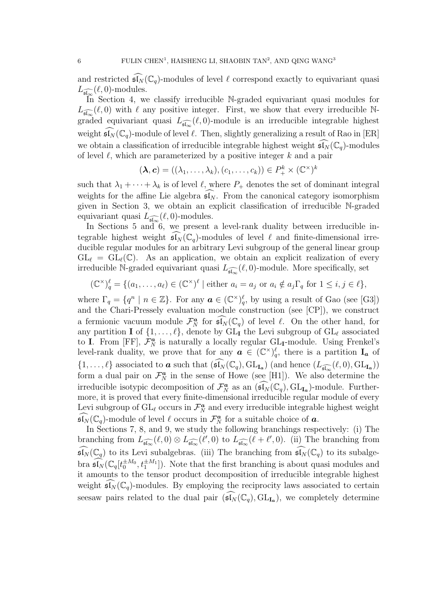and restricted  $\widehat{\mathfrak{sl}_N}(\mathbb{C}_q)$ -modules of level  $\ell$  correspond exactly to equivariant quasi  $L_{\widehat{\mathfrak{sl}_{\infty}}}(\ell,0)$ -modules.

In Section 4, we classify irreducible N-graded equivariant quasi modules for  $L_{\widehat{\mathfrak{sl}_{\infty}}}(\ell,0)$  with  $\ell$  any positive integer. First, we show that every irreducible Ngraded equivariant quasi  $L_{\widehat{\mathfrak{sl}_\infty}}(\ell,0)$ -module is an irreducible integrable highest weight  $\mathfrak{sl}_N(\mathbb{C}_q)$ -module of level  $\ell$ . Then, slightly generalizing a result of Rao in [ER] we obtain a classification of irreducible integrable highest weight  $\mathfrak{sl}_N(\mathbb{C}_q)$ -modules of level  $\ell$ , which are parameterized by a positive integer  $k$  and a pair

$$
(\lambda, c) = ((\lambda_1, \ldots, \lambda_k), (c_1, \ldots, c_k)) \in P_+^k \times (\mathbb{C}^{\times})^k
$$

such that  $\lambda_1 + \cdots + \lambda_k$  is of level  $\ell$ , where  $P_+$  denotes the set of dominant integral weights for the affine Lie algebra  $\mathfrak{sl}_N$ . From the canonical category isomorphism given in Section 3, we obtain an explicit classification of irreducible N-graded equivariant quasi  $L_{\widehat{\mathfrak{sl}_\infty}}(\ell,0)$ -modules.

In Sections 5 and 6, we present a level-rank duality between irreducible integrable highest weight  $\mathfrak{sl}_N(\mathbb{C}_q)$ -modules of level  $\ell$  and finite-dimensional irreducible regular modules for an arbitrary Levi subgroup of the general linear group  $GL_{\ell} = GL_{\ell}(\mathbb{C})$ . As an application, we obtain an explicit realization of every irreducible N-graded equivariant quasi  $L_{\widehat{\mathfrak{sl}_\infty}}(\ell,0)$ -module. More specifically, set

$$
(\mathbb{C}^{\times})_q^{\ell} = \{ (a_1, \dots, a_{\ell}) \in (\mathbb{C}^{\times})^{\ell} \mid \text{either } a_i = a_j \text{ or } a_i \notin a_j \Gamma_q \text{ for } 1 \leq i, j \in \ell \},\
$$

where  $\Gamma_q = \{q^n \mid n \in \mathbb{Z}\}$ . For any  $\boldsymbol{a} \in (\mathbb{C}^{\times})_q^{\ell}$ , by using a result of Gao (see [G3]) and the Chari-Pressely evaluation module construction (see [CP]), we construct a fermionic vacuum module  $\mathcal{F}_N^{\boldsymbol{a}}$  for  $\widehat{\mathfrak{sl}_N}(\mathbb{C}_q)$  of level  $\ell$ . On the other hand, for any partition **I** of  $\{1, \ldots, \ell\}$ , denote by  $GL_{\mathbf{I}}$  the Levi subgroup of  $GL_{\ell}$  associated to I. From [FF],  $\mathcal{F}_{N}^{\boldsymbol{a}}$  is naturally a locally regular GL<sub>I</sub>-module. Using Frenkel's level-rank duality, we prove that for any  $a \in (\mathbb{C}^{\times})_q^{\ell}$ , there is a partition  $I_a$  of  $\{1,\ldots,\ell\}$  associated to **a** such that  $(\widehat{\mathfrak{sl}_N}(\mathbb{C}_q), GL_{\mathbf{I}_{\mathbf{a}}})$  (and hence  $(L_{\widehat{\mathfrak{sl}_\infty}}(\ell,0), GL_{\mathbf{I}_{\mathbf{a}}}))$ form a dual pair on  $\mathcal{F}_N^a$  in the sense of Howe (see [H1]). We also determine the irreducible isotypic decomposition of  $\mathcal{F}_N^a$  as an  $(\widehat{\mathfrak{sl}_N}(\mathbb{C}_q), GL_{I_a})$ -module. Furthermore, it is proved that every finite-dimensional irreducible regular module of every Levi subgroup of  $GL_{\ell}$  occurs in  $\mathcal{F}_{N}^{\boldsymbol{a}}$  and every irreducible integrable highest weight  $\widehat{\mathfrak{sl}_N}(\mathbb{C}_q)$ -module of level  $\ell$  occurs in  $\mathcal{F}_N^{\boldsymbol{a}}$  for a suitable choice of  $\boldsymbol{a}$ .

In Sections 7, 8, and 9, we study the following branchings respectively: (i) The branching from  $L_{\widehat{\mathfrak{sl}_\infty}}(\ell,0)\otimes L_{\widehat{\mathfrak{sl}_\infty}}(\ell',0)$  to  $L_{\widehat{\mathfrak{sl}_\infty}}(\ell+\ell',0)$ . (ii) The branching from  $\widehat{\mathfrak{sl}_N}(\mathbb{C}_q)$  to its Levi subalgebras. (iii) The branching from  $\widehat{\mathfrak{sl}_N}(\mathbb{C}_q)$  to its subalgebra  $\widehat{\mathfrak{sl}_N}(\mathbb{C}_q[t_0^{\pm M_0}, t_1^{\pm M_1}])$ . Note that the first branching is about quasi modules and it amounts to the tensor product decomposition of irreducible integrable highest weight  $\mathfrak{sl}_N(\mathbb{C}_q)$ -modules. By employing the reciprocity laws associated to certain seesaw pairs related to the dual pair  $(\widehat{\mathfrak{sl}_N}(\mathbb{C}_q), GL_{\mathbf{I}_a})$ , we completely determine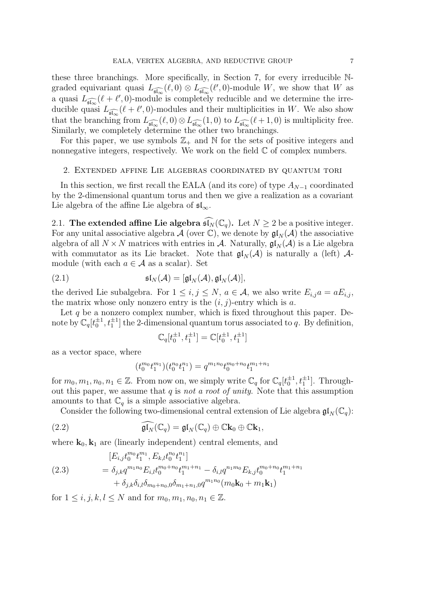these three branchings. More specifically, in Section 7, for every irreducible Ngraded equivariant quasi  $L_{\widehat{\mathfrak{sl}_\infty}}(\ell,0) \otimes L_{\widehat{\mathfrak{sl}_\infty}}(\ell',0)$ -module W, we show that W as a quasi  $L_{\widehat{\mathfrak{sl}_\infty}}(\ell + \ell', 0)$ -module is completely reducible and we determine the irreducible quasi  $L_{\widehat{\mathfrak{sl}_\infty}}(\ell+\ell',0)$ -modules and their multiplicities in W. We also show that the branching from  $L_{\widehat{\mathfrak{sl}_\infty}}(\ell,0)\otimes L_{\widehat{\mathfrak{sl}_\infty}}(1,0)$  to  $L_{\widehat{\mathfrak{sl}_\infty}}(\ell+1,0)$  is multiplicity free. Similarly, we completely determine the other two branchings.

For this paper, we use symbols  $\mathbb{Z}_+$  and  $\mathbb N$  for the sets of positive integers and nonnegative integers, respectively. We work on the field  $\mathbb C$  of complex numbers.

#### 2. Extended affine Lie algebras coordinated by quantum tori

In this section, we first recall the EALA (and its core) of type  $A_{N-1}$  coordinated by the 2-dimensional quantum torus and then we give a realization as a covariant Lie algebra of the affine Lie algebra of  $\mathfrak{sl}_{\infty}$ .

2.1. The extended affine Lie algebra  $\widehat{\mathfrak{sl}_N}(\mathbb{C}_q)$ . Let  $N \geq 2$  be a positive integer. For any unital associative algebra  $\mathcal A$  (over  $\mathbb C$ ), we denote by  $\mathfrak{gl}_N(\mathcal A)$  the associative algebra of all  $N \times N$  matrices with entries in A. Naturally,  $\mathfrak{gl}_N(\mathcal{A})$  is a Lie algebra with commutator as its Lie bracket. Note that  $\mathfrak{gl}_N(\mathcal{A})$  is naturally a (left)  $\mathcal{A}$ module (with each  $a \in \mathcal{A}$  as a scalar). Set

(2.1) 
$$
\mathfrak{sl}_N(\mathcal{A}) = [\mathfrak{gl}_N(\mathcal{A}), \mathfrak{gl}_N(\mathcal{A})],
$$

the derived Lie subalgebra. For  $1 \leq i, j \leq N$ ,  $a \in \mathcal{A}$ , we also write  $E_{i,j}a = aE_{i,j}$ , the matrix whose only nonzero entry is the  $(i, j)$ -entry which is a.

Let  $q$  be a nonzero complex number, which is fixed throughout this paper. Denote by  $\mathbb{C}_q[t_0^{\pm 1}, t_1^{\pm 1}]$  the 2-dimensional quantum torus associated to q. By definition,

$$
\mathbb{C}_q[t_0^{\pm 1}, t_1^{\pm 1}] = \mathbb{C}[t_0^{\pm 1}, t_1^{\pm 1}]
$$

as a vector space, where

$$
(t_0^{m_0}t_1^{m_1})(t_0^{n_0}t_1^{n_1})=q^{m_1n_0}t_0^{m_0+n_0}t_1^{m_1+n_1}\\
$$

for  $m_0, m_1, n_0, n_1 \in \mathbb{Z}$ . From now on, we simply write  $\mathbb{C}_q$  for  $\mathbb{C}_q[t_0^{\pm 1}, t_1^{\pm 1}]$ . Throughout this paper, we assume that  $q$  is not a root of unity. Note that this assumption amounts to that  $\mathbb{C}_q$  is a simple associative algebra.

Consider the following two-dimensional central extension of Lie algebra  $\mathfrak{gl}_N(\mathbb{C}_q)$ :

(2.2) 
$$
\widehat{\mathfrak{gl}_N}(\mathbb{C}_q) = \mathfrak{gl}_N(\mathbb{C}_q) \oplus \mathbb{C}\mathbf{k}_0 \oplus \mathbb{C}\mathbf{k}_1,
$$

where  $\mathbf{k}_0, \mathbf{k}_1$  are (linearly independent) central elements, and

(2.3) 
$$
[E_{i,j}t_0^{m_0}t_1^{m_1}, E_{k,l}t_0^{n_0}t_1^{n_1}]
$$

$$
= \delta_{j,k}q^{m_1n_0}E_{i,l}t_0^{m_0+n_0}t_1^{m_1+n_1} - \delta_{i,l}q^{n_1m_0}E_{k,j}t_0^{m_0+n_0}t_1^{m_1+n_1}
$$

$$
+ \delta_{j,k}\delta_{i,l}\delta_{m_0+n_0,0}\delta_{m_1+n_1,0}q^{m_1n_0}(m_0\mathbf{k}_0 + m_1\mathbf{k}_1)
$$

for  $1 \le i, j, k, l \le N$  and for  $m_0, m_1, n_0, n_1 \in \mathbb{Z}$ .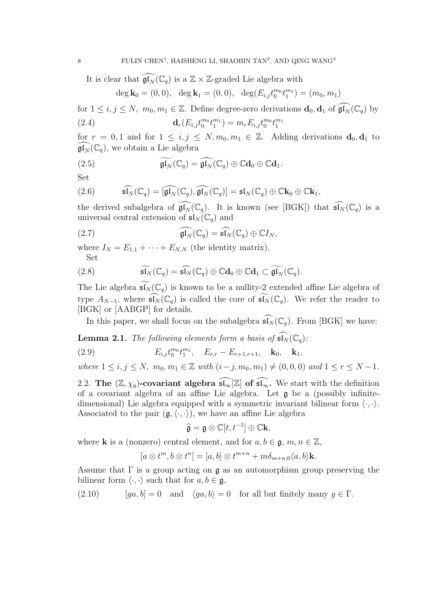It is clear that  $\widehat{\mathfrak{gl}_N}(\mathbb{C}_q)$  is a  $\mathbb{Z} \times \mathbb{Z}$ -graded Lie algebra with

$$
\deg \mathbf{k}_0 = (0,0), \ \ \deg \mathbf{k}_1 = (0,0), \ \ \deg(E_{i,j}t_0^{m_0}t_1^{m_1}) = (m_0, m_1)
$$

for  $1 \leq i, j \leq N$ ,  $m_0, m_1 \in \mathbb{Z}$ . Define degree-zero derivations  $\mathbf{d}_0, \mathbf{d}_1$  of  $\widehat{\mathfrak{gl}_N}(\mathbb{C}_q)$  by  $\mathbf{d}_r(E_{i,j}t_0^{m_0}t_1^{m_1}) = m_r E_{i,j} t_0^{m_0}t_1^{m_1}$ (2.4)

for  $r = 0, 1$  and for  $1 \le i, j \le N, m_0, m_1 \in \mathbb{Z}$ . Adding derivations  $\mathbf{d}_0, \mathbf{d}_1$  to  $\mathfrak{gl}_N(\mathbb{C}_q)$ , we obtain a Lie algebra

(2.5) 
$$
\widetilde{\mathfrak{gl}_N}(\mathbb{C}_q) = \widehat{\mathfrak{gl}_N}(\mathbb{C}_q) \oplus \mathbb{C}\mathbf{d}_0 \oplus \mathbb{C}\mathbf{d}_1.
$$

Set

(2.6) 
$$
\widehat{\mathfrak{sl}_N}(\mathbb{C}_q) = [\widehat{\mathfrak{gl}_N}(\mathbb{C}_q), \widehat{\mathfrak{gl}_N}(\mathbb{C}_q)] = \mathfrak{sl}_N(\mathbb{C}_q) \oplus \mathbb{C} \mathbf{k}_0 \oplus \mathbb{C} \mathbf{k}_1,
$$

the derived subalgebra of  $\widehat{\mathfrak{gl}_N}(\mathbb{C}_q)$ . It is known (see [BGK]) that  $\widehat{\mathfrak{sl}_N}(\mathbb{C}_q)$  is a universal central extension of  $\mathfrak{sl}_N(\mathbb{C}_q)$  and

(2.7) 
$$
\widehat{\mathfrak{gl}_N}(\mathbb{C}_q) = \widehat{\mathfrak{sl}_N}(\mathbb{C}_q) \oplus \mathbb{C}I_N,
$$

where  $I_N = E_{1,1} + \cdots + E_{N,N}$  (the identity matrix). Set

(2.8) 
$$
\widetilde{\mathfrak{sl}_N}(\mathbb{C}_q) = \widehat{\mathfrak{sl}_N}(\mathbb{C}_q) \oplus \mathbb{C}\mathbf{d}_0 \oplus \mathbb{C}\mathbf{d}_1 \subset \widetilde{\mathfrak{gl}_N}(\mathbb{C}_q).
$$

The Lie algebra  $\mathfrak{sl}_N(\mathbb{C}_q)$  is known to be a nullity-2 extended affine Lie algebra of type  $A_{N-1}$ , where  $\widehat{\mathfrak{sl}_N}(\mathbb{C}_q)$  is called the core of  $\widetilde{\mathfrak{sl}_N}(\mathbb{C}_q)$ . We refer the reader to [BGK] or [AABGP] for details.

In this paper, we shall focus on the subalgebra  $\widehat{\mathfrak{sl}_N}(\mathbb{C}_q)$ . From [BGK] we have:

**Lemma 2.1.** The following elements form a basis of  $\widehat{\mathfrak{sl}_N}(\mathbb{C}_q)$ :

(2.9) 
$$
E_{i,j}t_0^{m_0}t_1^{m_1}, \quad E_{r,r}-E_{r+1,r+1}, \quad \mathbf{k}_0, \quad \mathbf{k}_1,
$$

where  $1 \le i, j \le N$ ,  $m_0, m_1 \in \mathbb{Z}$  with  $(i-j, m_0, m_1) \ne (0, 0, 0)$  and  $1 \le r \le N - 1$ .

2.2. The  $(\mathbb{Z}, \chi_q)$ -covariant algebra  $\widehat{\mathfrak{sl}_\infty}[\mathbb{Z}]$  of  $\widehat{\mathfrak{sl}_\infty}$ . We start with the definition of a covariant algebra of an affine Lie algebra. Let g be a (possibly infinitedimensional) Lie algebra equipped with a symmetric invariant bilinear form  $\langle \cdot, \cdot \rangle$ . Associated to the pair  $(\mathfrak{g},\langle\cdot,\cdot\rangle)$ , we have an affine Lie algebra

$$
\widehat{\mathfrak{g}} = \mathfrak{g} \otimes \mathbb{C}[t, t^{-1}] \oplus \mathbb{C} \mathbf{k},
$$

where **k** is a (nonzero) central element, and for  $a, b \in \mathfrak{g}, m, n \in \mathbb{Z}$ ,

$$
[a \otimes t^m, b \otimes t^n] = [a, b] \otimes t^{m+n} + m\delta_{m+n,0} \langle a, b \rangle \mathbf{k}.
$$

Assume that  $\Gamma$  is a group acting on  $\mathfrak g$  as an automorphism group preserving the bilinear form  $\langle \cdot, \cdot \rangle$  such that for  $a, b \in \mathfrak{g}$ ,

(2.10) 
$$
[ga, b] = 0
$$
 and  $\langle ga, b \rangle = 0$  for all but finitely many  $g \in \Gamma$ .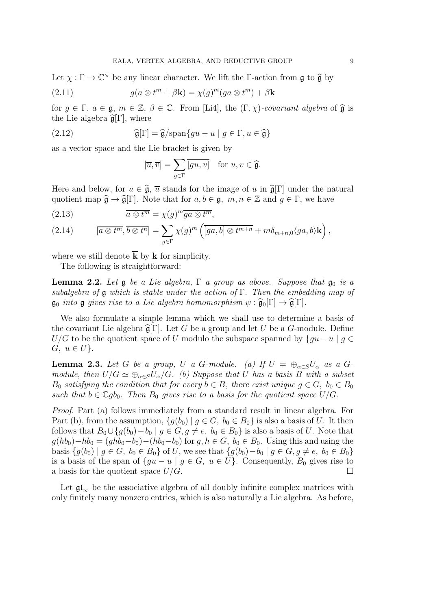Let  $\chi : \Gamma \to \mathbb{C}^\times$  be any linear character. We lift the  $\Gamma$ -action from  $\mathfrak g$  to  $\widehat{\mathfrak g}$  by

(2.11) 
$$
g(a \otimes t^m + \beta \mathbf{k}) = \chi(g)^m (ga \otimes t^m) + \beta \mathbf{k}
$$

for  $g \in \Gamma$ ,  $a \in \mathfrak{g}$ ,  $m \in \mathbb{Z}$ ,  $\beta \in \mathbb{C}$ . From [Li4], the  $(\Gamma, \chi)$ -covariant algebra of  $\widehat{\mathfrak{g}}$  is the Lie algebra  $\widehat{\mathfrak{g}}[\Gamma]$ , where

(2.12) 
$$
\widehat{\mathfrak{g}}[\Gamma] = \widehat{\mathfrak{g}}/\mathrm{span}\{gu - u \mid g \in \Gamma, u \in \widehat{\mathfrak{g}}\}
$$

as a vector space and the Lie bracket is given by

$$
[\overline{u}, \overline{v}] = \sum_{g \in \Gamma} \overline{[gu, v]} \quad \text{for } u, v \in \widehat{\mathfrak{g}}.
$$

Here and below, for  $u \in \hat{\mathfrak{g}}, \overline{u}$  stands for the image of u in  $\hat{\mathfrak{g}}[\Gamma]$  under the natural quotient map  $\hat{\mathfrak{g}} \to \hat{\mathfrak{g}}[\Gamma]$ . Note that for  $a, b \in \mathfrak{g}$ ,  $m, n \in \mathbb{Z}$  and  $g \in \Gamma$ , we have

(2.13) 
$$
\overline{a \otimes t^m} = \chi(g)^m \overline{ga \otimes t^m},
$$

(2.14) 
$$
[\overline{a \otimes t^m}, \overline{b \otimes t^n}] = \sum_{g \in \Gamma} \chi(g)^m \left( \overline{[ga, b] \otimes t^{m+n}} + m \delta_{m+n,0} \langle ga, b \rangle \mathbf{k} \right),
$$

where we still denote  $\overline{k}$  by **k** for simplicity.

The following is straightforward:

**Lemma 2.2.** Let  $\mathfrak g$  be a Lie algebra,  $\Gamma$  a group as above. Suppose that  $\mathfrak g_0$  is a subalgebra of  $\mathfrak g$  which is stable under the action of  $\Gamma$ . Then the embedding map of  $\mathfrak{g}_0$  into  $\mathfrak{g}$  gives rise to a Lie algebra homomorphism  $\psi : \widehat{\mathfrak{g}}_0[\Gamma] \to \widehat{\mathfrak{g}}[\Gamma].$ 

We also formulate a simple lemma which we shall use to determine a basis of the covariant Lie algebra  $\hat{\mathfrak{g}}[\Gamma]$ . Let G be a group and let U be a G-module. Define  $U/G$  to be the quotient space of U modulo the subspace spanned by  $\{qu-u \mid q \in$  $G, u \in U$ .

**Lemma 2.3.** Let G be a group, U a G-module. (a) If  $U = \bigoplus_{\alpha \in S} U_{\alpha}$  as a Gmodule, then  $U/G \simeq \bigoplus_{\alpha \in S} U_{\alpha}/G$ . (b) Suppose that U has a basis B with a subset  $B_0$  satisfying the condition that for every  $b \in B$ , there exist unique  $g \in G$ ,  $b_0 \in B_0$ such that  $b \in \mathbb{C}$ gb<sub>0</sub>. Then  $B_0$  gives rise to a basis for the quotient space  $U/G$ .

Proof. Part (a) follows immediately from a standard result in linear algebra. For Part (b), from the assumption,  $\{g(b_0) \mid g \in G, b_0 \in B_0\}$  is also a basis of U. It then follows that  $B_0 \cup \{g(b_0)-b_0 \mid g \in G, g \neq e, b_0 \in B_0\}$  is also a basis of U. Note that  $g(hb_0)-hb_0 = (ghb_0-b_0)-(hb_0-b_0)$  for  $g, h \in G$ ,  $b_0 \in B_0$ . Using this and using the basis  ${g(b_0) | g \in G, b_0 \in B_0}$  of U, we see that  ${g(b_0) - b_0 | g \in G, g \neq e, b_0 \in B_0}$ is a basis of the span of  $\{gu - u \mid g \in G, u \in U\}$ . Consequently,  $B_0$  gives rise to a basis for the quotient space  $U/G$ .

Let  $\mathfrak{gl}_{\infty}$  be the associative algebra of all doubly infinite complex matrices with only finitely many nonzero entries, which is also naturally a Lie algebra. As before,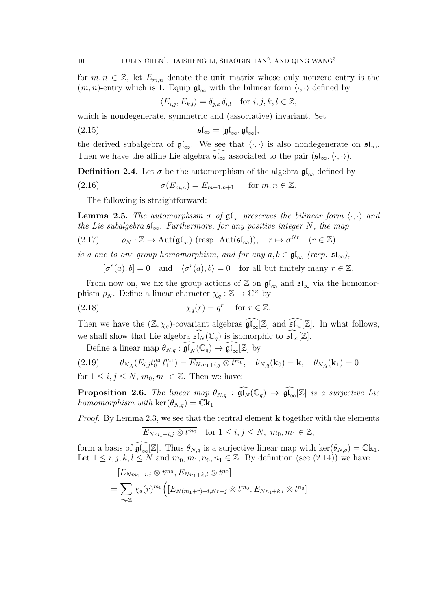for  $m, n \in \mathbb{Z}$ , let  $E_{m,n}$  denote the unit matrix whose only nonzero entry is the  $(m, n)$ -entry which is 1. Equip  $\mathfrak{gl}_{\infty}$  with the bilinear form  $\langle \cdot, \cdot \rangle$  defined by

$$
\langle E_{i,j}, E_{k,l} \rangle = \delta_{j,k} \, \delta_{i,l} \quad \text{for } i, j, k, l \in \mathbb{Z},
$$

which is nondegenerate, symmetric and (associative) invariant. Set

(2.15) 
$$
\mathfrak{sl}_{\infty} = [\mathfrak{gl}_{\infty}, \mathfrak{gl}_{\infty}],
$$

the derived subalgebra of  $\mathfrak{gl}_{\infty}$ . We see that  $\langle \cdot, \cdot \rangle$  is also nondegenerate on  $\mathfrak{sl}_{\infty}$ . Then we have the affine Lie algebra  $\mathfrak{sl}_{\infty}$  associated to the pair  $(\mathfrak{sl}_{\infty},\langle\cdot,\cdot\rangle).$ 

**Definition 2.4.** Let  $\sigma$  be the automorphism of the algebra  $\mathfrak{gl}_{\infty}$  defined by

(2.16) 
$$
\sigma(E_{m,n}) = E_{m+1,n+1} \quad \text{for } m, n \in \mathbb{Z}.
$$

The following is straightforward:

**Lemma 2.5.** The automorphism  $\sigma$  of  $\mathfrak{gl}_{\infty}$  preserves the bilinear form  $\langle \cdot, \cdot \rangle$  and the Lie subalgebra  $\mathfrak{sl}_{\infty}$ . Furthermore, for any positive integer N, the map (2.17)  $\rho_N : \mathbb{Z} \to \text{Aut}(\mathfrak{gl}_{\infty}) \text{ (resp. } \text{Aut}(\mathfrak{sl}_{\infty})\text{)}, \quad r \mapsto \sigma^{Nr} \quad (r \in \mathbb{Z})$ 

is a one-to-one group homomorphism, and for any  $a, b \in \mathfrak{gl}_{\infty}$  (resp.  $\mathfrak{sl}_{\infty}$ ),

 $[\sigma^r(a), b] = 0$  and  $\langle \sigma^r(a), b \rangle = 0$  for all but finitely many  $r \in \mathbb{Z}$ .

From now on, we fix the group actions of  $\mathbb{Z}$  on  $\mathfrak{gl}_{\infty}$  and  $\mathfrak{sl}_{\infty}$  via the homomorphism  $\rho_N$ . Define a linear character  $\chi_q : \mathbb{Z} \to \mathbb{C}^\times$  by

(2.18) 
$$
\chi_q(r) = q^r \quad \text{for } r \in \mathbb{Z}.
$$

Then we have the  $(\mathbb{Z}, \chi_q)$ -covariant algebras  $\widehat{\mathfrak{gl}_\infty}[\mathbb{Z}]$  and  $\widehat{\mathfrak{sl}_\infty}[\mathbb{Z}]$ . In what follows, we shall show that Lie algebra  $\widehat{\mathfrak{sl}_N}(\mathbb{C}_q)$  is isomorphic to  $\widehat{\mathfrak{sl}_\infty}[\mathbb{Z}].$ 

Define a linear map  $\theta_{N,q} : \widehat{\mathfrak{gl}_N}(\mathbb{C}_q) \to \widehat{\mathfrak{gl}_\infty}[\mathbb{Z}]$  by

(2.19) 
$$
\theta_{N,q}(E_{i,j}t_0^{m_0}t_1^{m_1}) = \overline{E_{Nm_1+i,j} \otimes t^{m_0}}, \quad \theta_{N,q}(\mathbf{k}_0) = \mathbf{k}, \quad \theta_{N,q}(\mathbf{k}_1) = 0
$$

for  $1 \leq i, j \leq N, m_0, m_1 \in \mathbb{Z}$ . Then we have:

**Proposition 2.6.** The linear map  $\theta_{N,q}$  :  $\widehat{\mathfrak{gl}_N}(\mathbb{C}_q) \to \widehat{\mathfrak{gl}_\infty}[\mathbb{Z}]$  is a surjective Lie homomorphism with  $\ker(\theta_{N,q}) = \mathbb{C} \mathbf{k}_1$ .

*Proof.* By Lemma 2.3, we see that the central element **k** together with the elements

$$
\overline{E_{Nm_1+i,j}\otimes t^{m_0}} \quad \text{for } 1\leq i,j\leq N, \ m_0, m_1\in \mathbb{Z},
$$

form a basis of  $\mathfrak{gl}_{\infty}[\mathbb{Z}]$ . Thus  $\theta_{N,q}$  is a surjective linear map with ker $(\theta_{N,q}) = \mathbb{C} \mathbf{k}_1$ . Let  $1 \leq i, j, k, l \leq N$  and  $m_0, m_1, n_0, n_1 \in \mathbb{Z}$ . By definition (see (2.14)) we have

$$
[E_{Nm_1+i,j} \otimes t^{m_0}, \overline{E_{Nn_1+k,l}} \otimes t^{n_0}]
$$
  
= 
$$
\sum_{r \in \mathbb{Z}} \chi_q(r)^{m_0} \Big( \overline{[E_{N(m_1+r)+i, Nr+j} \otimes t^{m_0}, E_{Nn_1+k,l} \otimes t^{n_0}]}
$$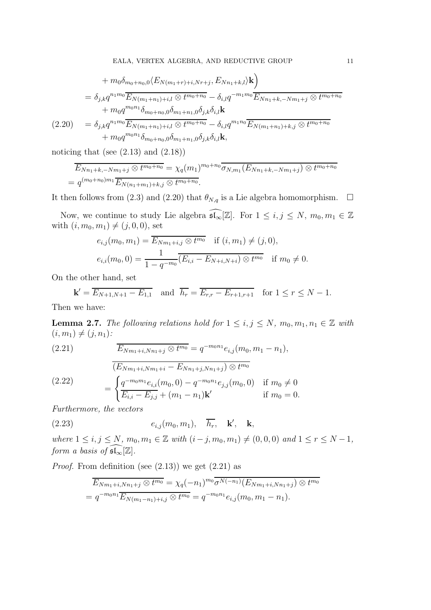$$
+ m_0 \delta_{m_0+n_0,0} \langle E_{N(m_1+r)+i,Nr+j}, E_{Nn_1+k,l} \rangle \mathbf{k} \rangle
$$
  
=  $\delta_{j,k} q^{n_1 m_0} \overline{E_{N(m_1+n_1)+i,l}} \otimes t^{m_0+n_0} - \delta_{i,l} q^{-m_1 m_0} \overline{E_{Nn_1+k,-Nm_1+j}} \otimes t^{m_0+n_0} + m_0 q^{m_0 n_1} \delta_{m_0+n_0,0} \delta_{m_1+n_1,0} \delta_{j,k} \delta_{i,l} \mathbf{k}$   
(2.20) =  $\delta_{j,k} q^{n_1 m_0} \overline{E_{N(m_1+n_1)+i,l}} \otimes t^{m_0+n_0} - \delta_{i,l} q^{m_1 n_0} \overline{E_{N(m_1+n_1)+k,j}} \otimes t^{m_0+n_0} + m_0 q^{m_0 n_1} \delta_{m_0+n_0,0} \delta_{m_1+n_1,0} \delta_{j,k} \delta_{i,l} \mathbf{k},$ 

noticing that (see  $(2.13)$  and  $(2.18)$ )

$$
E_{Nn_1+k,-Nm_1+j} \otimes t^{m_0+n_0} = \chi_q(m_1)^{m_0+n_0} \overline{\sigma_{N,m_1}(E_{Nn_1+k,-Nm_1+j})} \otimes t^{m_0+n_0}
$$
  
=  $q^{(m_0+n_0)m_1} \overline{E_{N(n_1+m_1)+k,j}} \otimes t^{m_0+n_0}$ .

It then follows from (2.3) and (2.20) that  $\theta_{N,q}$  is a Lie algebra homomorphism.  $\Box$ 

Now, we continue to study Lie algebra  $\widehat{\mathfrak{sl}_{\infty}}[\mathbb{Z}]$ . For  $1 \leq i, j \leq N$ ,  $m_0, m_1 \in \mathbb{Z}$ with  $(i, m_0, m_1) \neq (j, 0, 0)$ , set

$$
e_{i,j}(m_0, m_1) = \overline{E_{Nm_1+i,j} \otimes t^{m_0}} \quad \text{if } (i, m_1) \neq (j, 0),
$$
  

$$
e_{i,i}(m_0, 0) = \frac{1}{1 - q^{-m_0}} \overline{(E_{i,i} - E_{N+i,N+i}) \otimes t^{m_0}} \quad \text{if } m_0 \neq 0.
$$

On the other hand, set

$$
\mathbf{k}' = \overline{E_{N+1,N+1} - E_{1,1}} \text{ and } \overline{h_r} = \overline{E_{r,r} - E_{r+1,r+1}} \text{ for } 1 \le r \le N - 1.
$$

Then we have:

**Lemma 2.7.** The following relations hold for  $1 \leq i, j \leq N, m_0, m_1, n_1 \in \mathbb{Z}$  with  $(i, m_1) \neq (j, n_1)$ :

(2.21) 
$$
\overline{E_{Nm_1+i, Nn_1+j} \otimes t^{m_0}} = q^{-m_0n_1} e_{i,j}(m_0, m_1 - n_1),
$$

(2.22) 
$$
\begin{aligned} (E_{Nm_1+i, Nm_1+i} - E_{Nn_1+j, Nn_1+j}) \otimes t^{m_0} \\ = \begin{cases} q^{-m_0m_1} e_{i,i}(m_0, 0) - q^{-m_0n_1} e_{j,j}(m_0, 0) & \text{if } m_0 \neq 0 \\ \overline{E_{i,i} - E_{j,j}} + (m_1 - n_1) \mathbf{k}' & \text{if } m_0 = 0. \end{cases} \end{aligned}
$$

Furthermore, the vectors

$$
(2.23) \t\t e_{i,j}(m_0,m_1), \quad \overline{h_r}, \quad \mathbf{k}', \quad \mathbf{k},
$$

where  $1 \le i, j \le N$ ,  $m_0, m_1 \in \mathbb{Z}$  with  $(i - j, m_0, m_1) \ne (0, 0, 0)$  and  $1 \le r \le N - 1$ , form a basis of  $\mathfrak{sl}_{\infty}[\mathbb{Z}].$ 

*Proof.* From definition (see  $(2.13)$ ) we get  $(2.21)$  as

$$
\overline{E_{Nm_1+i, Nn_1+j} \otimes t^{m_0}} = \chi_q(-n_1)^{m_0} \overline{\sigma^{N(-n_1)}} (E_{Nm_1+i, Nn_1+j}) \otimes t^{m_0}
$$
  
=  $q^{-m_0n_1} \overline{E_{N(m_1-n_1)+i,j} \otimes t^{m_0}} = q^{-m_0n_1} e_{i,j}(m_0, m_1 - n_1).$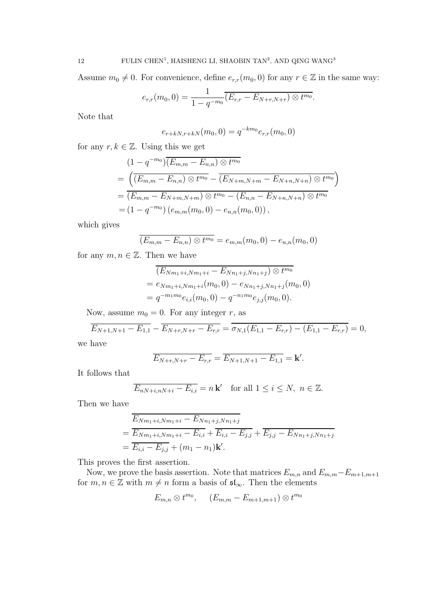Assume  $m_0 \neq 0$ . For convenience, define  $e_{r,r}(m_0, 0)$  for any  $r \in \mathbb{Z}$  in the same way:

$$
e_{r,r}(m_0,0)=\frac{1}{1-q^{-m_0}}\overline{(E_{r,r}-E_{N+r,N+r})\otimes t^{m_0}}.
$$

Note that

$$
e_{r+kN,r+kN}(m_0, 0) = q^{-km_0} e_{r,r}(m_0, 0)
$$

for any  $r, k \in \mathbb{Z}$ . Using this we get

$$
(1 - q^{-m_0})\overline{(E_{m,m} - E_{n,n}) \otimes t^{m_0}}
$$
  
=  $\left(\overline{(E_{m,m} - E_{n,n}) \otimes t^{m_0}} - \overline{(E_{N+m,N+m} - E_{N+n,N+n}) \otimes t^{m_0}}\right)$   
=  $\overline{(E_{m,m} - E_{N+m,N+m}) \otimes t^{m_0} - (E_{n,n} - E_{N+n,N+n}) \otimes t^{m_0}}$   
=  $(1 - q^{-m_0}) (e_{m,m}(m_0, 0) - e_{n,n}(m_0, 0)),$ 

which gives

$$
\overline{(E_{m,m}-E_{n,n})\otimes t^{m_0}}=e_{m,m}(m_0,0)-e_{n,n}(m_0,0)
$$

for any  $m, n \in \mathbb{Z}$ . Then we have

$$
\overline{(E_{Nm_1+i,Nm_1+i} - E_{Nn_1+j,Nn_1+j}) \otimes t^{m_0}}
$$
\n
$$
= e_{Nm_1+i,Nm_1+i}(m_0, 0) - e_{Nn_1+j,Nn_1+j}(m_0, 0)
$$
\n
$$
= q^{-m_1m_0} e_{i,i}(m_0, 0) - q^{-n_1m_0} e_{j,j}(m_0, 0).
$$

Now, assume  $m_0 = 0$ . For any integer r, as

$$
\overline{E_{N+1,N+1} - E_{1,1}} - \overline{E_{N+r,N+r} - E_{r,r}} = \overline{\sigma_{N,1}(E_{1,1} - E_{r,r}) - (E_{1,1} - E_{r,r})} = 0,
$$

we have

$$
E_{N+r,N+r} - E_{r,r} = \overline{E_{N+1,N+1} - E_{1,1}} = \mathbf{k}'.
$$

It follows that

$$
\overline{E_{nN+i,nN+i} - E_{i,i}} = n \mathbf{k'} \quad \text{for all } 1 \le i \le N, \ n \in \mathbb{Z}.
$$

Then we have

$$
\overline{E_{Nm_1+i,Nm_1+i} - E_{Nn_1+j,Nn_1+j}} \\
= \overline{E_{Nm_1+i,Nm_1+i} - E_{i,i}} + \overline{E_{i,i} - E_{j,j}} + \overline{E_{j,j} - E_{Nn_1+j,Nn_1+j}} \\
= \overline{E_{i,i} - E_{j,j}} + (m_1 - n_1)\mathbf{k'}.
$$

This proves the first assertion.

Now, we prove the basis assertion. Note that matrices  $E_{m,n}$  and  $E_{m,m}-E_{m+1,m+1}$ for  $m, n \in \mathbb{Z}$  with  $m \neq n$  form a basis of  $\mathfrak{sl}_{\infty}$ . Then the elements

$$
E_{m,n} \otimes t^{m_0}, \quad (E_{m,m} - E_{m+1,m+1}) \otimes t^{m_0}
$$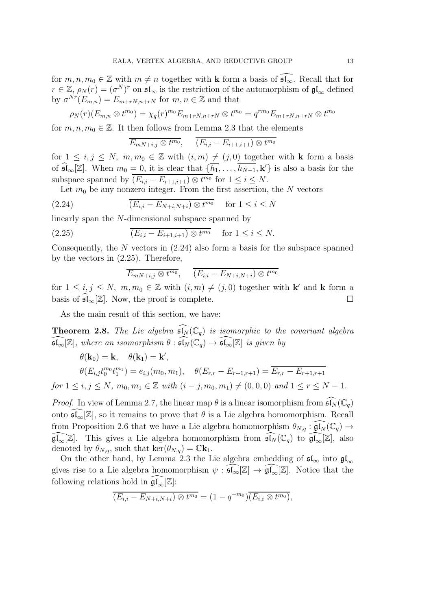for  $m, n, m_0 \in \mathbb{Z}$  with  $m \neq n$  together with **k** form a basis of  $\widehat{\mathfrak{sl}_{\infty}}$ . Recall that for  $r \in \mathbb{Z}, \rho_N(r) = (\sigma^N)^r$  on  $\mathfrak{sl}_{\infty}$  is the restriction of the automorphism of  $\mathfrak{gl}_{\infty}$  defined by  $\sigma^{Nr}(E_{m,n})=E_{m+rN,n+rN}$  for  $m,n\in\mathbb{Z}$  and that

$$
\rho_N(r)(E_{m,n}\otimes t^{m_0})=\chi_q(r)^{m_0}E_{m+rN,n+rN}\otimes t^{m_0}=q^{rm_0}E_{m+rN,n+rN}\otimes t^{m_0}
$$

for  $m, n, m_0 \in \mathbb{Z}$ . It then follows from Lemma 2.3 that the elements

$$
\overline{E_{mN+i,j}\otimes t^{m_0}},\quad \ \overline{(E_{i,i}-E_{i+1,i+1})\otimes t^{m_0}}
$$

for  $1 \leq i, j \leq N$ ,  $m, m_0 \in \mathbb{Z}$  with  $(i, m) \neq (j, 0)$  together with **k** form a basis of  $\widehat{\mathfrak{sl}}_{\infty}[\mathbb{Z}]$ . When  $m_0 = 0$ , it is clear that  $\{\overline{h_1}, \ldots, \overline{h_{N-1}}, \mathbf{k}'\}$  is also a basis for the subspace spanned by  $(E_{i,i} - E_{i+1,i+1}) \otimes t^{m_0}$  for  $1 \leq i \leq N$ .

Let  $m_0$  be any nonzero integer. From the first assertion, the N vectors

$$
(2.24) \qquad \overline{(E_{i,i} - E_{N+i,N+i}) \otimes t^{m_0}} \quad \text{for } 1 \le i \le N
$$

linearly span the N-dimensional subspace spanned by

(2.25) 
$$
\overline{(E_{i,i} - E_{i+1,i+1}) \otimes t^{m_0}} \quad \text{for } 1 \le i \le N.
$$

Consequently, the N vectors in  $(2.24)$  also form a basis for the subspace spanned by the vectors in (2.25). Therefore,

$$
\overline{E_{mN+i,j}\otimes t^{m_0}},\quad \ \overline{(E_{i,i}-E_{N+i,N+i})\otimes t^{m_0}}
$$

for  $1 \leq i, j \leq N$ ,  $m, m_0 \in \mathbb{Z}$  with  $(i, m) \neq (j, 0)$  together with **k'** and **k** form a basis of  $\mathfrak{sl}_{\infty}[\mathbb{Z}]$ . Now, the proof is complete.

As the main result of this section, we have:

**Theorem 2.8.** The Lie algebra  $\widehat{\mathfrak{sl}_N}(\mathbb{C}_q)$  is isomorphic to the covariant algebra  $\mathfrak{sl}_{\infty}[\mathbb{Z}]$ , where an isomorphism  $\theta : \mathfrak{sl}_N(\mathbb{C}_q) \to \mathfrak{sl}_{\infty}[\mathbb{Z}]$  is given by

$$
\theta(\mathbf{k}_0) = \mathbf{k}, \quad \theta(\mathbf{k}_1) = \mathbf{k}',
$$
  
\n
$$
\theta(E_{i,j}t_0^{m_0}t_1^{m_1}) = e_{i,j}(m_0, m_1), \quad \theta(E_{r,r} - E_{r+1,r+1}) = \overline{E_{r,r} - E_{r+1,r+1}}
$$

for  $1 \le i, j \le N$ ,  $m_0, m_1 \in \mathbb{Z}$  with  $(i - j, m_0, m_1) \ne (0, 0, 0)$  and  $1 \le r \le N - 1$ .

*Proof.* In view of Lemma 2.7, the linear map  $\theta$  is a linear isomorphism from  $\widehat{\mathfrak{sl}_N}(\mathbb{C}_q)$ onto  $\mathfrak{sl}_{\infty}[\mathbb{Z}]$ , so it remains to prove that  $\theta$  is a Lie algebra homomorphism. Recall from Proposition 2.6 that we have a Lie algebra homomorphism  $\theta_{N,q} : \widehat{\mathfrak{gl}_N}(\mathbb{C}_q) \to$  $\mathfrak{gl}_{\infty}[\mathbb{Z}]$ . This gives a Lie algebra homomorphism from  $\widehat{\mathfrak{sl}_N}(\mathbb{C}_q)$  to  $\widehat{\mathfrak{gl}_\infty}[\mathbb{Z}]$ , also denoted by  $\theta_{N,q}$ , such that ker $(\theta_{N,q}) = \mathbb{C} \mathbf{k}_1$ .

On the other hand, by Lemma 2.3 the Lie algebra embedding of  $\mathfrak{sl}_{\infty}$  into  $\mathfrak{gl}_{\infty}$ gives rise to a Lie algebra homomorphism  $\psi : \tilde{\mathfrak{sl}}_{\infty}[\mathbb{Z}] \to \tilde{\mathfrak{gl}}_{\infty}[\mathbb{Z}]$ . Notice that the following relations hold in  $\mathfrak{gl}_{\infty}[\mathbb{Z}]\mathbb{Z}$ :

$$
\overline{(E_{i,i} - E_{N+i,N+i}) \otimes t^{m_0}} = (1 - q^{-m_0}) \overline{(E_{i,i} \otimes t^{m_0})},
$$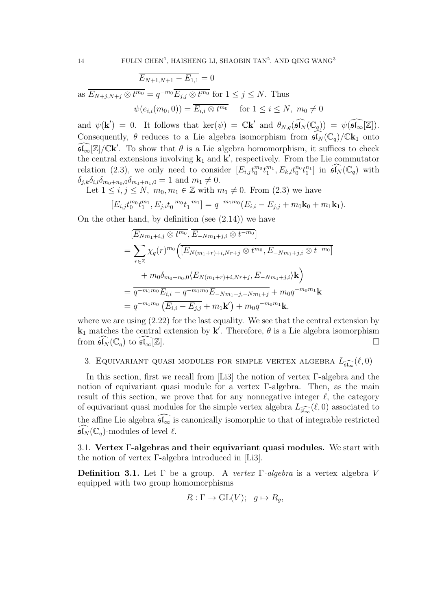$$
\overline{E_{N+1,N+1} - E_{1,1}} = 0
$$
\nas  $\overline{E_{N+j,N+j} \otimes t^{m_0}} = q^{-m_0} \overline{E_{j,j} \otimes t^{m_0}}$  for  $1 \le j \le N$ . Thus\n
$$
\psi(e_{i,i}(m_0, 0)) = \overline{E_{i,i} \otimes t^{m_0}} \quad \text{for } 1 \le i \le N, \ m_0 \ne 0
$$

and  $\psi(\mathbf{k}') = 0$ . It follows that  $\ker(\psi) = \mathbb{C}\mathbf{k}'$  and  $\theta_{N,q}(\widehat{\mathfrak{sl}_N}(\mathbb{C}_q)) = \psi(\widehat{\mathfrak{sl}_\infty}[\mathbb{Z}])$ . Consequently,  $\theta$  reduces to a Lie algebra isomorphism from  $\mathfrak{sl}_N(\mathbb{C}_q)/\mathbb{C}\mathbf{k}_1$  onto  $\widehat{\mathfrak{sl}_{\infty}}[\mathbb{Z}]/\mathbb{C}$ k'. To show that  $\theta$  is a Lie algebra homomorphism, it suffices to check the central extensions involving  $\mathbf{k}_1$  and  $\mathbf{k}'$ , respectively. From the Lie commutator relation (2.3), we only need to consider  $[E_{i,j}t_0^{m_0}t_1^{m_1}, E_{k,l}t_0^{n_0}t_1^{n_1}]$  in  $\widehat{\mathfrak{sl}_N}(\mathbb{C}_q)$  with  $\delta_{j,k}\delta_{i,l}\delta_{m_0+n_0,0}\delta_{m_1+n_1,0} = 1$  and  $m_1 \neq 0$ .

Let  $1 \leq i, j \leq N$ ,  $m_0, m_1 \in \mathbb{Z}$  with  $m_1 \neq 0$ . From  $(2.3)$  we have

$$
[E_{i,j}t_0^{m_0}t_1^{m_1}, E_{j,i}t_0^{-m_0}t_1^{-m_1}] = q^{-m_1m_0}(E_{i,i} - E_{j,j} + m_0\mathbf{k}_0 + m_1\mathbf{k}_1).
$$

On the other hand, by definition (see  $(2.14)$ ) we have

$$
[E_{Nm_1+i,j} \otimes t^{m_0}, E_{-Nm_1+j,i} \otimes t^{-m_0}]
$$
  
=  $\sum_{r \in \mathbb{Z}} \chi_q(r)^{m_0} \Big( [E_{N(m_1+r)+i,Nr+j} \otimes t^{m_0}, E_{-Nm_1+j,i} \otimes t^{-m_0}]$   
+  $m_0 \delta_{m_0+n_0,0} \langle E_{N(m_1+r)+i,Nr+j}, E_{-Nm_1+j,i} \rangle \mathbf{k} \Big)$   
=  $\overline{q^{-m_1m_0} E_{i,i} - q^{-m_1m_0} E_{-Nm_1+j,-Nm_1+j} + m_0 q^{-m_0m_1} \mathbf{k}}$   
=  $q^{-m_1m_0} \left( \overline{E_{i,i} - E_{j,j}} + m_1 \mathbf{k}' \right) + m_0 q^{-m_0m_1} \mathbf{k},$ 

where we are using (2.22) for the last equality. We see that the central extension by  $\mathbf{k}_1$  matches the central extension by  $\mathbf{k}'$ . Therefore,  $\theta$  is a Lie algebra isomorphism from  $\mathfrak{sl}_N(\mathbb{C}_q)$  to  $\mathfrak{sl}_\infty[\mathbb{Z}].$ 

3. EQUIVARIANT QUASI MODULES FOR SIMPLE VERTEX ALGEBRA  $L_{\widehat{\mathfrak{sl}_\infty}}(\ell,0)$ 

In this section, first we recall from [Li3] the notion of vertex Γ-algebra and the notion of equivariant quasi module for a vertex Γ-algebra. Then, as the main result of this section, we prove that for any nonnegative integer  $\ell$ , the category of equivariant quasi modules for the simple vertex algebra  $L_{\widehat{\mathfrak{sl}_\infty}}(\ell,0)$  associated to the affine Lie algebra  $\widehat{\mathfrak{sl}_\infty}$  is canonically isomorphic to that of integrable restricted  $\mathfrak{sl}_N(\mathbb{C}_q)$ -modules of level  $\ell$ .

3.1. Vertex Γ-algebras and their equivariant quasi modules. We start with the notion of vertex Γ-algebra introduced in [Li3].

**Definition 3.1.** Let  $\Gamma$  be a group. A vertex  $\Gamma$ -algebra is a vertex algebra V equipped with two group homomorphisms

$$
R: \Gamma \to \mathrm{GL}(V); \quad g \mapsto R_g,
$$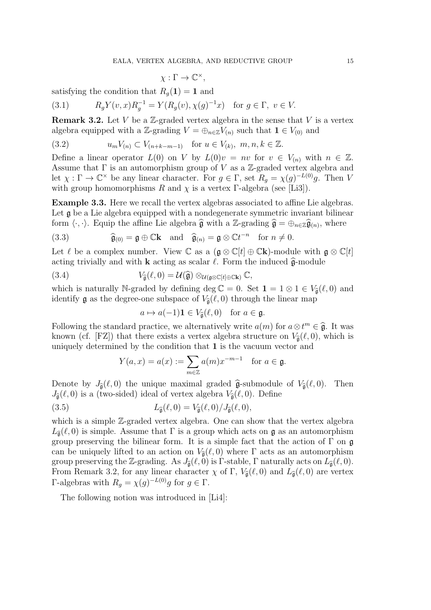$$
\chi: \Gamma \to \mathbb{C}^{\times},
$$

satisfying the condition that  $R_q(1) = 1$  and

(3.1) 
$$
R_g Y(v, x) R_g^{-1} = Y(R_g(v), \chi(g)^{-1} x) \text{ for } g \in \Gamma, v \in V.
$$

**Remark 3.2.** Let V be a Z-graded vertex algebra in the sense that V is a vertex algebra equipped with a Z-grading  $V = \bigoplus_{n \in \mathbb{Z}} V_{(n)}$  such that  $1 \in V_{(0)}$  and

(3.2) 
$$
u_m V_{(n)} \subset V_{(n+k-m-1)}
$$
 for  $u \in V_{(k)}, m, n, k \in \mathbb{Z}$ .

Define a linear operator  $L(0)$  on V by  $L(0)v = nv$  for  $v \in V_{(n)}$  with  $n \in \mathbb{Z}$ . Assume that  $\Gamma$  is an automorphism group of V as a Z-graded vertex algebra and let  $\chi : \Gamma \to \mathbb{C}^\times$  be any linear character. For  $g \in \Gamma$ , set  $R_g = \chi(g)^{-L(0)}g$ . Then V with group homomorphisms R and  $\chi$  is a vertex Γ-algebra (see [Li3]).

Example 3.3. Here we recall the vertex algebras associated to affine Lie algebras. Let  $\mathfrak g$  be a Lie algebra equipped with a nondegenerate symmetric invariant bilinear form  $\langle \cdot, \cdot \rangle$ . Equip the affine Lie algebra  $\hat{\mathfrak{g}}$  with a Z-grading  $\hat{\mathfrak{g}} = \bigoplus_{n \in \mathbb{Z}} \hat{\mathfrak{g}}_{(n)}$ , where

(3.3) 
$$
\widehat{\mathfrak{g}}_{(0)} = \mathfrak{g} \oplus \mathbb{C} \mathbf{k} \text{ and } \widehat{\mathfrak{g}}_{(n)} = \mathfrak{g} \otimes \mathbb{C} t^{-n} \text{ for } n \neq 0.
$$

Let  $\ell$  be a complex number. View  $\mathbb C$  as a  $(\mathfrak g \otimes \mathbb C[t] \oplus \mathbb C\mathbf k)$ -module with  $\mathfrak g \otimes \mathbb C[t]$ acting trivially and with **k** acting as scalar  $\ell$ . Form the induced  $\hat{\mathbf{g}}$ -module

(3.4) 
$$
V_{\widehat{\mathfrak{g}}}(\ell,0) = \mathcal{U}(\widehat{\mathfrak{g}}) \otimes_{\mathcal{U}(\mathfrak{g} \otimes \mathbb{C}[t] \oplus \mathbb{C} \mathbf{k})} \mathbb{C},
$$

which is naturally N-graded by defining deg  $\mathbb{C} = 0$ . Set  $\mathbf{1} = 1 \otimes 1 \in V_{\hat{\sigma}}(\ell, 0)$  and identify **g** as the degree-one subspace of  $V_{\hat{\mathfrak{g}}}(\ell,0)$  through the linear map

$$
a \mapsto a(-1)\mathbf{1} \in V_{\widehat{\mathfrak{g}}}(\ell,0) \text{ for } a \in \mathfrak{g}.
$$

Following the standard practice, we alternatively write  $a(m)$  for  $a \otimes t^m \in \hat{\mathfrak{g}}$ . It was known (cf. [FZ]) that there exists a vertex algebra structure on  $V_{\hat{a}}(\ell, 0)$ , which is uniquely determined by the condition that 1 is the vacuum vector and

$$
Y(a,x) = a(x) := \sum_{m \in \mathbb{Z}} a(m)x^{-m-1} \text{ for } a \in \mathfrak{g}.
$$

Denote by  $J_{\hat{\mathfrak{g}}}(\ell,0)$  the unique maximal graded  $\hat{\mathfrak{g}}$ -submodule of  $V_{\hat{\mathfrak{g}}}(\ell,0)$ . Then  $J_{\hat{\mathfrak{g}}}(\ell,0)$  is a (two-sided) ideal of vertex algebra  $V_{\hat{\mathfrak{g}}}(\ell,0)$ . Define

(3.5) 
$$
L_{\widehat{\mathfrak{g}}}(\ell,0) = V_{\widehat{\mathfrak{g}}}(\ell,0) / J_{\widehat{\mathfrak{g}}}(\ell,0),
$$

which is a simple  $\mathbb{Z}$ -graded vertex algebra. One can show that the vertex algebra  $L_{\hat{\mathfrak{g}}}(\ell,0)$  is simple. Assume that  $\Gamma$  is a group which acts on  $\mathfrak{g}$  as an automorphism group preserving the bilinear form. It is a simple fact that the action of  $\Gamma$  on  $\mathfrak g$ can be uniquely lifted to an action on  $V_{\hat{\mathfrak{g}}}(\ell,0)$  where  $\Gamma$  acts as an automorphism group preserving the Z-grading. As  $J_{\hat{\mathfrak{g}}}(\ell,0)$  is Γ-stable, Γ naturally acts on  $L_{\hat{\mathfrak{g}}}(\ell,0)$ . From Remark 3.2, for any linear character  $\chi$  of Γ,  $V_{\hat{\mathfrak{g}}}(\ell,0)$  and  $L_{\hat{\mathfrak{g}}}(\ell,0)$  are vertex Γ-algebras with  $R_g = \chi(g)^{-L(0)}g$  for  $g \in Γ$ .

The following notion was introduced in [Li4]: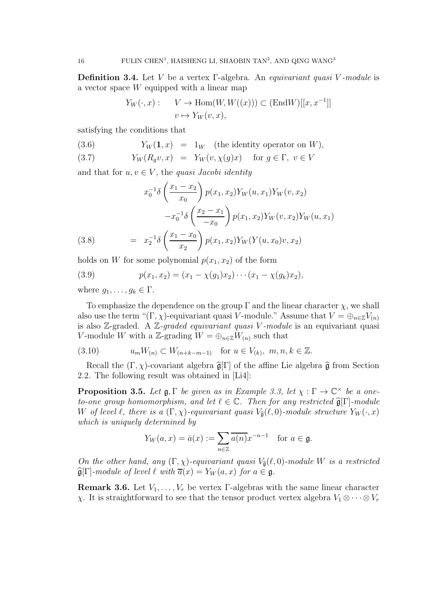**Definition 3.4.** Let V be a vertex  $\Gamma$ -algebra. An *equivariant quasi* V-module is a vector space W equipped with a linear map

$$
Y_W(\cdot, x) : \quad V \to \text{Hom}(W, W((x))) \subset (\text{End}W)[[x, x^{-1}]]
$$

$$
v \mapsto Y_W(v, x),
$$

satisfying the conditions that

(3.6) 
$$
Y_W(1, x) = 1_W
$$
 (the identity operator on W),

(3.7) 
$$
Y_W(R_g v, x) = Y_W(v, \chi(g)x) \text{ for } g \in \Gamma, v \in V
$$

and that for  $u, v \in V$ , the *quasi Jacobi identity* 

(3.8) 
$$
x_0^{-1}\delta\left(\frac{x_1 - x_2}{x_0}\right) p(x_1, x_2) Y_W(u, x_1) Y_W(v, x_2)
$$

$$
-x_0^{-1}\delta\left(\frac{x_2 - x_1}{-x_0}\right) p(x_1, x_2) Y_W(v, x_2) Y_W(u, x_1)
$$

$$
= x_2^{-1}\delta\left(\frac{x_1 - x_0}{x_2}\right) p(x_1, x_2) Y_W(Y(u, x_0)v, x_2)
$$

holds on W for some polynomial  $p(x_1, x_2)$  of the form

(3.9) 
$$
p(x_1,x_2)=(x_1-\chi(g_1)x_2)\cdots(x_1-\chi(g_k)x_2),
$$

where  $g_1, \ldots, g_k \in \Gamma$ .

To emphasize the dependence on the group  $\Gamma$  and the linear character  $\chi$ , we shall also use the term " $(\Gamma, \chi)$ -equivariant quasi V-module." Assume that  $V = \bigoplus_{n \in \mathbb{Z}} V_{(n)}$ is also  $\mathbb{Z}$ -graded. A  $\mathbb{Z}$ -graded equivariant quasi V-module is an equivariant quasi V-module W with a Z-grading  $W = \bigoplus_{n \in \mathbb{Z}} W_{(n)}$  such that

(3.10) 
$$
u_m W_{(n)} \subset W_{(n+k-m-1)}
$$
 for  $u \in V_{(k)}, m, n, k \in \mathbb{Z}$ .

Recall the  $(\Gamma, \chi)$ -covariant algebra  $\hat{\mathfrak{g}}[\Gamma]$  of the affine Lie algebra  $\hat{\mathfrak{g}}$  from Section 2.2. The following result was obtained in [Li4]:

**Proposition 3.5.** Let  $\mathfrak{g}, \Gamma$  be given as in Example 3.3, let  $\chi : \Gamma \to \mathbb{C}^\times$  be a oneto-one group homomorphism, and let  $\ell \in \mathbb{C}$ . Then for any restricted  $\widehat{\mathfrak{g}}[\Gamma]$ -module W of level  $\ell$ , there is a  $(\Gamma, \chi)$ -equivariant quasi  $V_{\hat{\mathfrak{g}}}(\ell, 0)$ -module structure  $Y_W(\cdot, x)$ which is uniquely determined by

$$
Y_W(a,x) = \bar{a}(x) := \sum_{n \in \mathbb{Z}} \overline{a(n)} x^{-n-1} \quad \text{for } a \in \mathfrak{g}.
$$

On the other hand, any  $(\Gamma, \chi)$ -equivariant quasi  $V_{\hat{\mathfrak{g}}}(\ell, 0)$ -module W is a restricted  $\widehat{\mathfrak{g}}[\Gamma]$ -module of level  $\ell$  with  $\overline{a}(x) = Y_W(a, x)$  for  $a \in \mathfrak{g}$ .

**Remark 3.6.** Let  $V_1, \ldots, V_r$  be vertex Γ-algebras with the same linear character  $χ$ . It is straightforward to see that the tensor product vertex algebra  $V_1 ⊗ ⋯ ⊗ V_r$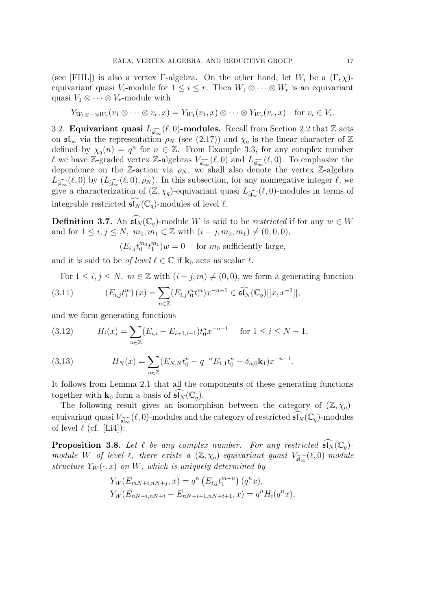(see [FHL]) is also a vertex Γ-algebra. On the other hand, let  $W_i$  be a  $(\Gamma, \chi)$ equivariant quasi  $V_i$ -module for  $1 \leq i \leq r$ . Then  $W_1 \otimes \cdots \otimes W_r$  is an equivariant quasi  $V_1 \otimes \cdots \otimes V_r$ -module with

$$
Y_{W_1 \otimes \cdots \otimes W_r}(v_1 \otimes \cdots \otimes v_r, x) = Y_{W_1}(v_1, x) \otimes \cdots \otimes Y_{W_r}(v_r, x) \text{ for } v_i \in V_i.
$$

3.2. **Equivariant quasi**  $L_{\widehat{\mathfrak{sl}_{\infty}}}(\ell,0)$ -modules. Recall from Section 2.2 that  $\mathbb Z$  acts on  $\mathfrak{sl}_{\infty}$  via the representation  $\rho_N$  (see (2.17)) and  $\chi_q$  is the linear character of  $\mathbb Z$ defined by  $\chi_q(n) = q^n$  for  $n \in \mathbb{Z}$ . From Example 3.3, for any complex number  $\ell$  we have Z-graded vertex Z-algebras  $V_{\widehat{\mathfrak{sl}_\infty}}(\ell,0)$  and  $L_{\widehat{\mathfrak{sl}_\infty}}(\ell,0)$ . To emphasize the dependence on the Z-action via  $\rho_N$ , we shall also denote the vertex Z-algebra  $L_{\widehat{\mathfrak{sl}_\infty}}(\ell,0)$  by  $(L_{\widehat{\mathfrak{sl}_\infty}}(\ell,0),\rho_N)$ . In this subsection, for any nonnegative integer  $\ell$ , we give a characterization of  $(\mathbb{Z}, \chi_q)$ -equivariant quasi  $L_{\widehat{\mathfrak{sl}_\infty}}(\ell, 0)$ -modules in terms of integrable restricted  $\widehat{\mathfrak{sl}_N}(\mathbb{C}_q)$ -modules of level  $\ell$ .

**Definition 3.7.** An  $\widehat{\mathfrak{sl}_N}(\mathbb{C}_q)$ -module W is said to be *restricted* if for any  $w \in W$ and for  $1 \le i, j \le N$ ,  $m_0, m_1 \in \mathbb{Z}$  with  $(i - j, m_0, m_1) \ne (0, 0, 0)$ ,

 $(E_{i,j}t_0^{m_0}t_1^{m_1})w=0$  for  $m_0$  sufficiently large,

and it is said to be *of level*  $\ell \in \mathbb{C}$  if  $\mathbf{k}_0$  acts as scalar  $\ell$ .

For  $1 \leq i, j \leq N$ ,  $m \in \mathbb{Z}$  with  $(i - j, m) \neq (0, 0)$ , we form a generating function

(3.11) 
$$
(E_{i,j}t_1^m)(x) = \sum_{n \in \mathbb{Z}} (E_{i,j}t_0^n t_1^m) x^{-n-1} \in \widehat{\mathfrak{sl}_N}(\mathbb{C}_q)[[x, x^{-1}]],
$$

and we form generating functions

(3.12) 
$$
H_i(x) = \sum_{n \in \mathbb{Z}} (E_{i,i} - E_{i+1,i+1}) t_0^n x^{-n-1} \quad \text{for } 1 \le i \le N - 1,
$$

(3.13) 
$$
H_N(x) = \sum_{n \in \mathbb{Z}} (E_{N,N} t_0^n - q^{-n} E_{1,1} t_0^n - \delta_{n,0} \mathbf{k}_1) x^{-n-1}.
$$

It follows from Lemma 2.1 that all the components of these generating functions together with  $\mathbf{k}_0$  form a basis of  $\mathfrak{sl}_N(\mathbb{C}_q)$ .

The following result gives an isomorphism between the category of  $(\mathbb{Z}, \chi_q)$ equivariant quasi  $V_{\widehat{\mathfrak{sl}_\infty}}(\ell,0)$ -modules and the category of restricted  $\widehat{\mathfrak{sl}_N}(\mathbb{C}_q)$ -modules of level  $\ell$  (cf. [Li4]):

**Proposition 3.8.** Let  $\ell$  be any complex number. For any restricted  $\widehat{\mathfrak{sl}_N}(\mathbb{C}_q)$ module W of level  $\ell$ , there exists a  $(\mathbb{Z}, \chi_q)$ -equivariant quasi  $V_{\widehat{\mathfrak{sl}_\infty}}(\ell,0)$ -module structure  $Y_W(\cdot, x)$  on W, which is uniquely determined by

$$
Y_W(E_{mN+i,nN+j}, x) = q^n (E_{i,j}t_1^{m-n}) (q^n x),
$$
  
\n
$$
Y_W(E_{nN+i,nN+i} - E_{nN+i+1,nN+i+1}, x) = q^n H_i(q^n x),
$$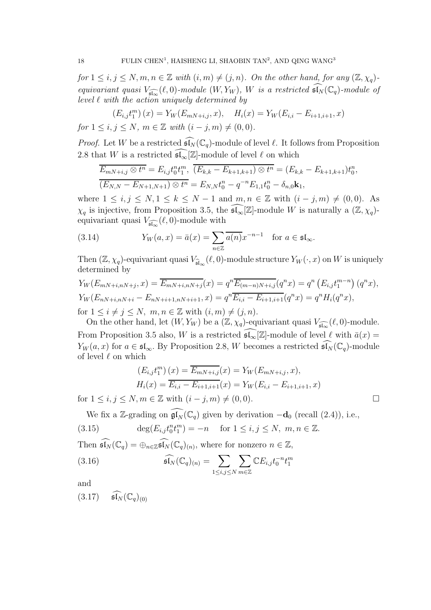for  $1 \le i, j \le N, m, n \in \mathbb{Z}$  with  $(i, m) \ne (j, n)$ . On the other hand, for any  $(\mathbb{Z}, \chi_q)$ equivariant quasi  $V_{\widehat{\mathfrak{sl}_\infty}}(\ell,0)$ -module  $(W,Y_W)$ , W is a restricted  $\widehat{\mathfrak{sl}_N}(\mathbb{C}_q)$ -module of level  $\ell$  with the action uniquely determined by

$$
(E_{i,j}t_1^m)(x) = Y_W(E_{mN+i,j}, x), \quad H_i(x) = Y_W(E_{i,i} - E_{i+1,i+1}, x)
$$
  
for  $1 \le i, j \le N, m \in \mathbb{Z}$  with  $(i - j, m) \ne (0, 0)$ .

*Proof.* Let W be a restricted  $\widehat{\mathfrak{sl}_N}(\mathbb{C}_q)$ -module of level  $\ell$ . It follows from Proposition 2.8 that W is a restricted  $\widehat{\mathfrak{sl}_{\infty}}[\mathbb{Z}]\text{-module of level }\ell$  on which

$$
\frac{E_{mN+i,j}\otimes t^n}{(E_{N,N}-E_{N+1,N+1})\otimes t^n} = E_{i,j}t_0^n t_1^m, \quad \overline{(E_{k,k}-E_{k+1,k+1})\otimes t^n} = (E_{k,k}-E_{k+1,k+1})t_0^n,
$$
\n
$$
\overline{(E_{N,N}-E_{N+1,N+1})\otimes t^n} = E_{N,N}t_0^n - q^{-n}E_{1,1}t_0^n - \delta_{n,0}\mathbf{k}_1,
$$

where  $1 \le i, j \le N, 1 \le k \le N-1$  and  $m, n \in \mathbb{Z}$  with  $(i - j, m) \ne (0, 0)$ . As  $\chi_q$  is injective, from Proposition 3.5, the  $\widehat{\mathfrak{sl}_{\infty}}[\mathbb{Z}]\text{-module }W$  is naturally a  $(\mathbb{Z},\chi_q)\text{-}$ equivariant quasi  $V_{\widehat{\mathfrak{sl}_\infty}}(\ell,0)$ -module with

(3.14) 
$$
Y_W(a,x) = \bar{a}(x) = \sum_{n \in \mathbb{Z}} \overline{a(n)} x^{-n-1} \text{ for } a \in \mathfrak{sl}_{\infty}.
$$

Then  $(\mathbb{Z}, \chi_q)$ -equivariant quasi  $V_{\widehat{\mathfrak{sl}}_{\infty}}(\ell, 0)$ -module structure  $Y_W(\cdot, x)$  on W is uniquely determined by

$$
Y_W(E_{mN+i,nN+j}, x) = \overline{E_{mN+i,nN+j}}(x) = q^n \overline{E_{(m-n)N+i,j}}(q^n x) = q^n (E_{i,j} t_1^{m-n}) (q^n x),
$$
  
\n
$$
Y_W(E_{nN+i,nN+i} - E_{nN+i+1,nN+i+1}, x) = q^n \overline{E_{i,i} - E_{i+1,i+1}}(q^n x) = q^n H_i(q^n x),
$$
  
\nfor  $1 \le i \ne j \le N$ ,  $m, n \in \mathbb{Z}$  with  $(i, m) \ne (j, n)$ .

On the other hand, let  $(W, Y_W)$  be a  $(\mathbb{Z}, \chi_q)$ -equivariant quasi  $V_{\widehat{\mathfrak{sl}_\infty}}(\ell, 0)$ -module. From Proposition 3.5 also, W is a restricted  $\overline{\mathfrak{sl}_{\infty}}[\mathbb{Z}]\text{-module of level } \ell \text{ with } \overline{a}(x) =$  $Y_W(a, x)$  for  $a \in \mathfrak{sl}_{\infty}$ . By Proposition 2.8, W becomes a restricted  $\widehat{\mathfrak{sl}_N}(\mathbb{C}_q)$ -module of level  $\ell$  on which

$$
(E_{i,j}t_1^m)(x) = \overline{E_{mN+i,j}}(x) = Y_W(E_{mN+i,j}, x),
$$
  
\n
$$
H_i(x) = \overline{E_{i,i} - E_{i+1,i+1}}(x) = Y_W(E_{i,i} - E_{i+1,i+1}, x)
$$
  
\nfor  $1 \le i, j \le N, m \in \mathbb{Z}$  with  $(i - j, m) \ne (0, 0)$ .

We fix a Z-grading on  $\widehat{\mathfrak{gl}_N}(\mathbb{C}_q)$  given by derivation  $-\mathbf{d}_0$  (recall (2.4)), i.e.,

(3.15) 
$$
\deg(E_{i,j}t_0^n t_1^m) = -n \text{ for } 1 \le i, j \le N, m, n \in \mathbb{Z}.
$$

Then  $\widehat{\mathfrak{sl}_N}(\mathbb{C}_q) = \bigoplus_{n \in \mathbb{Z}} \widehat{\mathfrak{sl}_N}(\mathbb{C}_q)_{(n)}$ , where for nonzero  $n \in \mathbb{Z}$ ,

(3.16) 
$$
\widehat{\mathfrak{sl}_N}(\mathbb{C}_q)_{(n)} = \sum_{1 \leq i,j \leq N} \sum_{m \in \mathbb{Z}} \mathbb{C} E_{i,j} t_0^{-n} t_1^m
$$

and

$$
(3.17) \quad \widehat{\mathfrak{sl}_N}(\mathbb{C}_q)_{(0)}
$$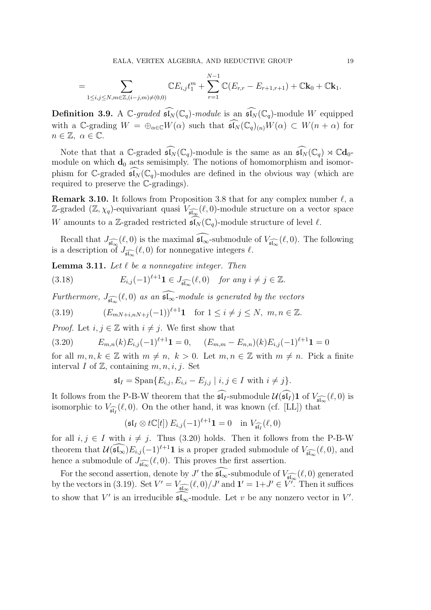$$
= \sum_{1 \leq i,j \leq N, m \in \mathbb{Z}, (i-j,m) \neq (0,0)} \mathbb{C}E_{i,j}t_1^m + \sum_{r=1}^{N-1} \mathbb{C}(E_{r,r} - E_{r+1,r+1}) + \mathbb{C}\mathbf{k}_0 + \mathbb{C}\mathbf{k}_1.
$$

**Definition 3.9.** A  $\mathbb{C}\text{-}graded$   $\widehat{\mathfrak{sl}_N}(\mathbb{C}_q)\text{-}module$  is an  $\widehat{\mathfrak{sl}_N}(\mathbb{C}_q)\text{-}module$  W equipped with a C-grading  $W = \bigoplus_{\alpha \in \mathbb{C}} W(\alpha)$  such that  $\widehat{\mathfrak{sl}_N}(\mathbb{C}_q)_{(n)}W(\alpha) \subset W(n+\alpha)$  for  $n \in \mathbb{Z}, \ \alpha \in \mathbb{C}.$ 

Note that that a C-graded  $\widehat{\mathfrak{sl}_N}(\mathbb{C}_q)$ -module is the same as an  $\widehat{\mathfrak{sl}_N}(\mathbb{C}_q) \rtimes \mathbb{C} \mathbf{d}_0$ module on which  $\mathbf{d}_0$  acts semisimply. The notions of homomorphism and isomorphism for C-graded  $\mathfrak{sl}_N(\mathbb{C}_q)$ -modules are defined in the obvious way (which are required to preserve the C-gradings).

**Remark 3.10.** It follows from Proposition 3.8 that for any complex number  $\ell$ , a Z-graded  $(\mathbb{Z}, \chi_q)$ -equivariant quasi  $V_{\widehat{\mathfrak{sl}_\infty}}(\ell,0)$ -module structure on a vector space W amounts to a Z-graded restricted  $\mathfrak{sl}_N(\mathbb{C}_q)$ -module structure of level  $\ell$ .

Recall that  $J_{\widehat{\mathfrak{sl}_{\infty}}}(\ell,0)$  is the maximal  $\mathfrak{sl}_{\infty}$ -submodule of  $V_{\widehat{\mathfrak{sl}_{\infty}}}(\ell,0)$ . The following is a description of  $J_{\widehat{\mathfrak{sl}_\infty}}(\ell,0)$  for nonnegative integers  $\ell$ .

**Lemma 3.11.** Let  $\ell$  be a nonnegative integer. Then

(3.18) 
$$
E_{i,j}(-1)^{\ell+1} \mathbf{1} \in J_{\widehat{\mathfrak{sl}_\infty}}(\ell,0) \quad \text{for any } i \neq j \in \mathbb{Z}.
$$

Furthermore,  $J_{\widehat{\mathfrak{sl}_\infty}}(\ell,0)$  as an  $\mathfrak{sl}_\infty$ -module is generated by the vectors

(3.19) 
$$
(E_{mN+i,nN+j}(-1))^{\ell+1} \text{ for } 1 \le i \ne j \le N, m, n \in \mathbb{Z}.
$$

*Proof.* Let  $i, j \in \mathbb{Z}$  with  $i \neq j$ . We first show that

$$
(3.20) \t E_{m,n}(k) E_{i,j}(-1)^{\ell+1} \mathbf{1} = 0, \t (E_{m,m} - E_{n,n})(k) E_{i,j}(-1)^{\ell+1} \mathbf{1} = 0
$$

for all  $m, n, k \in \mathbb{Z}$  with  $m \neq n, k > 0$ . Let  $m, n \in \mathbb{Z}$  with  $m \neq n$ . Pick a finite interval I of  $\mathbb{Z}$ , containing  $m, n, i, j$ . Set

$$
\mathfrak{s} \mathfrak{l}_I = \text{Span}\{E_{i,j}, E_{i,i} - E_{j,j} \mid i,j \in I \text{ with } i \neq j\}.
$$

It follows from the P-B-W theorem that the  $\mathfrak{sl}_I$ -submodule  $\mathcal{U}(\mathfrak{sl}_I)$  of  $V_{\widehat{\mathfrak{sl}_\infty}}(\ell,0)$  is isomorphic to  $V_{\widehat{\mathfrak{sl}_I}}(\ell,0)$ . On the other hand, it was known (cf. [LL]) that

$$
(\mathfrak{sl}_I \otimes t\mathbb{C}[t]) E_{i,j}(-1)^{\ell+1} \mathbf{1} = 0 \quad \text{in } V_{\widehat{\mathfrak{sl}_I}}(\ell,0)
$$

for all  $i, j \in I$  with  $i \neq j$ . Thus (3.20) holds. Then it follows from the P-B-W theorem that  $\mathcal{U}(\mathfrak{sl}_{\infty})E_{i,j}(-1)^{\ell+1}\mathbf{1}$  is a proper graded submodule of  $V_{\widehat{\mathfrak{sl}_{\infty}}}(\ell,0)$ , and hence a submodule of  $J_{\widehat{\mathfrak{sl}_\infty}}(\ell,0)$ . This proves the first assertion.

For the second assertion, denote by  $J'$  the  $\mathfrak{sl}_{\infty}$ -submodule of  $V_{\widehat{\mathfrak{sl}_{\infty}}}(\ell,0)$  generated by the vectors in (3.19). Set  $V' = V_{\widehat{\mathfrak{sl}_\infty}}(\ell,0)/J'$  and  $\mathbf{1}' = 1+J' \in V'$ . Then it suffices to show that  $V'$  is an irreducible  $\mathfrak{sl}_{\infty}$ -module. Let v be any nonzero vector in  $V'$ .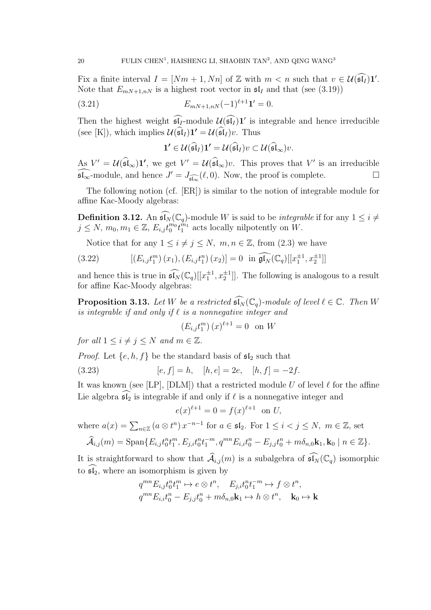Fix a finite interval  $I = [Nm + 1, Nn]$  of Z with  $m < n$  such that  $v \in \mathcal{U}(\widehat{\mathfrak{sl}_I})\mathbf{1}'$ . Note that  $E_{mN+1,nN}$  is a highest root vector in  $\mathfrak{sl}_I$  and that (see (3.19))

(3.21) 
$$
E_{mN+1,nN}(-1)^{\ell+1}\mathbf{1}'=0.
$$

Then the highest weight  $\mathfrak{sl}_I$ -module  $\mathcal{U}(\mathfrak{sl}_I)1'$  is integrable and hence irreducible (see [K]), which implies  $\mathcal{U}(\widehat{\mathfrak{sl}}_I) \mathbf{1'} = \mathcal{U}(\widehat{\mathfrak{sl}}_I) v$ . Thus

$$
\mathbf{1'}\in \mathcal{U}(\widehat{\mathfrak{sl}}_I)\mathbf{1'}=\mathcal{U}(\widehat{\mathfrak{sl}}_I)v\subset \mathcal{U}(\widehat{\mathfrak{sl}}_\infty)v.
$$

As  $V' = \mathcal{U}(\widehat{\mathfrak{sl}}_{\infty})\mathbf{1}'$ , we get  $V' = \mathcal{U}(\widehat{\mathfrak{sl}}_{\infty})v$ . This proves that  $V'$  is an irreducible  $\widehat{\mathfrak{sl}_{\infty}}$ -module, and hence  $J' = J_{\widehat{\mathfrak{sl}_{\infty}}}(\ell,0)$ . Now, the proof is complete. □

The following notion (cf. [ER]) is similar to the notion of integrable module for affine Kac-Moody algebras:

**Definition 3.12.** An  $\widehat{\mathfrak{sl}_N}(\mathbb{C}_q)$ -module W is said to be *integrable* if for any  $1 \leq i \neq$  $j \leq N$ ,  $m_0, m_1 \in \mathbb{Z}$ ,  $E_{i,j} t_0^{m_0} t_1^{m_1}$  acts locally nilpotently on  $W$ .

Notice that for any  $1 \leq i \neq j \leq N$ ,  $m, n \in \mathbb{Z}$ , from (2.3) we have

(3.22) 
$$
[(E_{i,j}t_1^m)(x_1), (E_{i,j}t_1^n)(x_2)] = 0 \text{ in } \widehat{\mathfrak{gl}_N}(\mathbb{C}_q)[[x_1^{\pm 1}, x_2^{\pm 1}]]
$$

and hence this is true in  $\widehat{\mathfrak{sl}_N}(\mathbb{C}_q)[[x_1^{\pm 1}, x_2^{\pm 1}]]$ . The following is analogous to a result for affine Kac-Moody algebras:

**Proposition 3.13.** Let W be a restricted  $\widehat{\mathfrak{sl}_N}(\mathbb{C}_q)$ -module of level  $\ell \in \mathbb{C}$ . Then W is integrable if and only if  $\ell$  is a nonnegative integer and

$$
(E_{i,j}t_1^m)(x)^{\ell+1} = 0
$$
 on W

for all  $1 \leq i \neq j \leq N$  and  $m \in \mathbb{Z}$ .

*Proof.* Let  $\{e, h, f\}$  be the standard basis of  $\mathfrak{sl}_2$  such that

(3.23) 
$$
[e, f] = h, \quad [h, e] = 2e, \quad [h, f] = -2f.
$$

It was known (see [LP], [DLM]) that a restricted module U of level  $\ell$  for the affine Lie algebra  $\mathfrak{sl}_2$  is integrable if and only if  $\ell$  is a nonnegative integer and

$$
e(x)^{\ell+1} = 0 = f(x)^{\ell+1} \text{ on } U,
$$

where  $a(x) = \sum_{n \in \mathbb{Z}} (a \otimes t^n) x^{-n-1}$  for  $a \in \mathfrak{sl}_2$ . For  $1 \leq i < j \leq N$ ,  $m \in \mathbb{Z}$ , set

$$
\widehat{\mathcal{A}}_{i,j}(m) = \text{Span}\{E_{i,j}t_0^n t_1^m, E_{j,i}t_0^n t_1^{-m}, q^{mn} E_{i,i}t_0^n - E_{j,j}t_0^n + m\delta_{n,0}\mathbf{k}_1, \mathbf{k}_0 \mid n \in \mathbb{Z}\}.
$$

It is straightforward to show that  $\widehat{\mathcal{A}}_{i,j}(m)$  is a subalgebra of  $\widehat{\mathfrak{sl}_N}(\mathbb{C}_q)$  isomorphic to  $\widehat{\mathfrak{sl}_2}$ , where an isomorphism is given by

$$
q^{mn}E_{i,j}t_0^n t_1^m \mapsto e \otimes t^n, \quad E_{j,i}t_0^n t_1^{-m} \mapsto f \otimes t^n,
$$
  

$$
q^{mn}E_{i,i}t_0^n - E_{j,j}t_0^n + m\delta_{n,0}\mathbf{k}_1 \mapsto h \otimes t^n, \quad \mathbf{k}_0 \mapsto \mathbf{k}
$$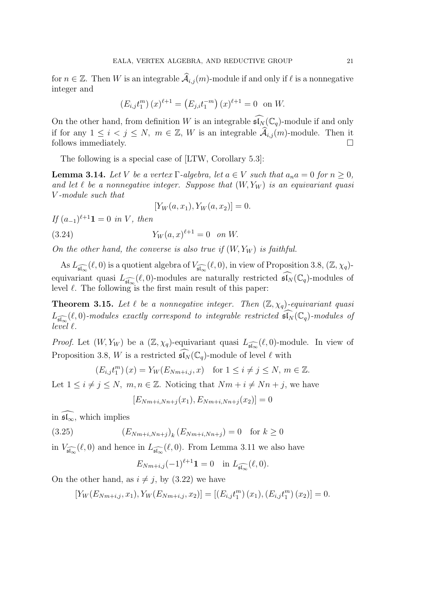for  $n \in \mathbb{Z}$ . Then W is an integrable  $\widehat{\mathcal{A}}_{i,j}(m)$ -module if and only if  $\ell$  is a nonnegative integer and

$$
(E_{i,j}t_1^m)(x)^{\ell+1} = (E_{j,i}t_1^{-m})(x)^{\ell+1} = 0 \text{ on } W.
$$

On the other hand, from definition W is an integrable  $\widehat{\mathfrak{sl}_N}(\mathbb C_q)$ -module if and only if for any  $1 \le i < j \le N$ ,  $m \in \mathbb{Z}$ , W is an integrable  $\widehat{\mathcal{A}}_{i,j}(m)$ -module. Then it follows immediately. follows immediately.

The following is a special case of [LTW, Corollary 5.3]:

**Lemma 3.14.** Let V be a vertex  $\Gamma$ -algebra, let  $a \in V$  such that  $a_n a = 0$  for  $n \geq 0$ , and let  $\ell$  be a nonnegative integer. Suppose that  $(W, Y_W)$  is an equivariant quasi V -module such that

$$
[Y_W(a, x_1), Y_W(a, x_2)] = 0.
$$

If  $(a_{-1})^{\ell+1}$ **1** = 0 in V, then

(3.24) 
$$
Y_W(a,x)^{\ell+1} = 0 \quad on \ W.
$$

On the other hand, the converse is also true if  $(W, Y_W)$  is faithful.

As  $L_{\widehat{\mathfrak{sl}_{\infty}}}(\ell,0)$  is a quotient algebra of  $V_{\widehat{\mathfrak{sl}_{\infty}}}(\ell,0)$ , in view of Proposition 3.8,  $(\mathbb{Z},\chi_q)$ equivariant quasi  $L_{\widehat{\mathfrak{sl}_\infty}}(\ell,0)$ -modules are naturally restricted  $\widehat{\mathfrak{sl}_N}(\mathbb{C}_q)$ -modules of level  $\ell$ . The following is the first main result of this paper:

**Theorem 3.15.** Let  $\ell$  be a nonnegative integer. Then  $(\mathbb{Z}, \chi_q)$ -equivariant quasi  $L_{\widehat{\mathfrak{sl}_\infty}}(\ell,0)$ -modules exactly correspond to integrable restricted  $\widehat{\mathfrak{sl}_N}(\mathbb{C}_q)$ -modules of  $lev\tilde{e}l\ell.$ 

*Proof.* Let  $(W, Y_W)$  be a  $(\mathbb{Z}, \chi_q)$ -equivariant quasi  $L_{\widehat{\mathfrak{sl}_\infty}}(\ell, 0)$ -module. In view of Proposition 3.8, W is a restricted  $\widehat{\mathfrak{sl}_N}(\mathbb{C}_q)$ -module of level  $\ell$  with

$$
(E_{i,j}t_1^m)(x) = Y_W(E_{Nm+i,j},x) \text{ for } 1 \le i \ne j \le N, m \in \mathbb{Z}.
$$

Let  $1 \leq i \neq j \leq N$ ,  $m, n \in \mathbb{Z}$ . Noticing that  $Nm + i \neq Nn + j$ , we have

$$
[E_{Nm+i,Nn+j}(x_1), E_{Nm+i,Nn+j}(x_2)] = 0
$$

in  $\widehat{\mathfrak{sl}_{\infty}}$ , which implies

(3.25) 
$$
(E_{Nm+i,Nn+j})_k (E_{Nm+i,Nn+j}) = 0 \text{ for } k \ge 0
$$

in  $V_{\widehat{\mathfrak{sl}_\infty}}(\ell,0)$  and hence in  $L_{\widehat{\mathfrak{sl}_\infty}}(\ell,0)$ . From Lemma 3.11 we also have

 $E_{Nm+i,j}(-1)^{\ell+1}\mathbf{1} = 0 \text{ in } L_{\widehat{\mathfrak{sl}_\infty}}(\ell,0).$ 

On the other hand, as  $i \neq j$ , by (3.22) we have

 $[Y_W(E_{Nm+i,j}, x_1), Y_W(E_{Nm+i,j}, x_2)] = [(E_{i,j}t_1^m)]$  $_{1}^{m}$  $(x_{1}), (E_{i,j}t_{1}^{m})$  $_{1}^{m}$  $(x_{2})$ ] = 0.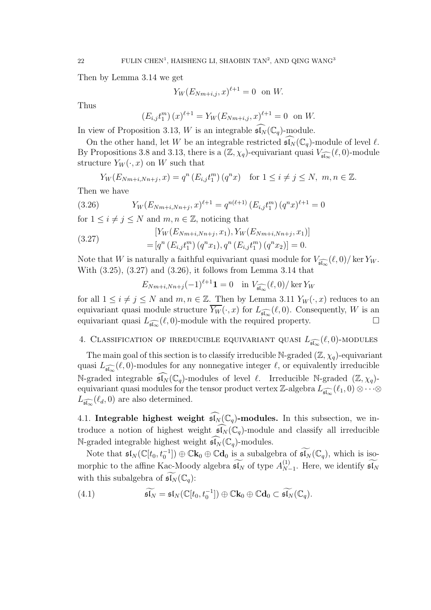Then by Lemma 3.14 we get

$$
Y_W(E_{Nm+i,j}, x)^{\ell+1} = 0 \text{ on } W.
$$

Thus

$$
(E_{i,j}t_1^m)(x)^{\ell+1} = Y_W(E_{Nm+i,j},x)^{\ell+1} = 0
$$
 on W.

In view of Proposition 3.13, W is an integrable  $\mathfrak{sl}_N(\mathbb{C}_q)$ -module.

On the other hand, let W be an integrable restricted  $\mathfrak{sl}_N(\mathbb{C}_q)$ -module of level  $\ell$ . By Propositions 3.8 and 3.13, there is a  $(\mathbb{Z}, \chi_q)$ -equivariant quasi  $V_{\widehat{\mathfrak{sl}_\infty}}(\ell, 0)$ -module structure  $Y_W(\cdot, x)$  on W such that

$$
Y_W(E_{Nm+i,Nn+j}, x) = q^n(E_{i,j}t_1^m) (q^n x) \text{ for } 1 \le i \ne j \le N, m, n \in \mathbb{Z}.
$$

Then we have

(3.26) 
$$
Y_W(E_{Nm+i,Nn+j},x)^{\ell+1} = q^{n(\ell+1)} \left( E_{i,j} t_1^m \right) (q^n x)^{\ell+1} = 0
$$

for  $1 \leq i \neq j \leq N$  and  $m, n \in \mathbb{Z}$ , noticing that

(3.27) 
$$
[Y_W(E_{Nm+i,Nn+j}, x_1), Y_W(E_{Nm+i,Nn+j}, x_1)]
$$

$$
= [q^n(E_{i,j}t_1^m) (q^n x_1), q^n(E_{i,j}t_1^m) (q^n x_2)] = 0.
$$

Note that W is naturally a faithful equivariant quasi module for  $V_{\widehat{\mathfrak{sl}_\infty}}(\ell,0)/\ker Y_W$ . With (3.25), (3.27) and (3.26), it follows from Lemma 3.14 that

$$
E_{Nm+i,Nn+j}(-1)^{\ell+1}\mathbf{1} = 0 \quad \text{in } V_{\widehat{\mathfrak{sl}_\infty}}(\ell,0)/\ker Y_W
$$

for all  $1 \leq i \neq j \leq N$  and  $m, n \in \mathbb{Z}$ . Then by Lemma 3.11  $Y_W(\cdot, x)$  reduces to an equivariant quasi module structure  $Y_W(\cdot, x)$  for  $L_{\widehat{\mathfrak{sl}_\infty}}(\ell, 0)$ . Consequently, W is an equivariant quasi  $L_{\widehat{\mathfrak{sl}_\infty}}(\ell,0)$ -module with the required property.

# 4. CLASSIFICATION OF IRREDUCIBLE EQUIVARIANT QUASI  $L_{\widehat{\mathfrak{sl}_\infty}}(\ell,0)$ -MODULES

The main goal of this section is to classify irreducible N-graded  $(\mathbb{Z}, \chi_q)$ -equivariant quasi  $L_{\widehat{\mathfrak{sl}_\infty}}(\ell,0)$ -modules for any nonnegative integer  $\ell$ , or equivalently irreducible N-graded integrable  $\widehat{\mathfrak{sl}_N}(\mathbb{C}_q)$ -modules of level  $\ell$ . Irreducible N-graded  $(\mathbb{Z}, \chi_q)$ equivariant quasi modules for the tensor product vertex Z-algebra  $L_{\widehat{\mathfrak{sl}_\infty}}(\ell_1,0) \otimes \cdots \otimes$  $L_{\widehat{\mathfrak{sl}_{\infty}}}(\ell_d,0)$  are also determined.

4.1. Integrable highest weight  $\widehat{\mathfrak{sl}_N}(\mathbb{C}_q)$ -modules. In this subsection, we introduce a notion of highest weight  $\widehat{\mathfrak{sl}_N}(\mathbb{C}_q)$ -module and classify all irreducible N-graded integrable highest weight  $\overline{\mathfrak{sl}_N}(\mathbb{C}_q)$ -modules.

Note that  $\mathfrak{sl}_N(\mathbb{C}[t_0,t_0^{-1}])\oplus \mathbb{C}\mathbf{k}_0\oplus \mathbb{C}\mathbf{d}_0$  is a subalgebra of  $\widetilde{\mathfrak{sl}_N}(\mathbb{C}_q)$ , which is isomorphic to the affine Kac-Moody algebra  $\widetilde{\mathfrak{sl}_N}$  of type  $A_{N}^{(1)}$ .  $_{N-1}^{(1)}$ . Here, we identify  $\mathfrak{sl}_N$ with this subalgebra of  $\mathfrak{sl}_N(\mathbb{C}_q)$ :

(4.1) 
$$
\widetilde{\mathfrak{sl}_N}=\mathfrak{sl}_N(\mathbb{C}[t_0,t_0^{-1}])\oplus \mathbb{C}\mathbf{k}_0\oplus \mathbb{C}\mathbf{d}_0\subset \widetilde{\mathfrak{sl}_N}(\mathbb{C}_q).
$$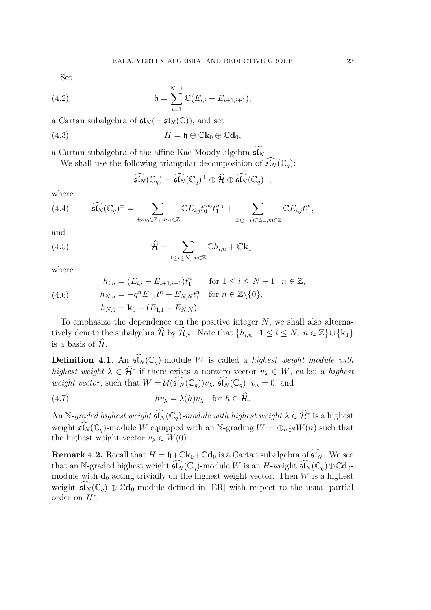Set

(4.2) 
$$
\mathfrak{h} = \sum_{i=1}^{N-1} \mathbb{C}(E_{i,i} - E_{i+1,i+1}),
$$

a Cartan subalgebra of  $\mathfrak{sl}_N (= \mathfrak{sl}_N(\mathbb{C}))$ , and set

(4.3) 
$$
H = \mathfrak{h} \oplus \mathbb{C} \mathbf{k}_0 \oplus \mathbb{C} \mathbf{d}_0,
$$

a Cartan subalgebra of the affine Kac-Moody algebra  $\widetilde{\mathfrak{sl}_N}.$ 

We shall use the following triangular decomposition of  $\widehat{\mathfrak{sl}_N}(\mathbb{C}_q)$ :

$$
\widehat{\mathfrak{sl}_N}(\mathbb{C}_q) = \widehat{\mathfrak{sl}_N}(\mathbb{C}_q)^+ \oplus \widehat{\mathcal{H}} \oplus \widehat{\mathfrak{sl}_N}(\mathbb{C}_q)^-,
$$

where

(4.4) 
$$
\widehat{\mathfrak{sl}_N}(\mathbb{C}_q)^{\pm} = \sum_{\pm m_0 \in \mathbb{Z}_+, m_1 \in \mathbb{Z}} \mathbb{C} E_{i,j} t_0^{m_0} t_1^{m_1} + \sum_{\pm (j-i) \in \mathbb{Z}_+, m \in \mathbb{Z}} \mathbb{C} E_{i,j} t_1^{m},
$$

and

(4.5) 
$$
\widehat{\mathcal{H}} = \sum_{1 \leq i \leq N, n \in \mathbb{Z}} \mathbb{C} h_{i,n} + \mathbb{C} \mathbf{k}_1,
$$

where

(4.6) 
$$
h_{i,n} = (E_{i,i} - E_{i+1,i+1})t_1^n \quad \text{for } 1 \le i \le N-1, n \in \mathbb{Z},
$$

$$
h_{N,n} = -q^n E_{1,1} t_1^n + E_{N,N} t_1^n \quad \text{for } n \in \mathbb{Z} \setminus \{0\},
$$

$$
h_{N,0} = \mathbf{k}_0 - (E_{1,1} - E_{N,N}).
$$

To emphasize the dependence on the positive integer  $N$ , we shall also alternatively denote the subalgebra  $\widehat{\mathcal{H}}$  by  $\widehat{\mathcal{H}}_N$ . Note that  $\{h_{i,n} | 1 \leq i \leq N, n \in \mathbb{Z}\} \cup \{\mathbf{k}_1\}$ is a basis of  $\hat{\mathcal{H}}$ .

**Definition 4.1.** An  $\widehat{\mathfrak{sl}_N}(\mathbb{C}_q)$ -module W is called a *highest weight module with* highest weight  $\lambda \in \hat{\mathcal{H}}^*$  if there exists a nonzero vector  $v_\lambda \in W$ , called a highest weight vector, such that  $W = \mathcal{U}(\widehat{\mathfrak{sl}_N}(\mathbb{C}_q))v_\lambda$ ,  $\widehat{\mathfrak{sl}_N}(\mathbb{C}_q)^+v_\lambda = 0$ , and

(4.7) 
$$
hv_{\lambda} = \lambda(h)v_{\lambda}
$$
 for  $h \in \mathcal{H}$ .

An N-graded highest weight  $\widehat{\mathfrak{sl}_N}(\mathbb{C}_q)$ -module with highest weight  $\lambda\in\widehat{\mathcal{H}}^*$  is a highest weight  $\widehat{\mathfrak{sl}_N}(\mathbb{C}_q)$ -module W equipped with an N-grading  $W = \bigoplus_{n\in\mathbb{N}} W(n)$  such that the highest weight vector  $v_{\lambda} \in W(0)$ .

**Remark 4.2.** Recall that  $H = \mathfrak{h} + \mathbb{C}\mathbf{k}_0 + \mathbb{C}\mathbf{d}_0$  is a Cartan subalgebra of  $\widetilde{\mathfrak{sl}_N}$ . We see that an N-graded highest weight  $\widehat{\mathfrak{sl}_N}(\mathbb{C}_q)$ -module W is an H-weight  $\widehat{\mathfrak{sl}_N}(\mathbb{C}_q) \oplus \mathbb{C} \mathbf{d}_0$ module with  $\mathbf{d}_0$  acting trivially on the highest weight vector. Then W is a highest weight  $\widehat{\mathfrak{sl}_N}(\mathbb{C}_q) \oplus \mathbb{C} \mathbf{d}_0$ -module defined in [ER] with respect to the usual partial order on  $H^*$ .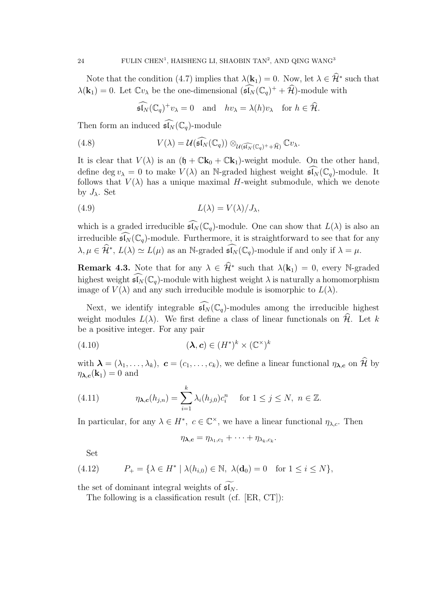Note that the condition (4.7) implies that  $\lambda(\mathbf{k}_1) = 0$ . Now, let  $\lambda \in \hat{\mathcal{H}}^*$  such that  $\lambda(\mathbf{k}_1) = 0$ . Let  $\mathbb{C}v_\lambda$  be the one-dimensional  $(\widehat{\mathfrak{sl}_N}(\mathbb{C}_q)^+ + \widehat{\mathcal{H}})$ -module with

$$
\widehat{\mathfrak{sl}_N}(\mathbb{C}_q)^+v_\lambda=0 \quad \text{and} \quad hv_\lambda=\lambda(h)v_\lambda \quad \text{for } h \in \widehat{\mathcal{H}}.
$$

Then form an induced  $\widehat{\mathfrak{sl}_N}(\mathbb{C}_q)$ -module

(4.8) 
$$
V(\lambda) = \mathcal{U}(\widehat{\mathfrak{sl}_N}(\mathbb{C}_q)) \otimes_{\mathcal{U}(\widehat{\mathfrak{sl}_N}(\mathbb{C}_q)^+ + \widehat{\mathcal{H}})} \mathbb{C}v_{\lambda}.
$$

It is clear that  $V(\lambda)$  is an  $(\mathfrak{h} + \mathbb{C} \mathbf{k}_0 + \mathbb{C} \mathbf{k}_1)$ -weight module. On the other hand, define deg  $v_{\lambda} = 0$  to make  $V(\lambda)$  an N-graded highest weight  $\widehat{\mathfrak{sl}_N}(\mathbb{C}_q)$ -module. It follows that  $V(\lambda)$  has a unique maximal H-weight submodule, which we denote by  $J_{\lambda}$ . Set

(4.9) 
$$
L(\lambda) = V(\lambda) / J_{\lambda},
$$

which is a graded irreducible  $\widehat{\mathfrak{sl}_N}(\mathbb{C}_q)$ -module. One can show that  $L(\lambda)$  is also an irreducible  $\mathfrak{sl}_N(\mathbb{C}_q)$ -module. Furthermore, it is straightforward to see that for any  $\lambda, \mu \in \widehat{\mathcal{H}}^*, L(\lambda) \simeq L(\mu)$  as an N-graded  $\widehat{\mathfrak{sl}_N}(\mathbb{C}_q)$ -module if and only if  $\lambda = \mu$ .

**Remark 4.3.** Note that for any  $\lambda \in \widehat{\mathcal{H}}^*$  such that  $\lambda(\mathbf{k}_1) = 0$ , every N-graded highest weight  $\widehat{\mathfrak{sl}_N}(\mathbb{C}_q)$ -module with highest weight  $\lambda$  is naturally a homomorphism image of  $V(\lambda)$  and any such irreducible module is isomorphic to  $L(\lambda)$ .

Next, we identify integrable  $\overline{\mathfrak{sl}_N}(\mathbb{C}_q)$ -modules among the irreducible highest weight modules  $L(\lambda)$ . We first define a class of linear functionals on  $\hat{\mathcal{H}}$ . Let k be a positive integer. For any pair

(4.10) 
$$
(\lambda, c) \in (H^*)^k \times (\mathbb{C}^\times)^k
$$

with  $\boldsymbol{\lambda} = (\lambda_1, \ldots, \lambda_k), \ \boldsymbol{c} = (c_1, \ldots, c_k)$ , we define a linear functional  $\eta_{\boldsymbol{\lambda}, \boldsymbol{c}}$  on  $\widehat{\mathcal{H}}$  by  $\eta_{\lambda,c}(\mathbf{k}_1) = 0$  and

(4.11) 
$$
\eta_{\lambda,c}(h_{j,n}) = \sum_{i=1}^k \lambda_i(h_{j,0}) c_i^n \text{ for } 1 \le j \le N, n \in \mathbb{Z}.
$$

In particular, for any  $\lambda \in H^*$ ,  $c \in \mathbb{C}^\times$ , we have a linear functional  $\eta_{\lambda,c}$ . Then

$$
\eta_{\lambda,c}=\eta_{\lambda_1,c_1}+\cdots+\eta_{\lambda_k,c_k}.
$$

Set

$$
(4.12) \qquad P_+ = \{ \lambda \in H^* \mid \lambda(h_{i,0}) \in \mathbb{N}, \ \lambda(\mathbf{d}_0) = 0 \quad \text{for } 1 \le i \le N \},
$$

the set of dominant integral weights of  $\mathfrak{sl}_N$ .

The following is a classification result (cf. [ER, CT]):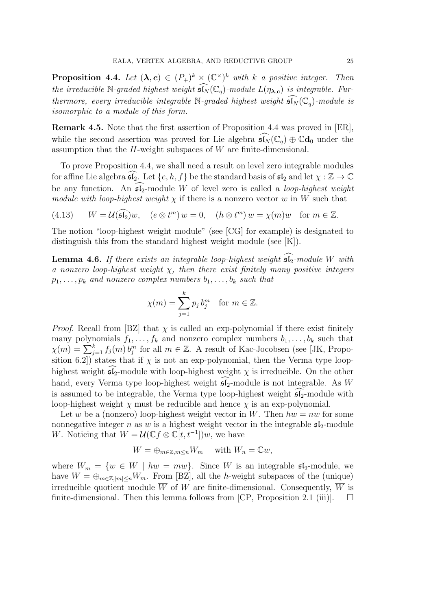**Proposition 4.4.** Let  $(\lambda, c) \in (P_+)^k \times (\mathbb{C}^{\times})^k$  with k a positive integer. Then the irreducible N-graded highest weight  $\widehat{\mathfrak{sl}_N}(\mathbb{C}_q)$ -module  $L(\eta_{\lambda,c})$  is integrable. Furthermore, every irreducible integrable N-graded highest weight  $\mathfrak{sl}_N(\mathbb{C}_q)$ -module is isomorphic to a module of this form.

Remark 4.5. Note that the first assertion of Proposition 4.4 was proved in [ER], while the second assertion was proved for Lie algebra  $\widehat{\mathfrak{sl}_N}(\mathbb{C}_q) \oplus \mathbb{C}d_0$  under the assumption that the  $H$ -weight subspaces of  $W$  are finite-dimensional.

To prove Proposition 4.4, we shall need a result on level zero integrable modules for affine Lie algebra  $\mathfrak{sl}_2$ . Let  $\{e, h, f\}$  be the standard basis of  $\mathfrak{sl}_2$  and let  $\chi : \mathbb{Z} \to \mathbb{C}$ be any function. An  $\widehat{\mathfrak{sl}_2}$ -module W of level zero is called a *loop-highest weight* module with loop-highest weight  $\chi$  if there is a nonzero vector w in W such that

(4.13)  $W = U(\widehat{\mathfrak{sl}_2})w$ ,  $(e \otimes t^m) w = 0$ ,  $(h \otimes t^m) w = \chi(m)w$  for  $m \in \mathbb{Z}$ .

The notion "loop-highest weight module" (see [CG] for example) is designated to distinguish this from the standard highest weight module (see [K]).

**Lemma 4.6.** If there exists an integrable loop-highest weight  $\widehat{\mathfrak{sl}_2}$ -module W with a nonzero loop-highest weight  $\chi$ , then there exist finitely many positive integers  $p_1, \ldots, p_k$  and nonzero complex numbers  $b_1, \ldots, b_k$  such that

$$
\chi(m) = \sum_{j=1}^{k} p_j b_j^m \quad \text{for } m \in \mathbb{Z}.
$$

*Proof.* Recall from [BZ] that  $\chi$  is called an exp-polynomial if there exist finitely many polynomials  $f_1, \ldots, f_k$  and nonzero complex numbers  $b_1, \ldots, b_k$  such that  $\chi(m) = \sum_{j=1}^{k} f_j(m) b_j^m$  for all  $m \in \mathbb{Z}$ . A result of Kac-Jocobsen (see [JK, Proposition 6.2]) states that if  $\chi$  is not an exp-polynomial, then the Verma type loophighest weight  $\widehat{\mathfrak{sl}_2}$ -module with loop-highest weight  $\chi$  is irreducible. On the other hand, every Verma type loop-highest weight  $\mathfrak{sl}_2$ -module is not integrable. As W is assumed to be integrable, the Verma type loop-highest weight  $51$ -module with loop-highest weight  $\chi$  must be reducible and hence  $\chi$  is an exp-polynomial.

Let w be a (nonzero) loop-highest weight vector in W. Then  $hw = nw$  for some nonnegative integer n as w is a highest weight vector in the integrable  $\mathfrak{sl}_2$ -module W. Noticing that  $W = \mathcal{U}(\mathbb{C}f \otimes \mathbb{C}[t, t^{-1}])w$ , we have

$$
W = \bigoplus_{m \in \mathbb{Z}, m \le n} W_m \quad \text{ with } W_n = \mathbb{C}w,
$$

where  $W_m = \{w \in W \mid hw = mw\}$ . Since W is an integrable  $\mathfrak{sl}_2$ -module, we have  $W = \bigoplus_{m \in \mathbb{Z}, |m| \leq n} W_m$ . From [BZ], all the h-weight subspaces of the (unique) irreducible quotient module  $\overline{W}$  of W are finite-dimensional. Consequently,  $\overline{W}$  is finite-dimensional. Then this lemma follows from [CP, Proposition 2.1 (iii)].  $\square$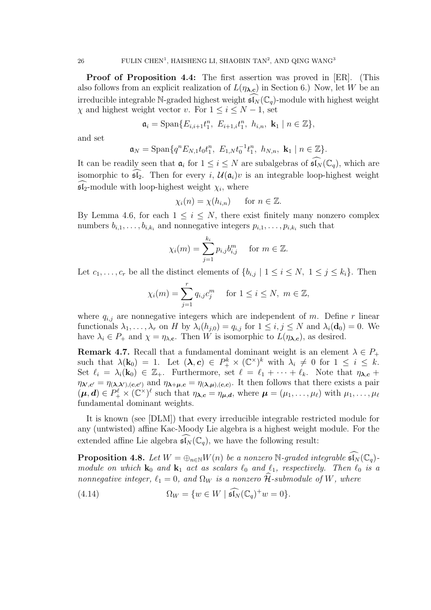Proof of Proposition 4.4: The first assertion was proved in [ER]. (This also follows from an explicit realization of  $L(\eta_{\lambda,c})$  in Section 6.) Now, let W be an irreducible integrable N-graded highest weight  $\mathfrak{sl}_N(\mathbb{C}_q)$ -module with highest weight  $\chi$  and highest weight vector v. For  $1 \leq i \leq N-1$ , set

$$
\mathfrak{a}_i = \text{Span}\{E_{i,i+1}t_1^n, E_{i+1,i}t_1^n, h_{i,n}, \mathbf{k}_1 \mid n \in \mathbb{Z}\},\
$$

and set

$$
\mathfrak{a}_N = \text{Span}\{q^n E_{N,1} t_0 t_1^n, E_{1,N} t_0^{-1} t_1^n, h_{N,n}, \mathbf{k}_1 \mid n \in \mathbb{Z}\}.
$$

It can be readily seen that  $\mathfrak{a}_i$  for  $1 \leq i \leq N$  are subalgebras of  $\widehat{\mathfrak{sl}_N}(\mathbb{C}_q)$ , which are isomorphic to  $\mathfrak{sl}_2$ . Then for every i,  $\mathcal{U}(\mathfrak{a}_i)v$  is an integrable loop-highest weight  $\mathfrak{sl}_2$ -module with loop-highest weight  $\chi_i$ , where

$$
\chi_i(n) = \chi(h_{i,n}) \quad \text{for } n \in \mathbb{Z}.
$$

By Lemma 4.6, for each  $1 \leq i \leq N$ , there exist finitely many nonzero complex numbers  $b_{i,1}, \ldots, b_{i,k_i}$  and nonnegative integers  $p_{i,1}, \ldots, p_{i,k_i}$  such that

$$
\chi_i(m) = \sum_{j=1}^{k_i} p_{i,j} b_{i,j}^m \quad \text{for } m \in \mathbb{Z}.
$$

Let  $c_1, \ldots, c_r$  be all the distinct elements of  $\{b_{i,j} \mid 1 \le i \le N, 1 \le j \le k_i\}$ . Then

$$
\chi_i(m) = \sum_{j=1}^r q_{i,j} c_j^m \quad \text{ for } 1 \le i \le N, \ m \in \mathbb{Z},
$$

where  $q_{i,j}$  are nonnegative integers which are independent of m. Define r linear functionals  $\lambda_1, \ldots, \lambda_r$  on H by  $\lambda_i(h_{j,0}) = q_{i,j}$  for  $1 \leq i, j \leq N$  and  $\lambda_i(\mathbf{d}_0) = 0$ . We have  $\lambda_i \in P_+$  and  $\chi = \eta_{\lambda,c}$ . Then W is isomorphic to  $L(\eta_{\lambda,c})$ , as desired.

**Remark 4.7.** Recall that a fundamental dominant weight is an element  $\lambda \in P_+$ such that  $\lambda(\mathbf{k}_0) = 1$ . Let  $(\lambda, c) \in P_+^k \times (\mathbb{C}^\times)^k$  with  $\lambda_i \neq 0$  for  $1 \leq i \leq k$ . Set  $\ell_i = \lambda_i(\mathbf{k}_0) \in \mathbb{Z}_+$ . Furthermore, set  $\ell = \ell_1 + \cdots + \ell_k$ . Note that  $\eta_{\lambda,c}$  +  $\eta_{\lambda',c'} = \eta_{(\lambda,\lambda'),(c,c')}$  and  $\eta_{\lambda+\mu,c} = \eta_{(\lambda,\mu),(c,c)}$ . It then follows that there exists a pair  $(\boldsymbol{\mu}, \boldsymbol{d}) \in P_+^{\ell} \times (\mathbb{C}^{\times})^{\ell}$  such that  $\eta_{\boldsymbol{\lambda}, \boldsymbol{c}} = \eta_{\boldsymbol{\mu}, \boldsymbol{d}},$  where  $\boldsymbol{\mu} = (\mu_1, \dots, \mu_{\ell})$  with  $\mu_1, \dots, \mu_{\ell}$ fundamental dominant weights.

It is known (see [DLM]) that every irreducible integrable restricted module for any (untwisted) affine Kac-Moody Lie algebra is a highest weight module. For the extended affine Lie algebra  $\widehat{\mathfrak{sl}_N}(\mathbb{C}_q)$ , we have the following result:

**Proposition 4.8.** Let  $W = \bigoplus_{n \in \mathbb{N}} W(n)$  be a nonzero  $\mathbb{N}\text{-}\mathit{graded integrable}$   $\mathfrak{sl}_N(\mathbb{C}_q)$ module on which  $k_0$  and  $k_1$  act as scalars  $\ell_0$  and  $\ell_1$ , respectively. Then  $\ell_0$  is a nonnegative integer,  $\ell_1 = 0$ , and  $\Omega_W$  is a nonzero  $\hat{\mathcal{H}}$ -submodule of W, where

(4.14) 
$$
\Omega_W = \{ w \in W \mid \widehat{\mathfrak{sl}_N}(\mathbb{C}_q)^+ w = 0 \}.
$$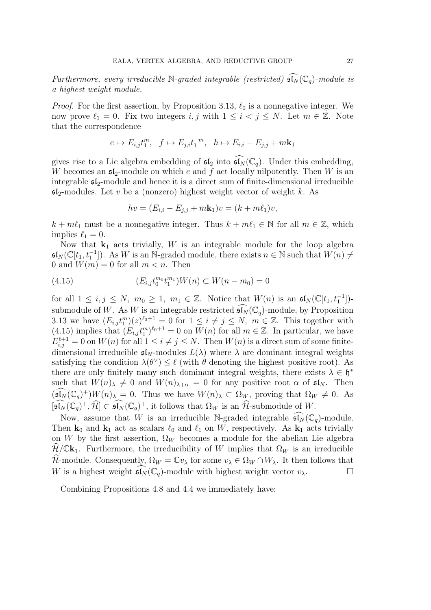Furthermore, every irreducible N-graded integrable (restricted)  $\widehat{\mathfrak{sl}_N}(\mathbb{C}_q)$ -module is a highest weight module.

*Proof.* For the first assertion, by Proposition 3.13,  $\ell_0$  is a nonnegative integer. We now prove  $\ell_1 = 0$ . Fix two integers i, j with  $1 \leq i < j \leq N$ . Let  $m \in \mathbb{Z}$ . Note that the correspondence

$$
e \mapsto E_{i,j}t_1^m, \quad f \mapsto E_{j,i}t_1^{-m}, \quad h \mapsto E_{i,i} - E_{j,j} + m\mathbf{k}_1
$$

gives rise to a Lie algebra embedding of  $\mathfrak{sl}_2$  into  $\widehat{\mathfrak{sl}_N}(\mathbb{C}_q)$ . Under this embedding, W becomes an  $\mathfrak{sl}_2$ -module on which e and f act locally nilpotently. Then W is an integrable  $\mathfrak{sl}_2$ -module and hence it is a direct sum of finite-dimensional irreducible  $\mathfrak{sl}_2$ -modules. Let v be a (nonzero) highest weight vector of weight k. As

$$
hv = (E_{i,i} - E_{j,j} + m\mathbf{k}_1)v = (k + m\ell_1)v,
$$

 $k + m\ell_1$  must be a nonnegative integer. Thus  $k + m\ell_1 \in \mathbb{N}$  for all  $m \in \mathbb{Z}$ , which implies  $\ell_1 = 0$ .

Now that  $k_1$  acts trivially, W is an integrable module for the loop algebra  $\mathfrak{sl}_N(\mathbb{C}[t_1, t_1^{-1}])$ . As W is an N-graded module, there exists  $n \in \mathbb{N}$  such that  $W(n) \neq$ 0 and  $W(m) = 0$  for all  $m < n$ . Then

(4.15) 
$$
(E_{i,j}t_0^{m_0}t_1^{m_1})W(n) \subset W(n-m_0) = 0
$$

for all  $1 \leq i, j \leq N$ ,  $m_0 \geq 1$ ,  $m_1 \in \mathbb{Z}$ . Notice that  $W(n)$  is an  $\mathfrak{sl}_N(\mathbb{C}[t_1, t_1^{-1}])$ submodule of W. As W is an integrable restricted  $\widehat{\mathfrak{sl}_N}(\mathbb{C}_q)$ -module, by Proposition 3.13 we have  $(E_{i,j}t_1^m)(z)^{\ell_0+1}=0$  for  $1\leq i\neq j\leq N$ ,  $m\in\mathbb{Z}$ . This together with (4.15) implies that  $(E_{i,j}t_1^m)^{\ell_0+1}=0$  on  $W(n)$  for all  $m\in\mathbb{Z}$ . In particular, we have  $E_{i,j}^{\ell+1} = 0$  on  $W(n)$  for all  $1 \leq i \neq j \leq N$ . Then  $W(n)$  is a direct sum of some finitedimensional irreducible  $\mathfrak{sl}_N$ -modules  $L(\lambda)$  where  $\lambda$  are dominant integral weights satisfying the condition  $\lambda(\theta^{\vee}) \leq \ell$  (with  $\theta$  denoting the highest positive root). As there are only finitely many such dominant integral weights, there exists  $\lambda \in \mathfrak{h}^*$ such that  $W(n)_{\lambda} \neq 0$  and  $W(n)_{\lambda+\alpha} = 0$  for any positive root  $\alpha$  of  $\mathfrak{sl}_N$ . Then  $(\widehat{\mathfrak{sl}_N}(\mathbb{C}_q)^+)W(n)_{\lambda} = 0$ . Thus we have  $W(n)_{\lambda} \subset \Omega_W$ , proving that  $\Omega_W \neq 0$ . As  $[\widehat{\mathfrak{sl}_N}(\mathbb{C}_q)^+, \widehat{\mathcal{H}}] \subset \widehat{\mathfrak{sl}_N}(\mathbb{C}_q)^+,$  it follows that  $\Omega_W$  is an  $\widehat{\mathcal{H}}$ -submodule of W.

Now, assume that W is an irreducible N-graded integrable  $\overline{\mathfrak{sl}_N}(\mathbb{C}_q)$ -module. Then  $\mathbf{k}_0$  and  $\mathbf{k}_1$  act as scalars  $\ell_0$  and  $\ell_1$  on W, respectively. As  $\mathbf{k}_1$  acts trivially on W by the first assertion,  $\Omega_W$  becomes a module for the abelian Lie algebra  $\hat{\mathcal{H}}/\mathbb{C}\mathbf{k}_1$ . Furthermore, the irreducibility of W implies that  $\Omega_W$  is an irreducible  $\widehat{\mathcal{H}}$ -module. Consequently,  $\Omega_W = \mathbb{C}v_\lambda$  for some  $v_\lambda \in \Omega_W \cap W_\lambda$ . It then follows that W is a highest weight  $\mathfrak{sl}_N(\mathbb{C}_q)$ -module with highest weight vector  $v_\lambda$ .

Combining Propositions 4.8 and 4.4 we immediately have: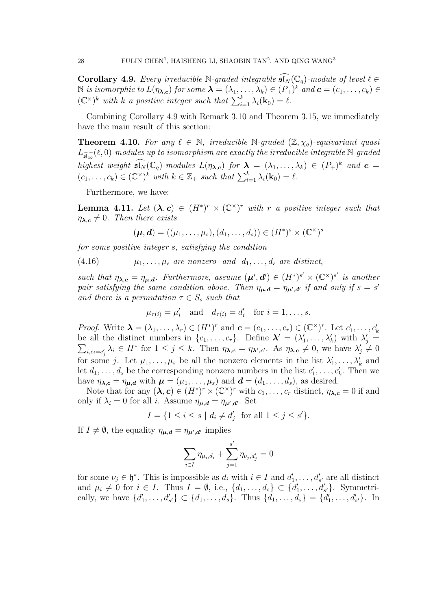**Corollary 4.9.** Every irreducible N-graded integrable  $\widehat{\mathfrak{sl}_N}(\mathbb{C}_q)$ -module of level  $\ell \in$  $\mathbb N$  is isomorphic to  $L(\eta_{\bm{\lambda},\bm{c}})$  for some  $\bm{\lambda}=(\lambda_1,\ldots,\lambda_k)\in (P_+)^k$  and  $\bm{c}=(c_1,\ldots,c_k)\in$  $(\mathbb{C}^{\times})^k$  with k a positive integer such that  $\sum_{i=1}^k \lambda_i(\mathbf{k}_0) = \ell$ .

Combining Corollary 4.9 with Remark 3.10 and Theorem 3.15, we immediately have the main result of this section:

**Theorem 4.10.** For any  $\ell \in \mathbb{N}$ , irreducible  $\mathbb{N}\text{-graded }(\mathbb{Z},\chi_q)\text{-equivariant quasi}$  $L_{\widehat{\mathfrak{sl}_\infty}}(\ell,0)$ -modules up to isomorphism are exactly the irreducible integrable  $\mathbb N$ -graded highest weight  $\widehat{\mathfrak{sl}_N}(\mathbb{C}_q)$ -modules  $L(\eta_{\lambda,c})$  for  $\lambda = (\lambda_1,\ldots,\lambda_k) \in (P_+)^k$  and  $\mathbf{c} =$  $(c_1, \ldots, c_k) \in (\mathbb{C}^{\times})^k$  with  $k \in \mathbb{Z}_+$  such that  $\sum_{i=1}^k \lambda_i(\mathbf{k}_0) = \ell$ .

Furthermore, we have:

**Lemma 4.11.** Let  $(\lambda, c) \in (H^*)^r \times (\mathbb{C}^*)^r$  with r a positive integer such that  $\eta_{\lambda,c} \neq 0$ . Then there exists

$$
(\boldsymbol{\mu},\boldsymbol{d})=((\mu_1,\ldots,\mu_s),(d_1,\ldots,d_s))\in (H^*)^s\times (\mathbb{C}^\times)^s
$$

for some positive integer s, satisfying the condition

 $(4.16)$   $\mu_1, \ldots, \mu_s$  are nonzero and  $d_1, \ldots, d_s$  are distinct,

such that  $\eta_{\lambda,c} = \eta_{\mu,d}$ . Furthermore, assume  $(\mu', d') \in (H^*)^{s'} \times (\mathbb{C}^{\times})^{s'}$  is another pair satisfying the same condition above. Then  $\eta_{\mu,d} = \eta_{\mu',d'}$  if and only if  $s = s'$ and there is a permutation  $\tau \in S_s$  such that

$$
\mu_{\tau(i)} = \mu'_i
$$
 and  $d_{\tau(i)} = d'_i$  for  $i = 1, \ldots, s$ .

*Proof.* Write  $\boldsymbol{\lambda} = (\lambda_1, \ldots, \lambda_r) \in (H^*)^r$  and  $\boldsymbol{c} = (c_1, \ldots, c_r) \in (\mathbb{C}^\times)^r$ . Let  $c'_1, \ldots, c'_k$ be all the distinct numbers in  $\{c_1, \ldots, c_r\}$ . Define  $\lambda' = (\lambda'_1, \ldots, \lambda'_k)$  with  $\lambda'_j =$  $\sum_{i,c_i=c'_j} \lambda_i \in H^*$  for  $1 \leq j \leq k$ . Then  $\eta_{\lambda,c} = \eta_{\lambda',c'}$ . As  $\eta_{\lambda,c} \neq 0$ , we have  $\lambda'_j \neq 0$ for some j. Let  $\mu_1, \ldots, \mu_s$  be all the nonzero elements in the list  $\lambda'_1, \ldots, \lambda'_k$  and let  $d_1, \ldots, d_s$  be the corresponding nonzero numbers in the list  $c'_1, \ldots, c'_k$ . Then we have  $\eta_{\lambda,c} = \eta_{\mu,d}$  with  $\mu = (\mu_1, \ldots, \mu_s)$  and  $\boldsymbol{d} = (d_1, \ldots, d_s)$ , as desired.

Note that for any  $(\lambda, c) \in (H^*)^r \times (\mathbb{C}^{\times})^r$  with  $c_1, \ldots, c_r$  distinct,  $\eta_{\lambda, c} = 0$  if and only if  $\lambda_i = 0$  for all *i*. Assume  $\eta_{\mu,d} = \eta_{\mu',d'}$ . Set

$$
I = \{1 \le i \le s \mid d_i \ne d'_j \text{ for all } 1 \le j \le s'\}.
$$

If  $I \neq \emptyset$ , the equality  $\eta_{\mu,d} = \eta_{\mu',d'}$  implies

$$
\sum_{i\in I}\eta_{\mu_i,d_i}+\sum_{j=1}^{s'}\eta_{\nu_j,d_j'}=0
$$

for some  $\nu_j \in \mathfrak{h}^*$ . This is impossible as  $d_i$  with  $i \in I$  and  $d'_1, \ldots, d'_{s'}$  are all distinct and  $\mu_i \neq 0$  for  $i \in I$ . Thus  $I = \emptyset$ , i.e.,  $\{d_1, \ldots, d_s\} \subset \{d'_1, \ldots, d'_{s'}\}$ . Symmetrically, we have  $\{d'_1, \ldots, d'_{s'}\} \subset \{d_1, \ldots, d_s\}$ . Thus  $\{d_1, \ldots, d_s\} = \{d'_1, \ldots, d'_{s'}\}$ . In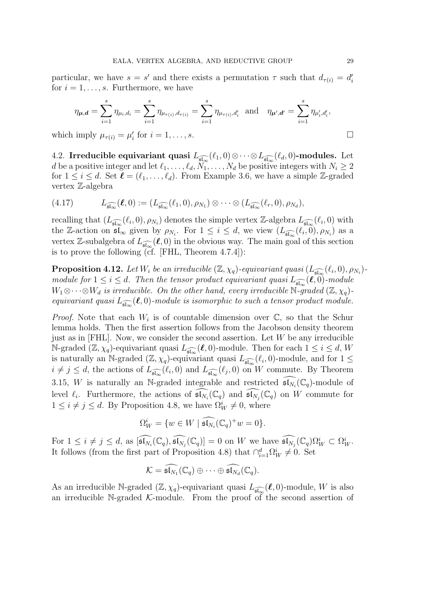particular, we have  $s = s'$  and there exists a permutation  $\tau$  such that  $d_{\tau(i)} = d'_i$ for  $i = 1, \ldots, s$ . Furthermore, we have

$$
\eta_{\bm{\mu},\bm{d}}=\sum_{i=1}^s\eta_{\mu_i,d_i}=\sum_{i=1}^s\eta_{\mu_{\tau(i)},d_{\tau(i)}}=\sum_{i=1}^s\eta_{\mu_{\tau(i)},d_i'}\ \ \text{and}\ \ \ \eta_{\bm{\mu'},\bm{d'}}=\sum_{i=1}^s\eta_{\mu'_i,d'_i},
$$

which imply  $\mu_{\tau(i)} = \mu'_i$  for  $i = 1, ..., s$ .

4.2. Irreducible equivariant quasi  $L_{\widehat{\mathfrak{sl}_\infty}}(\ell_1,0)\otimes\cdots\otimes L_{\widehat{\mathfrak{sl}_\infty}}(\ell_d,0)$ -modules. Let d be a positive integer and let  $\ell_1, \ldots, \ell_d, \tilde{N}_1, \ldots, N_d$  be positive integers with  $N_i \geq 2$ for  $1 \leq i \leq d$ . Set  $\ell = (\ell_1, \ldots, \ell_d)$ . From Example 3.6, we have a simple Z-graded vertex Z-algebra

$$
(4.17) \tL_{\widehat{\mathfrak{sl}_\infty}}(\boldsymbol{\ell},0) := (L_{\widehat{\mathfrak{sl}_\infty}}(\ell_1,0),\rho_{N_1}) \otimes \cdots \otimes (L_{\widehat{\mathfrak{sl}_\infty}}(\ell_r,0),\rho_{N_d}),
$$

recalling that  $(L_{\widehat{\mathfrak{sl}_\infty}}(\ell_i,0),\rho_{N_i})$  denotes the simple vertex Z-algebra  $L_{\widehat{\mathfrak{sl}_\infty}}(\ell_i,0)$  with the Z-action on  $\mathfrak{sl}_{\infty}$  given by  $\rho_{N_i}$ . For  $1 \leq i \leq d$ , we view  $(L_{\widehat{\mathfrak{sl}_{\infty}}}(\ell_i, 0), \rho_{N_i})$  as a vertex Z-subalgebra of  $L_{\widehat{\mathfrak{sl}_\infty}}(\ell,0)$  in the obvious way. The main goal of this section is to prove the following (cf. [FHL, Theorem 4.7.4]):

**Proposition 4.12.** Let  $W_i$  be an irreducible  $(\mathbb{Z}, \chi_q)$ -equivariant quasi  $(L_{\widehat{\mathfrak{sl}_\infty}}(\ell_i,0), \rho_{N_i})$ module for  $1 \leq i \leq d$ . Then the tensor product equivariant quasi  $L_{\widehat{\mathfrak{sl}_\infty}}(\boldsymbol\ell,0)$ -module  $W_1\otimes \cdots \otimes W_d$  is irreducible. On the other hand, every irreducible N-graded  $(\mathbb{Z}, \chi_q)$ equivariant quasi  $L_{\widehat{\mathfrak{sl}_\infty}}(\boldsymbol{\ell},0)$ -module is isomorphic to such a tensor product module.

*Proof.* Note that each  $W_i$  is of countable dimension over  $\mathbb{C}$ , so that the Schur lemma holds. Then the first assertion follows from the Jacobson density theorem just as in [FHL]. Now, we consider the second assertion. Let  $W$  be any irreducible N-graded  $(\mathbb{Z}, \chi_q)$ -equivariant quasi  $L_{\widehat{\mathfrak{sl}_\infty}}(\ell, 0)$ -module. Then for each  $1 \leq i \leq d$ , W is naturally an N-graded  $(\mathbb{Z}, \chi_q)$ -equivariant quasi  $L_{\widehat{\mathfrak{sl}_\infty}}(\ell_i, 0)$ -module, and for  $1 \leq$  $i \neq j \leq d$ , the actions of  $L_{\widehat{\mathfrak{sl}_{\infty}}}(\ell_i,0)$  and  $L_{\widehat{\mathfrak{sl}_{\infty}}}(\ell_j,0)$  on W commute. By Theorem 3.15, W is naturally an N-graded integrable and restricted  $\widehat{\mathfrak{sl}_{N_i}}(\mathbb{C}_q)$ -module of level  $\ell_i$ . Furthermore, the actions of  $\widehat{\mathfrak{sl}_{N_i}}(\mathbb{C}_q)$  and  $\widehat{\mathfrak{sl}_{N_j}}(\mathbb{C}_q)$  on W commute for  $1 \leq i \neq j \leq d$ . By Proposition 4.8, we have  $\Omega_W^i \neq 0$ , where

$$
\Omega_W^i = \{ w \in W \mid \widehat{\mathfrak{sl}_{N_i}}(\mathbb{C}_q)^+ w = 0 \}.
$$

For  $1 \leq i \neq j \leq d$ , as  $\widehat{[\mathfrak{sl}_{N_i}(\mathbb{C}_q), \widehat{\mathfrak{sl}_{N_j}}(\mathbb{C}_q)] = 0$  on W we have  $\widehat{\mathfrak{sl}_{N_j}}(\mathbb{C}_q) \Omega^i_W \subset \Omega^i_W$ . It follows (from the first part of Proposition 4.8) that  $\bigcap_{i=1}^d \Omega_W^i \neq 0$ . Set

$$
\mathcal{K}=\widehat{\mathfrak{sl}_{N_1}}(\mathbb{C}_q)\oplus\cdots\oplus\widehat{\mathfrak{sl}_{N_d}}(\mathbb{C}_q).
$$

As an irreducible N-graded  $(\mathbb{Z}, \chi_q)$ -equivariant quasi  $L_{\widehat{\mathfrak{sl}_\infty}}(\ell, 0)$ -module, W is also an irreducible N-graded  $\mathcal{K}$ -module. From the proof of the second assertion of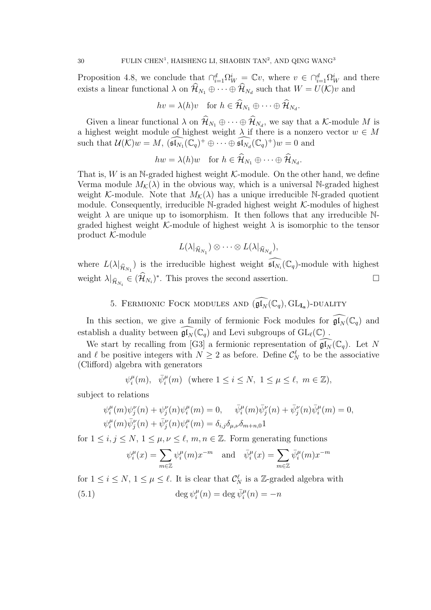Proposition 4.8, we conclude that  $\bigcap_{i=1}^d \Omega_W^i = \mathbb{C}v$ , where  $v \in \bigcap_{i=1}^d \Omega_W^i$  and there exists a linear functional  $\lambda$  on  $\mathcal{H}_{N_1} \oplus \cdots \oplus \mathcal{H}_{N_d}$  such that  $W = U(\mathcal{K})v$  and

$$
hv = \lambda(h)v
$$
 for  $h \in \mathcal{H}_{N_1} \oplus \cdots \oplus \mathcal{H}_{N_d}$ .

Given a linear functional  $\lambda$  on  $\mathcal{H}_{N_1} \oplus \cdots \oplus \mathcal{H}_{N_d}$ , we say that a K-module M is a highest weight module of highest weight  $\lambda$  if there is a nonzero vector  $w \in M$ such that  $\mathcal{U}(\mathcal{K})w = M$ ,  $(\widehat{\mathfrak{sl}_{N_1}}(\mathbb{C}_q)^+ \oplus \cdots \oplus \widehat{\mathfrak{sl}_{N_d}}(\mathbb{C}_q)^+)w = 0$  and

 $hw = \lambda(h)w$  for  $h \in \mathcal{H}_{N_1} \oplus \cdots \oplus \mathcal{H}_{N_d}$ .

That is,  $W$  is an N-graded highest weight  $K$ -module. On the other hand, we define Verma module  $M_K(\lambda)$  in the obvious way, which is a universal N-graded highest weight K-module. Note that  $M_K(\lambda)$  has a unique irreducible N-graded quotient module. Consequently, irreducible  $\mathbb{N}\text{-graded highest weight }\mathcal{K}\text{-modules of highest }$ weight  $\lambda$  are unique up to isomorphism. It then follows that any irreducible Ngraded highest weight K-module of highest weight  $\lambda$  is isomorphic to the tensor product K-module

$$
L(\lambda|_{\widehat{\mathcal{H}}_{N_1}}) \otimes \cdots \otimes L(\lambda|_{\widehat{\mathcal{H}}_{N_d}}),
$$

where  $L(\lambda|_{\widehat{\mathcal{H}}_{N_1}})$  is the irreducible highest weight  $\widehat{\mathfrak{sl}_{N_i}}(\mathbb{C}_q)$ -module with highest weight  $\lambda|_{\widehat{\mathcal{H}}_{N_i}} \in (\widehat{\mathcal{H}}_{N_i})^*$ . This proves the second assertion.

5. FERMIONIC FOCK MODULES AND  $(\widehat{\mathfrak{gl}_N}(\mathbb{C}_q), \mathrm{GL}_{\mathbf{I}_{\bm{a}}})$ -DUALITY

In this section, we give a family of fermionic Fock modules for  $\mathfrak{gl}_N(\mathbb{C}_q)$  and establish a duality between  $\widehat{\mathfrak{gl}_N}(\mathbb{C}_q)$  and Levi subgroups of  $\mathrm{GL}_{\ell}(\mathbb{C})$ .

We start by recalling from [G3] a fermionic representation of  $\mathfrak{gl}_N(\mathbb{C}_q)$ . Let N and  $\ell$  be positive integers with  $N \geq 2$  as before. Define  $\mathcal{C}_N^{\ell}$  to be the associative (Clifford) algebra with generators

$$
\psi_i^{\mu}(m)
$$
,  $\bar{\psi}_i^{\mu}(m)$  (where  $1 \leq i \leq N$ ,  $1 \leq \mu \leq \ell$ ,  $m \in \mathbb{Z}$ ),

subject to relations

$$
\psi_i^{\mu}(m)\psi_j^{\nu}(n) + \psi_j^{\nu}(n)\psi_i^{\mu}(m) = 0, \quad \bar{\psi}_i^{\mu}(m)\bar{\psi}_j^{\nu}(n) + \bar{\psi}_j^{\nu}(n)\bar{\psi}_i^{\mu}(m) = 0, \n\psi_i^{\mu}(m)\bar{\psi}_j^{\nu}(n) + \bar{\psi}_j^{\nu}(n)\psi_i^{\mu}(m) = \delta_{i,j}\delta_{\mu,\nu}\delta_{m+n,0}1
$$

for  $1 \leq i, j \leq N, 1 \leq \mu, \nu \leq \ell, m, n \in \mathbb{Z}$ . Form generating functions

$$
\psi_i^{\mu}(x) = \sum_{m \in \mathbb{Z}} \psi_i^{\mu}(m) x^{-m} \quad \text{and} \quad \bar{\psi}_i^{\mu}(x) = \sum_{m \in \mathbb{Z}} \bar{\psi}_i^{\mu}(m) x^{-m}
$$

for  $1 \leq i \leq N$ ,  $1 \leq \mu \leq \ell$ . It is clear that  $\mathcal{C}_N^{\ell}$  is a Z-graded algebra with  $\deg \psi_i^{\mu}$ (5.1)  $\deg \psi_i^{\mu}(n) = \deg \bar{\psi}_i^{\mu}(n) = -n$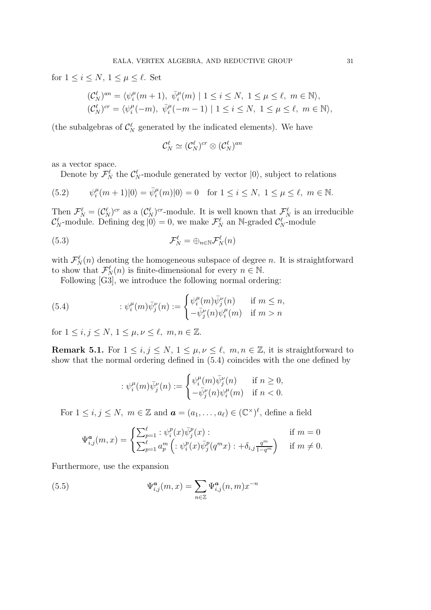for  $1 \leq i \leq N$ ,  $1 \leq \mu \leq \ell$ . Set

$$
\begin{aligned} (\mathcal{C}_{N}^{\ell})^{an} &= \langle \psi_i^{\mu}(m+1), \ \bar{\psi}_i^{\mu}(m) \ | \ 1 \leq i \leq N, \ 1 \leq \mu \leq \ell, \ m \in \mathbb{N} \rangle, \\ (\mathcal{C}_{N}^{\ell})^{cr} &= \langle \psi_i^{\mu}(-m), \ \bar{\psi}_i^{\mu}(-m-1) \ | \ 1 \leq i \leq N, \ 1 \leq \mu \leq \ell, \ m \in \mathbb{N} \rangle, \end{aligned}
$$

(the subalgebras of  $\mathcal{C}_N^{\ell}$  generated by the indicated elements). We have

$$
\mathcal{C}_N^{\ell} \simeq (\mathcal{C}_N^{\ell})^{cr} \otimes (\mathcal{C}_N^{\ell})^{an}
$$

as a vector space.

Denote by  $\mathcal{F}_N^{\ell}$  the  $\mathcal{C}_N^{\ell}$ -module generated by vector  $|0\rangle$ , subject to relations

(5.2) 
$$
\psi_i^{\mu}(m+1)|0\rangle = \bar{\psi}_i^{\mu}(m)|0\rangle = 0 \text{ for } 1 \leq i \leq N, 1 \leq \mu \leq \ell, m \in \mathbb{N}.
$$

Then  $\mathcal{F}_N^{\ell} = (\mathcal{C}_N^{\ell})^{cr}$  as a  $(\mathcal{C}_N^{\ell})^{cr}$ -module. It is well known that  $\mathcal{F}_N^{\ell}$  is an irreducible  $\mathcal{C}_N^{\ell}$ -module. Defining deg  $|0\rangle = 0$ , we make  $\mathcal{F}_N^{\ell}$  an N-graded  $\mathcal{C}_N^{\ell}$ -module

(5.3) 
$$
\mathcal{F}_N^{\ell} = \bigoplus_{n \in \mathbb{N}} \mathcal{F}_N^{\ell}(n)
$$

with  $\mathcal{F}_{N}^{\ell}(n)$  denoting the homogeneous subspace of degree n. It is straightforward to show that  $\mathcal{F}_{N}^{\ell}(n)$  is finite-dimensional for every  $n \in \mathbb{N}$ .

Following [G3], we introduce the following normal ordering:

(5.4) 
$$
\qquad : \psi_i^{\mu}(m)\bar{\psi}_j^{\nu}(n) := \begin{cases} \psi_i^{\mu}(m)\bar{\psi}_j^{\nu}(n) & \text{if } m \leq n, \\ -\bar{\psi}_j^{\nu}(n)\psi_i^{\mu}(m) & \text{if } m > n \end{cases}
$$

for  $1 \leq i, j \leq N, 1 \leq \mu, \nu \leq \ell, m, n \in \mathbb{Z}$ .

**Remark 5.1.** For  $1 \le i, j \le N, 1 \le \mu, \nu \le \ell, m, n \in \mathbb{Z}$ , it is straightforward to show that the normal ordering defined in (5.4) coincides with the one defined by

$$
:\psi_i^\mu(m)\bar\psi_j^\nu(n):=\begin{cases} \psi_i^\mu(m)\bar\psi_j^\nu(n) &\text{ if }n\geq 0,\\ -\bar\psi_j^\nu(n)\psi_i^\mu(m) &\text{ if }n< 0.\end{cases}
$$

For  $1 \leq i, j \leq N$ ,  $m \in \mathbb{Z}$  and  $\boldsymbol{a} = (a_1, \ldots, a_\ell) \in (\mathbb{C}^\times)^{\ell}$ , define a field

$$
\Psi_{i,j}^{\mathbf{a}}(m,x) = \begin{cases} \sum_{p=1}^{\ell} : \psi_i^p(x)\bar{\psi}_j^p(x) : & \text{if } m = 0\\ \sum_{p=1}^{\ell} a_p^m \left( : \psi_i^p(x)\bar{\psi}_j^p(q^m x) : +\delta_{i,j} \frac{q^m}{1-q^m} \right) & \text{if } m \neq 0. \end{cases}
$$

Furthermore, use the expansion

(5.5) 
$$
\Psi_{i,j}^a(m,x) = \sum_{n \in \mathbb{Z}} \Psi_{i,j}^a(n,m)x^{-n}
$$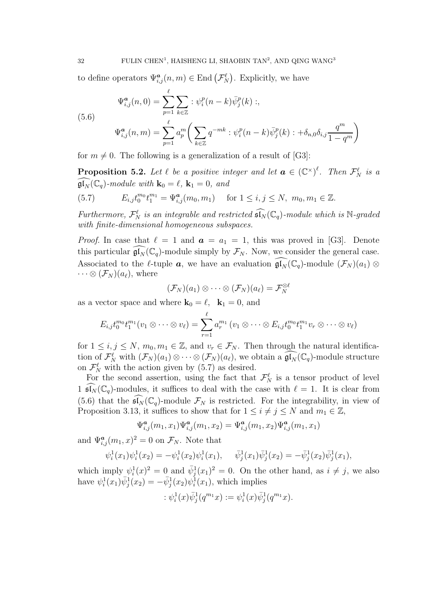to define operators  $\Psi_{i,j}^{\boldsymbol{a}}(n,m) \in \text{End}\left(\mathcal{F}_{N}^{\ell}\right)$ . Explicitly, we have

(5.6)  
\n
$$
\Psi_{i,j}^{a}(n,0) = \sum_{p=1}^{\ell} \sum_{k \in \mathbb{Z}} : \psi_{i}^{p}(n-k)\bar{\psi}_{j}^{p}(k) : ,
$$
\n
$$
\Psi_{i,j}^{a}(n,m) = \sum_{p=1}^{\ell} a_{p}^{m} \left( \sum_{k \in \mathbb{Z}} q^{-mk} : \psi_{i}^{p}(n-k)\bar{\psi}_{j}^{p}(k) : + \delta_{n,0}\delta_{i,j} \frac{q^{m}}{1-q^{m}} \right)
$$

for  $m \neq 0$ . The following is a generalization of a result of [G3]:

**Proposition 5.2.** Let  $\ell$  be a positive integer and let  $\boldsymbol{a} \in (\mathbb{C}^{\times})^{\ell}$ . Then  $\mathcal{F}_{N}^{\ell}$  is a  $\mathfrak{gl}_N(\mathbb{C}_q)$ -module with  $\mathbf{k}_0 = \ell$ ,  $\mathbf{k}_1 = 0$ , and

(5.7) 
$$
E_{i,j}t_0^{m_0}t_1^{m_1} = \Psi_{i,j}^{\mathbf{a}}(m_0, m_1) \quad \text{for } 1 \le i, j \le N, m_0, m_1 \in \mathbb{Z}.
$$

Furthermore,  $\mathcal{F}_N^{\ell}$  is an integrable and restricted  $\widehat{\mathfrak{sl}_N}(\mathbb{C}_q)$ -module which is N-graded with finite-dimensional homogeneous subspaces.

*Proof.* In case that  $\ell = 1$  and  $\boldsymbol{a} = a_1 = 1$ , this was proved in [G3]. Denote this particular  $\mathfrak{gl}_N(\mathbb{C}_q)$ -module simply by  $\mathcal{F}_N$ . Now, we consider the general case. Associated to the  $\ell$ -tuple  $a$ , we have an evaluation  $\mathfrak{gl}_N(\mathbb{C}_q)$ -module  $(\mathcal{F}_N)(a_1) \otimes$  $\cdots \otimes (\mathcal{F}_N)(a_\ell)$ , where

$$
(\mathcal{F}_N)(a_1)\otimes\cdots\otimes(\mathcal{F}_N)(a_\ell)=\mathcal{F}_N^{\otimes \ell}
$$

as a vector space and where  $\mathbf{k}_0 = \ell$ ,  $\mathbf{k}_1 = 0$ , and

$$
E_{i,j}t_0^{m_0}t_1^{m_1}(v_1\otimes\cdots\otimes v_\ell)=\sum_{r=1}^\ell a_r^{m_1}\left(v_1\otimes\cdots\otimes E_{i,j}t_0^{m_0}t_1^{m_1}v_r\otimes\cdots\otimes v_\ell\right)
$$

for  $1 \leq i, j \leq N, m_0, m_1 \in \mathbb{Z}$ , and  $v_r \in \mathcal{F}_N$ . Then through the natural identification of  $\mathcal{F}_N^{\ell}$  with  $(\mathcal{F}_N)(a_1) \otimes \cdots \otimes (\mathcal{F}_N)(a_{\ell}),$  we obtain a  $\widehat{\mathfrak{gl}_N}(\mathbb{C}_q)$ -module structure on  $\mathcal{F}_N^{\ell}$  with the action given by (5.7) as desired.

For the second assertion, using the fact that  $\mathcal{F}_N^{\ell}$  is a tensor product of level 1  $\mathfrak{sl}_N(\mathbb{C}_q)$ -modules, it suffices to deal with the case with  $\ell = 1$ . It is clear from (5.6) that the  $\widehat{\mathfrak{sl}_N}(\mathbb{C}_q)$ -module  $\mathcal{F}_N$  is restricted. For the integrability, in view of Proposition 3.13, it suffices to show that for  $1 \leq i \neq j \leq N$  and  $m_1 \in \mathbb{Z}$ ,

$$
\Psi_{i,j}^{\pmb{a}}(m_1,x_1)\Psi_{i,j}^{\pmb{a}}(m_1,x_2)=\Psi_{i,j}^{\pmb{a}}(m_1,x_2)\Psi_{i,j}^{\pmb{a}}(m_1,x_1)
$$

and  $\Psi_{i,j}^a(m_1, x)^2 = 0$  on  $\mathcal{F}_N$ . Note that

$$
\psi_i^1(x_1)\psi_i^1(x_2) = -\psi_i^1(x_2)\psi_i^1(x_1), \quad \bar{\psi}_j^1(x_1)\bar{\psi}_j^1(x_2) = -\bar{\psi}_j^1(x_2)\bar{\psi}_j^1(x_1),
$$

which imply  $\psi_i^1(x)^2 = 0$  and  $\bar{\psi}_j^1(x_1)^2 = 0$ . On the other hand, as  $i \neq j$ , we also have  $\psi_i^1(x_1)\bar{\psi}_j^1(x_2) = -\bar{\psi}_j^1(x_2)\psi_i^1(x_1)$ , which implies

$$
:\psi_i^1(x)\bar\psi_j^1(q^{m_1}x):=\psi_i^1(x)\bar\psi_j^1(q^{m_1}x).
$$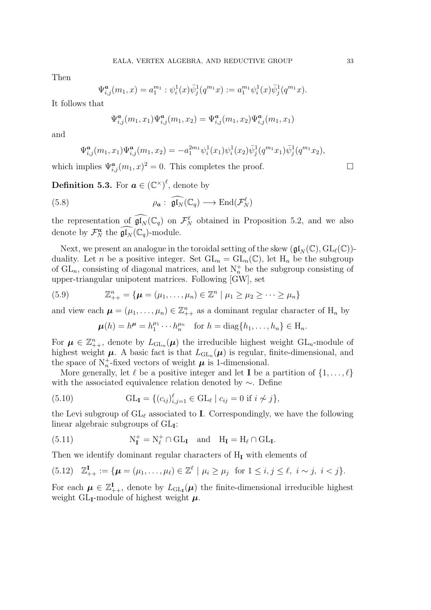Then

$$
\Psi_{i,j}^a(m_1, x) = a_1^{m_1} : \psi_i^1(x) \overline{\psi}_j^1(q^{m_1} x) := a_1^{m_1} \psi_i^1(x) \overline{\psi}_j^1(q^{m_1} x).
$$

It follows that

$$
\Psi_{i,j}^{\bm{a}}(m_1,x_1)\Psi_{i,j}^{\bm{a}}(m_1,x_2)=\Psi_{i,j}^{\bm{a}}(m_1,x_2)\Psi_{i,j}^{\bm{a}}(m_1,x_1)
$$

and

$$
\Psi_{i,j}^a(m_1, x_1)\Psi_{i,j}^a(m_1, x_2) = -a_1^{2m_1}\psi_i^1(x_1)\psi_i^1(x_2)\bar{\psi}_j^1(q^{m_1}x_1)\bar{\psi}_j^1(q^{m_1}x_2),
$$

which implies  $\Psi_{i,j}^a(m_1, x)^2 = 0$ . This completes the proof.

**Definition 5.3.** For  $\boldsymbol{a} \in (\mathbb{C}^{\times})^{\ell}$ , denote by

(5.8) 
$$
\rho_{\mathbf{a}}: \widehat{\mathfrak{gl}_N}(\mathbb{C}_q) \longrightarrow \text{End}(\mathcal{F}_N^{\ell})
$$

the representation of  $\widehat{\mathfrak{gl}_N}(\mathbb{C}_q)$  on  $\mathcal{F}_N^{\ell}$  obtained in Proposition 5.2, and we also denote by  $\mathcal{F}_N^{\boldsymbol{a}}$  the  $\widehat{\mathfrak{gl}_N}(\mathbb{C}_q)$ -module.

Next, we present an analogue in the toroidal setting of the skew  $(\mathfrak{gl}_N(\mathbb{C}), GL_\ell(\mathbb{C}))$ duality. Let *n* be a positive integer. Set  $GL_n = GL_n(\mathbb{C})$ , let  $H_n$  be the subgroup of  $GL_n$ , consisting of diagonal matrices, and let  $N_n^+$  be the subgroup consisting of upper-triangular unipotent matrices. Following [GW], set

(5.9) 
$$
\mathbb{Z}_{++}^n = \{ \mu = (\mu_1, ..., \mu_n) \in \mathbb{Z}^n \mid \mu_1 \ge \mu_2 \ge \cdots \ge \mu_n \}
$$

and view each  $\boldsymbol{\mu} = (\mu_1, \dots, \mu_n) \in \mathbb{Z}_{++}^n$  as a dominant regular character of  $H_n$  by

$$
\boldsymbol{\mu}(h) = h^{\boldsymbol{\mu}} = h_1^{\mu_1} \cdots h_n^{\mu_n}
$$
 for  $h = \text{diag}\{h_1, \ldots, h_n\} \in H_n$ .

For  $\mu \in \mathbb{Z}_{++}^n$ , denote by  $L_{\text{GL}_n}(\mu)$  the irreducible highest weight  $\text{GL}_n$ -module of highest weight  $\mu$ . A basic fact is that  $L_{\text{GL}_n}(\mu)$  is regular, finite-dimensional, and the space of  $N_n^+$ -fixed vectors of weight  $\mu$  is 1-dimensional.

More generally, let  $\ell$  be a positive integer and let **I** be a partition of  $\{1, \ldots, \ell\}$ with the associated equivalence relation denoted by  $\sim$ . Define

(5.10) 
$$
GL_{I} = \{(c_{ij})_{i,j=1}^{\ell} \in GL_{\ell} \mid c_{ij} = 0 \text{ if } i \nsim j\},
$$

the Levi subgroup of  $GL_\ell$  associated to **I**. Correspondingly, we have the following linear algebraic subgroups of  $GL_{\mathbf{I}}$ :

(5.11) 
$$
N_{\mathbf{I}}^+ = N_{\ell}^+ \cap GL_{\mathbf{I}} \text{ and } H_{\mathbf{I}} = H_{\ell} \cap GL_{\mathbf{I}}.
$$

Then we identify dominant regular characters of  $H<sub>I</sub>$  with elements of

$$
(5.12) \quad \mathbb{Z}_{++}^{\mathbf{I}} := {\mu = (\mu_1, \dots, \mu_\ell) \in \mathbb{Z}^\ell \mid \mu_i \ge \mu_j \text{ for } 1 \le i, j \le \ell, \ i \sim j, \ i < j}.
$$

For each  $\mu \in \mathbb{Z}_{++}^{\mathbf{I}}$ , denote by  $L_{\text{GL}_{\mathbf{I}}}(\mu)$  the finite-dimensional irreducible highest weight GL<sub>I</sub>-module of highest weight  $\mu$ .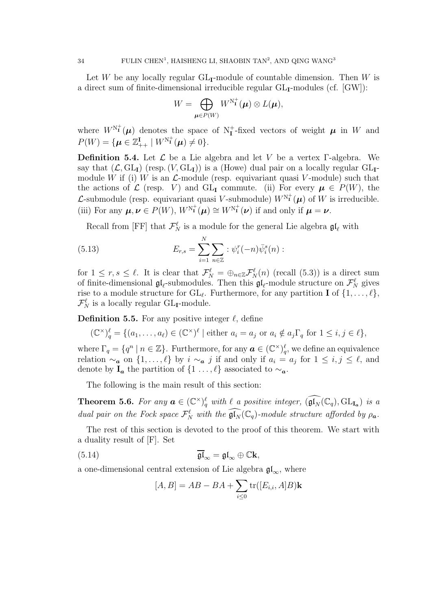Let W be any locally regular  $GL_{\mathbf{I}}$ -module of countable dimension. Then W is a direct sum of finite-dimensional irreducible regular  $GL_I$ -modules (cf.  $[GW]$ ):

$$
W = \bigoplus_{\boldsymbol{\mu} \in P(W)} W^{\mathrm{N}_{\mathbf{I}}^{+}}(\boldsymbol{\mu}) \otimes L(\boldsymbol{\mu}),
$$

where  $W^{N^+}(\mu)$  denotes the space of  $N^+_{\mathbf{I}}$ -fixed vectors of weight  $\mu$  in W and  $P(W) = \{ \boldsymbol{\mu} \in \mathbb{Z}_{++}^{\mathbf{I}} \mid W^{\text{N}_{\mathbf{I}}^+}(\boldsymbol{\mu}) \neq 0 \}.$ 

**Definition 5.4.** Let  $\mathcal{L}$  be a Lie algebra and let V be a vertex Γ-algebra. We say that  $(\mathcal{L}, GL_{\mathbf{I}})$  (resp.  $(V, GL_{\mathbf{I}})$ ) is a (Howe) dual pair on a locally regular  $GL_{\mathbf{I}}$ module W if (i) W is an  $\mathcal{L}$ -module (resp. equivariant quasi V-module) such that the actions of  $\mathcal L$  (resp. V) and GL<sub>I</sub> commute. (ii) For every  $\mu \in P(W)$ , the *L*-submodule (resp. equivariant quasi *V*-submodule)  $W^{N^+}(\mu)$  of W is irreducible. (iii) For any  $\mu, \nu \in P(W)$ ,  $W^{\mathbb{N}_{\mathbf{I}}^+}(\mu) \cong W^{\mathbb{N}_{\mathbf{I}}^+}(\nu)$  if and only if  $\mu = \nu$ .

Recall from [FF] that  $\mathcal{F}_N^{\ell}$  is a module for the general Lie algebra  $\mathfrak{gl}_{\ell}$  with

(5.13) 
$$
E_{r,s} = \sum_{i=1}^{N} \sum_{n \in \mathbb{Z}} : \psi_i^r(-n)\bar{\psi}_i^s(n) :
$$

for  $1 \leq r, s \leq \ell$ . It is clear that  $\mathcal{F}_N^{\ell} = \bigoplus_{n \in \mathbb{Z}} \mathcal{F}_N^{\ell}(n)$  (recall (5.3)) is a direct sum of finite-dimensional  $\mathfrak{gl}_\ell$ -submodules. Then this  $\mathfrak{gl}_\ell$ -module structure on  $\mathcal{F}_N^\ell$  gives rise to a module structure for  $GL_{\ell}$ . Furthermore, for any partition **I** of  $\{1, \ldots, \ell\}$ ,  $\mathcal{F}_N^{\ell}$  is a locally regular GL<sub>I</sub>-module.

**Definition 5.5.** For any positive integer  $\ell$ , define

$$
(\mathbb{C}^{\times})_q^{\ell} = \{ (a_1, \dots, a_{\ell}) \in (\mathbb{C}^{\times})^{\ell} \mid \text{either } a_i = a_j \text{ or } a_i \notin a_j \Gamma_q \text{ for } 1 \leq i, j \in \ell \},\
$$

where  $\Gamma_q = \{q^n \mid n \in \mathbb{Z}\}\.$  Furthermore, for any  $\boldsymbol{a} \in (\mathbb{C}^\times)_q^{\ell}$ , we define an equivalence relation  $\sim_a$  on  $\{1,\ldots,\ell\}$  by  $i \sim_a j$  if and only if  $a_i = a_j$  for  $1 \leq i,j \leq \ell$ , and denote by  $I_a$  the partition of  $\{1 \ldots, \ell\}$  associated to  $\sim_a$ .

The following is the main result of this section:

**Theorem 5.6.** For any  $\mathbf{a} \in (\mathbb{C}^{\times})_q^{\ell}$  with  $\ell$  a positive integer,  $(\widehat{\mathfrak{gl}_N}(\mathbb{C}_q), GL_{\mathbf{I}_{\mathbf{a}}})$  is a dual pair on the Fock space  $\mathcal{F}_N^{\ell}$  with the  $\widehat{\mathfrak{gl}_N}(\mathbb{C}_q)$ -module structure afforded by  $\rho_a$ .

The rest of this section is devoted to the proof of this theorem. We start with a duality result of [F]. Set

(5.14) 
$$
\overline{\mathfrak{gl}}_{\infty} = \mathfrak{gl}_{\infty} \oplus \mathbb{C} \mathbf{k},
$$

a one-dimensional central extension of Lie algebra  $\mathfrak{gl}_{\infty}$ , where

$$
[A, B] = AB - BA + \sum_{i \le 0} \text{tr}([E_{i,i}, A]B)\mathbf{k}
$$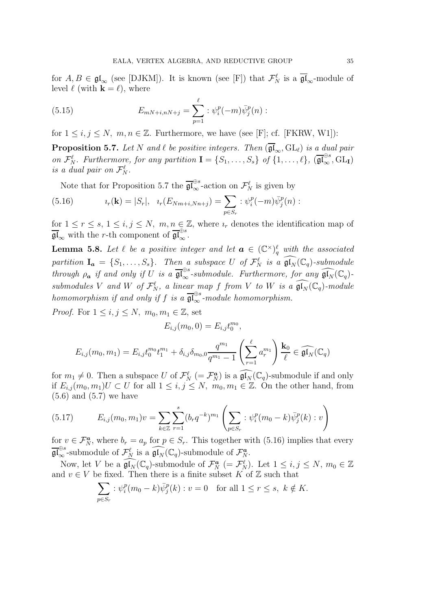for  $A, B \in \mathfrak{gl}_{\infty}$  (see [DJKM]). It is known (see [F]) that  $\mathcal{F}_N^{\ell}$  is a  $\overline{\mathfrak{gl}}_{\infty}$ -module of level  $\ell$  (with  $\mathbf{k} = \ell$ ), where

(5.15) 
$$
E_{mN+i,nN+j} = \sum_{p=1}^{\ell} : \psi_i^p(-m)\bar{\psi}_j^p(n) :
$$

for  $1 \leq i, j \leq N, m, n \in \mathbb{Z}$ . Furthermore, we have (see [F]; cf. [FKRW, W1]):

**Proposition 5.7.** Let N and  $\ell$  be positive integers. Then  $(\overline{\mathfrak{gl}}_{\infty}, GL_{\ell})$  is a dual pair on  $\mathcal{F}_{N}^{\ell}$ . Furthermore, for any partition  $\mathbf{I} = \{S_1, \ldots, S_s\}$  of  $\{1, \ldots, \ell\}$ ,  $(\overline{\mathfrak{gl}}_{\infty}^{\oplus s}, GL_{\mathbf{I}})$ is a dual pair on  $\mathcal{F}_N^{\ell}$ .

Note that for Proposition 5.7 the  $\overline{\mathfrak{gl}}_{\infty}^{\oplus s}$ -action on  $\mathcal{F}_N^{\ell}$  is given by

(5.16) 
$$
i_r(\mathbf{k}) = |S_r|, \quad i_r(E_{Nm+i,Nn+j}) = \sum_{p \in S_r} : \psi_i^p(-m)\bar{\psi}_j^p(n) :
$$

for  $1 \leq r \leq s, 1 \leq i, j \leq N, m, n \in \mathbb{Z}$ , where  $i_r$  denotes the identification map of  $\overline{\mathfrak{gl}}_{\infty}$  with the r-th component of  $\overline{\mathfrak{gl}}_{\infty}^{\oplus s}$ .

**Lemma 5.8.** Let  $\ell$  be a positive integer and let  $\boldsymbol{a} \in (\mathbb{C}^{\times})_q^{\ell}$  with the associated partition  $I_a = \{S_1, \ldots, S_s\}$ . Then a subspace U of  $\mathcal{F}_N^{\ell}$  is a  $\widehat{\mathfrak{gl}_N}(\mathbb{C}_q)$ -submodule through  $\rho_a$  if and only if U is a  $\overline{\mathfrak{gl}}_{\infty}^{\oplus s}$ -submodule. Furthermore, for any  $\widehat{\mathfrak{gl}}_N(\mathbb{C}_q)$ submodules V and W of  $\mathcal{F}_N^{\ell}$ , a linear map f from V to W is a  $\widehat{\mathfrak{gl}_N}(\mathbb{C}_q)$ -module homomorphism if and only if f is a  $\overline{\mathfrak{gl}}_{\infty}^{\oplus s}$ -module homomorphism.

*Proof.* For  $1 \leq i, j \leq N$ ,  $m_0, m_1 \in \mathbb{Z}$ , set

$$
E_{i,j}(m_0, 0) = E_{i,j} t_0^{m_0},
$$
  

$$
E_{i,j}(m_0, m_1) = E_{i,j} t_0^{m_0} t_1^{m_1} + \delta_{i,j} \delta_{m_0, 0} \frac{q^{m_1}}{q^{m_1} - 1} \left( \sum_{r=1}^{\ell} a_r^{m_1} \right) \frac{\mathbf{k}_0}{\ell} \in \widehat{\mathfrak{gl}_N}(\mathbb{C}_q)
$$

for  $m_1 \neq 0$ . Then a subspace U of  $\mathcal{F}_N^{\ell}$  (=  $\mathcal{F}_N^{\mathbf{a}}$ ) is a  $\widehat{\mathfrak{gl}_N}(\mathbb{C}_q)$ -submodule if and only if  $E_{i,j}(m_0, m_1)U \subset U$  for all  $1 \leq i, j \leq N$ ,  $m_0, m_1 \in \mathbb{Z}$ . On the other hand, from  $(5.6)$  and  $(5.7)$  we have

(5.17) 
$$
E_{i,j}(m_0, m_1)v = \sum_{k \in \mathbb{Z}} \sum_{r=1}^s (b_r q^{-k})^{m_1} \left( \sum_{p \in S_r} : \psi_i^p(m_0 - k) \bar{\psi}_j^p(k) : v \right)
$$

for  $v \in \mathcal{F}_N^a$ , where  $b_r = a_p$  for  $p \in S_r$ . This together with (5.16) implies that every  $\widehat{\mathfrak{gl}}_{\infty}^{\oplus s}$ -submodule of  $\mathcal{F}_{N}^{\ell}$  is a  $\widehat{\mathfrak{gl}}_{N}(\mathbb{C}_{q})$ -submodule of  $\mathcal{F}_{N}^{\boldsymbol{a}}$ .

Now, let V be a  $\widehat{\mathfrak{gl}_N}(\mathbb{C}_q)$ -submodule of  $\mathcal{F}_N^{\boldsymbol{a}}$   $(=\mathcal{F}_N^{\ell})$ . Let  $1 \leq i, j \leq N$ ,  $m_0 \in \mathbb{Z}$ and  $v \in V$  be fixed. Then there is a finite subset K of Z such that

$$
\sum_{p \in S_r} : \psi_i^p(m_0 - k)\overline{\psi}_j^p(k) : v = 0 \quad \text{for all } 1 \le r \le s, \ k \notin K.
$$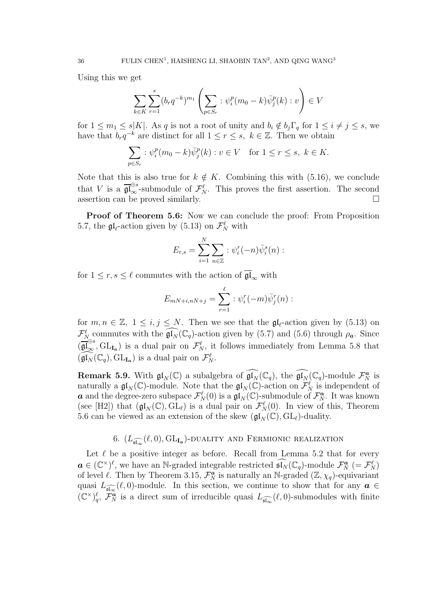Using this we get

$$
\sum_{k \in K} \sum_{r=1}^{s} (b_r q^{-k})^{m_1} \left( \sum_{p \in S_r} : \psi_i^p (m_0 - k) \bar{\psi}_j^p(k) : v \right) \in V
$$

for  $1 \leq m_1 \leq s|K|$ . As q is not a root of unity and  $b_i \notin b_j \Gamma_q$  for  $1 \leq i \neq j \leq s$ , we have that  $b_r q^{-k}$  are distinct for all  $1 \leq r \leq s, k \in \mathbb{Z}$ . Then we obtain

$$
\sum_{p \in S_r} : \psi_i^p (m_0 - k) \bar{\psi}_j^p(k) : v \in V \quad \text{for } 1 \le r \le s, \ k \in K.
$$

Note that this is also true for  $k \notin K$ . Combining this with (5.16), we conclude that V is a  $\overline{\mathfrak{gl}}_{\infty}^{\oplus s}$ -submodule of  $\mathcal{F}_{N}^{\ell}$ . This proves the first assertion. The second assertion can be proved similarly.  $\square$ 

Proof of Theorem 5.6: Now we can conclude the proof: From Proposition 5.7, the  $\mathfrak{gl}_{\ell}$ -action given by (5.13) on  $\mathcal{F}_N^{\ell}$  with

$$
E_{r,s} = \sum_{i=1}^N \sum_{n \in \mathbb{Z}} : \psi_i^r(-n)\overline{\psi}_i^s(n) :
$$

for  $1 \leq r, s \leq \ell$  commutes with the action of  $\overline{\mathfrak{gl}}_{\infty}$  with

$$
E_{mN+i,nN+j} = \sum_{r=1}^{\ell} : \psi_i^r(-m)\bar{\psi}_j^r(n) :
$$

for  $m, n \in \mathbb{Z}, 1 \leq i, j \leq N$ . Then we see that the  $\mathfrak{gl}_{\ell}$ -action given by (5.13) on  $\mathcal{F}_{N_{\text{sc}}}^{\ell}$  commutes with the  $\widehat{\mathfrak{gl}_N}(\mathbb{C}_q)$ -action given by (5.7) and (5.6) through  $\rho_{\boldsymbol{a}}$ . Since  $(\overline{\mathfrak{gl}}_{\infty}^{\oplus s},\mathrm{GL}_{I_{\mathfrak{a}}})$  is a dual pair on  $\mathcal{F}_{N}^{\ell}$ , it follows immediately from Lemma 5.8 that  $(\widehat{\mathfrak{gl}_N}(\mathbb{C}_q), \mathrm{GL}_{\mathbf{I}_{\mathbf{a}}})$  is a dual pair on  $\mathcal{F}_N^{\ell}$ .

**Remark 5.9.** With  $\mathfrak{gl}_N(\mathbb{C})$  a subalgebra of  $\widehat{\mathfrak{gl}_N}(\mathbb{C}_q)$ , the  $\widehat{\mathfrak{gl}_N}(\mathbb{C}_q)$ -module  $\mathcal{F}_N^{\boldsymbol{a}}$  is naturally a  $\mathfrak{gl}_N(\mathbb{C})$ -module. Note that the  $\mathfrak{gl}_N(\mathbb{C})$ -action on  $\mathcal{F}_N^{\ell}$  is independent of **a** and the degree-zero subspace  $\mathcal{F}_{N}^{\ell}(0)$  is a  $\mathfrak{gl}_{N}(\mathbb{C})$ -submodule of  $\mathcal{F}_{N}^{\boldsymbol{a}}$ . It was known (see [H2]) that  $(\mathfrak{gl}_N(\mathbb{C}), GL_\ell)$  is a dual pair on  $\mathcal{F}_N^{\ell}(0)$ . In view of this, Theorem 5.6 can be viewed as an extension of the skew  $(\mathfrak{gl}_N(\mathbb{C}), GL_\ell)$ -duality.

# 6.  $(L_{\widehat{\mathfrak{sl}_\infty}}(\ell,0),\mathrm{GL}_{\mathbf{Ia}})$ -duality and Fermionic realization

Let  $\ell$  be a positive integer as before. Recall from Lemma 5.2 that for every  $\mathbf{a} \in (\mathbb{C}^{\times})^{\ell}$ , we have an N-graded integrable restricted  $\widehat{\mathfrak{sl}_N}(\mathbb{C}_q)$ -module  $\mathcal{F}_N^{\mathbf{a}} = \mathcal{F}_N^{\ell}$ of level  $\ell$ . Then by Theorem 3.15,  $\mathcal{F}_N^{\alpha}$  is naturally an N-graded  $(\mathbb{Z}, \chi_q)$ -equivariant quasi  $L_{\widehat{\mathfrak{sl}_\infty}}(\ell,0)$ -module. In this section, we continue to show that for any  $\boldsymbol{a} \in$  $(\mathbb{C}^{\times})_q^{\ell}, \ \widetilde{\mathcal{F}_N^{\alpha}}$  is a direct sum of irreducible quasi  $L_{\widehat{\mathfrak{sl}_\infty}}(\ell,0)$ -submodules with finite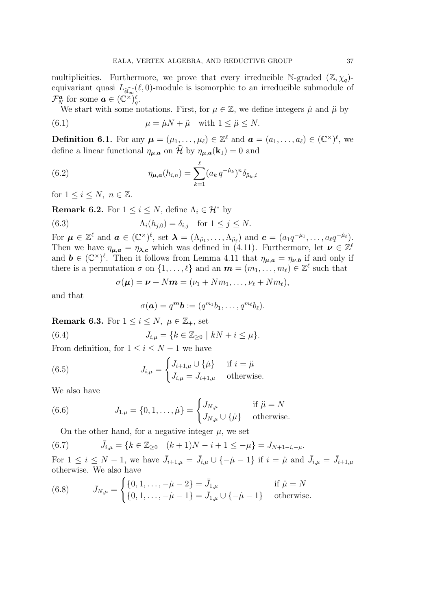multiplicities. Furthermore, we prove that every irreducible N-graded  $(\mathbb{Z}, \chi_q)$ equivariant quasi  $L_{\widehat{\mathfrak{sl}_\infty}}(\ell,0)$ -module is isomorphic to an irreducible submodule of  $\mathcal{F}_N^{\boldsymbol{a}}$  for some  $\boldsymbol{a} \in (\mathbb{C}^{\times})_q^{\ell}$ .

We start with some notations. First, for  $\mu \in \mathbb{Z}$ , we define integers  $\mu$  and  $\mu$  by

(6.1) 
$$
\mu = \dot{\mu}N + \ddot{\mu} \quad \text{with } 1 \leq \ddot{\mu} \leq N.
$$

**Definition 6.1.** For any  $\boldsymbol{\mu} = (\mu_1, \dots, \mu_\ell) \in \mathbb{Z}^\ell$  and  $\boldsymbol{a} = (a_1, \dots, a_\ell) \in (\mathbb{C}^\times)^{\ell}$ , we define a linear functional  $\eta_{\mu,a}$  on  $\widehat{\mathcal{H}}$  by  $\eta_{\mu,a}(\mathbf{k}_1) = 0$  and

(6.2) 
$$
\eta_{\mu,a}(h_{i,n}) = \sum_{k=1}^{\ell} (a_k q^{-\mu_k})^n \delta_{\mu_k,i}
$$

for  $1 \leq i \leq N$ ,  $n \in \mathbb{Z}$ .

**Remark 6.2.** For  $1 \leq i \leq N$ , define  $\Lambda_i \in \mathcal{H}^*$  by

(6.3) 
$$
\Lambda_i(h_{j,0}) = \delta_{i,j} \text{ for } 1 \leq j \leq N.
$$

For  $\mu \in \mathbb{Z}^{\ell}$  and  $\boldsymbol{a} \in (\mathbb{C}^{\times})^{\ell}$ , set  $\boldsymbol{\lambda} = (\Lambda_{\mu_1}, \ldots, \Lambda_{\mu_{\ell}})$  and  $\boldsymbol{c} = (a_1 q^{-\mu_1}, \ldots, a_{\ell} q^{-\mu_{\ell}})$ . Then we have  $\eta_{\mu,a} = \eta_{\lambda,c}$  which was defined in (4.11). Furthermore, let  $\nu \in \mathbb{Z}^{\ell}$ and  $\mathbf{b} \in (\mathbb{C}^{\times})^{\ell}$ . Then it follows from Lemma 4.11 that  $\eta_{\mu,a} = \eta_{\nu,b}$  if and only if there is a permutation  $\sigma$  on  $\{1, \ldots, \ell\}$  and an  $\boldsymbol{m} = (m_1, \ldots, m_\ell) \in \mathbb{Z}^\ell$  such that

$$
\sigma(\boldsymbol{\mu}) = \boldsymbol{\nu} + N\boldsymbol{m} = (\nu_1 + Nm_1, \ldots, \nu_\ell + Nm_\ell),
$$

and that

$$
\sigma(\mathbf{a})=q^{\mathbf{m}}\mathbf{b}:=(q^{m_1}b_1,\ldots,q^{m_\ell}b_\ell).
$$

**Remark 6.3.** For  $1 \leq i \leq N$ ,  $\mu \in \mathbb{Z}_+$ , set

(6.4) 
$$
J_{i,\mu} = \{k \in \mathbb{Z}_{\geq 0} \mid kN + i \leq \mu\}.
$$

From definition, for  $1 \leq i \leq N-1$  we have

(6.5) 
$$
J_{i,\mu} = \begin{cases} J_{i+1,\mu} \cup {\{\mu\}} & \text{if } i = \mu \\ J_{i,\mu} = J_{i+1,\mu} & \text{otherwise.} \end{cases}
$$

We also have

(6.6) 
$$
J_{1,\mu} = \{0, 1, ..., \dot{\mu}\} = \begin{cases} J_{N,\mu} & \text{if } \ddot{\mu} = N \\ J_{N,\mu} \cup \{\dot{\mu}\} & \text{otherwise.} \end{cases}
$$

On the other hand, for a negative integer  $\mu$ , we set

(6.7) 
$$
\bar{J}_{i,\mu} = \{k \in \mathbb{Z}_{\geq 0} \mid (k+1)N - i + 1 \leq -\mu\} = J_{N+1-i,-\mu}.
$$

For  $1 \leq i \leq N-1$ , we have  $\bar{J}_{i+1,\mu} = \bar{J}_{i,\mu} \cup \{-\mu-1\}$  if  $i = \bar{\mu}$  and  $\bar{J}_{i,\mu} = \bar{J}_{i+1,\mu}$ otherwise. We also have

(6.8) 
$$
\bar{J}_{N,\mu} = \begin{cases} \{0, 1, \dots, -\dot{\mu} - 2\} = \bar{J}_{1,\mu} & \text{if } \ddot{\mu} = N \\ \{0, 1, \dots, -\dot{\mu} - 1\} = \bar{J}_{1,\mu} \cup \{-\dot{\mu} - 1\} & \text{otherwise.} \end{cases}
$$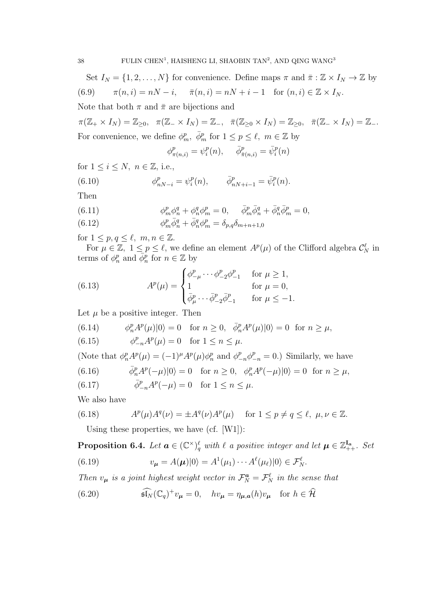Set  $I_N = \{1, 2, ..., N\}$  for convenience. Define maps  $\pi$  and  $\bar{\pi}: \mathbb{Z} \times I_N \to \mathbb{Z}$  by (6.9)  $\pi(n, i) = nN - i, \quad \bar{\pi}(n, i) = nN + i - 1 \text{ for } (n, i) \in \mathbb{Z} \times I_N.$ 

Note that both  $\pi$  and  $\bar{\pi}$  are bijections and

 $\pi(\mathbb{Z}_+\times I_N)=\mathbb{Z}_{\geq 0},\ \ \pi(\mathbb{Z}_-\times I_N)=\mathbb{Z}_-,\ \ \bar{\pi}(\mathbb{Z}_{\geq 0}\times I_N)=\mathbb{Z}_{\geq 0},\ \ \bar{\pi}(\mathbb{Z}_-\times I_N)=\mathbb{Z}_-.$ For convenience, we define  $\phi_m^p$ ,  $\bar{\phi}_m^p$  for  $1 \leq p \leq \ell$ ,  $m \in \mathbb{Z}$  by

$$
\phi^p_{\pi(n,i)} = \psi^p_i(n), \quad \bar{\phi}^p_{\bar{\pi}(n,i)} = \bar{\psi}^p_i(n)
$$

for  $1 \leq i \leq N$ ,  $n \in \mathbb{Z}$ , i.e.,

(6.10) 
$$
\phi_{nN-i}^p = \psi_i^p(n), \qquad \bar{\phi}_{nN+i-1}^p = \bar{\psi}_i^p(n).
$$

Then

(6.11) 
$$
\phi_m^p \phi_n^q + \phi_n^q \phi_m^p = 0, \quad \bar{\phi}_m^p \bar{\phi}_n^q + \bar{\phi}_n^q \bar{\phi}_m^p = 0,
$$

(6.12)  $\phi_m^p \bar{\phi}_n^q + \bar{\phi}_n^q \phi_m^p = \delta_{p,q} \delta_{m+n+1,0}$ 

for  $1 \leq p, q \leq \ell, m, n \in \mathbb{Z}$ .

For  $\mu \in \mathbb{Z}$ ,  $1 \leq p \leq \ell$ , we define an element  $A^p(\mu)$  of the Clifford algebra  $\mathcal{C}_N^{\ell}$  in terms of  $\phi_n^p$  and  $\bar{\phi}_n^p$  for  $n \in \mathbb{Z}$  by

(6.13) 
$$
A^{p}(\mu) = \begin{cases} \phi_{-\mu}^{p} \cdots \phi_{-2}^{p} \phi_{-1}^{p} & \text{for } \mu \ge 1, \\ 1 & \text{for } \mu = 0, \\ \bar{\phi}_{\mu}^{p} \cdots \bar{\phi}_{-2}^{p} \bar{\phi}_{-1}^{p} & \text{for } \mu \le -1. \end{cases}
$$

Let  $\mu$  be a positive integer. Then

(6.14) 
$$
\phi_n^p A^p(\mu)|0\rangle = 0 \text{ for } n \ge 0, \quad \bar{\phi}_n^p A^p(\mu)|0\rangle = 0 \text{ for } n \ge \mu,
$$

(6.15)  $\phi_{-n}^p A^p(\mu) = 0 \text{ for } 1 \le n \le \mu.$ 

(Note that  $\phi_n^p A^p(\mu) = (-1)^{\mu} A^p(\mu) \phi_n^p$  and  $\phi_{-n}^p \phi_{-n}^p = 0$ .) Similarly, we have

(6.16) 
$$
\bar{\phi}_n^p A^p(-\mu)|0\rangle = 0 \quad \text{for } n \ge 0, \quad \phi_n^p A^p(-\mu)|0\rangle = 0 \quad \text{for } n \ge \mu,
$$

(6.17) 
$$
\bar{\phi}^p_{-n} A^p(-\mu) = 0 \text{ for } 1 \le n \le \mu.
$$

We also have

(6.18) 
$$
A^p(\mu)A^q(\nu) = \pm A^q(\nu)A^p(\mu) \quad \text{for } 1 \le p \ne q \le \ell, \ \mu, \nu \in \mathbb{Z}.
$$

Using these properties, we have (cf. [W1]):

**Proposition 6.4.** Let  $a \in (\mathbb{C}^{\times})_q^{\ell}$  with  $\ell$  a positive integer and let  $\mu \in \mathbb{Z}_{++}^{I_a}$ . Set

(6.19) 
$$
v_{\mu} = A(\mu)|0\rangle = A^{1}(\mu_{1}) \cdots A^{\ell}(\mu_{\ell})|0\rangle \in \mathcal{F}_{N}^{\ell}.
$$

Then  $v_{\mu}$  is a joint highest weight vector in  $\mathcal{F}_{N}^{\mathbf{a}} = \mathcal{F}_{N}^{\ell}$  in the sense that

(6.20) 
$$
\widehat{\mathfrak{sl}_N}(\mathbb{C}_q)^+v_{\mu}=0, \quad hv_{\mu}=\eta_{\mu,a}(h)v_{\mu} \quad \text{for } h \in \widehat{\mathcal{H}}
$$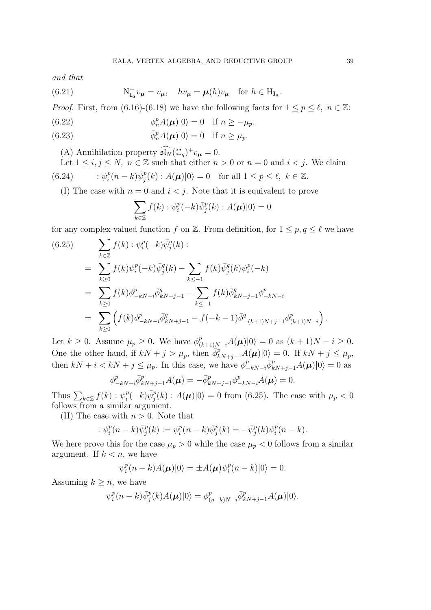and that

(6.21) 
$$
N_{I_a}^+ v_\mu = v_\mu, \quad hv_\mu = \mu(h)v_\mu \quad \text{for } h \in H_{I_a}.
$$

*Proof.* First, from (6.16)-(6.18) we have the following facts for  $1 \le p \le \ell$ ,  $n \in \mathbb{Z}$ :

(6.22) 
$$
\phi_n^p A(\boldsymbol{\mu}) |0\rangle = 0 \quad \text{if } n \ge -\mu_p,
$$

(6.23) 
$$
\bar{\phi}_n^p A(\boldsymbol{\mu}) |0\rangle = 0 \quad \text{if } n \ge \mu_p.
$$

(A) Annihilation property  $\widehat{\mathfrak{sl}_N}(\mathbb{C}_q)^+v_{\mu}=0.$ 

Let 
$$
1 \le i, j \le N
$$
,  $n \in \mathbb{Z}$  such that either  $n > 0$  or  $n = 0$  and  $i < j$ . We claim  
(6.24) 
$$
\therefore \psi_i^p(n-k)\overline{\psi}_j^p(k) : A(\boldsymbol{\mu})|0\rangle = 0 \text{ for all } 1 \le p \le \ell, k \in \mathbb{Z}.
$$

(I) The case with  $n = 0$  and  $i < j$ . Note that it is equivalent to prove

$$
\sum_{k\in\mathbb{Z}} f(k) : \psi_i^p(-k)\bar{\psi}_j^p(k) : A(\boldsymbol{\mu})|0\rangle = 0
$$

for any complex-valued function f on Z. From definition, for  $1 \leq p, q \leq \ell$  we have

(6.25)  
\n
$$
\sum_{k \in \mathbb{Z}} f(k) : \psi_i^p(-k) \bar{\psi}_j^q(k) :
$$
\n
$$
= \sum_{k \geq 0} f(k) \psi_i^p(-k) \bar{\psi}_j^q(k) - \sum_{k \leq -1} f(k) \bar{\psi}_j^q(k) \psi_i^p(-k)
$$
\n
$$
= \sum_{k \geq 0} f(k) \phi_{-kN-i}^p \bar{\phi}_{kN+j-1}^q - \sum_{k \leq -1} f(k) \bar{\phi}_{kN+j-1}^q \phi_{-kN-i}^p
$$
\n
$$
= \sum_{k \geq 0} \left( f(k) \phi_{-kN-i}^p \bar{\phi}_{kN+j-1}^q - f(-k-1) \bar{\phi}_{-(k+1)N+j-1}^q \phi_{(k+1)N-i}^p \right).
$$

Let  $k \geq 0$ . Assume  $\mu_p \geq 0$ . We have  $\phi^p_{(k+1)N-i}A(\boldsymbol{\mu})|0\rangle = 0$  as  $(k+1)N - i \geq 0$ . One the other hand, if  $kN + j > \mu_p$ , then  $\phi_{kN+j-1}^p A(\mu)|0\rangle = 0$ . If  $kN + j \leq \mu_p$ , then  $kN + i < kN + j \leq \mu_p$ . In this case, we have  $\phi_{-kN-i}^p \bar{\phi}_{kN+j-1}^p A(\mu)|0\rangle = 0$  as

$$
\phi_{-kN-i}^p \bar{\phi}_{kN+j-1}^p A(\mu) = -\bar{\phi}_{kN+j-1}^p \phi_{-kN-i}^p A(\mu) = 0.
$$

Thus  $\sum_{k\in\mathbb{Z}} f(k) : \psi_i^p$  $\bar{p}_i^p(-k)\bar{\psi}_j^p(k)$ :  $A(\mu)|0\rangle = 0$  from (6.25). The case with  $\mu_p < 0$ follows from a similar argument.

(II) The case with  $n > 0$ . Note that

$$
:\psi_i^p(n-k)\bar{\psi}_j^p(k):=\psi_i^p(n-k)\bar{\psi}_j^p(k)=-\bar{\psi}_j^p(k)\psi_i^p(n-k).
$$

We here prove this for the case  $\mu_p > 0$  while the case  $\mu_p < 0$  follows from a similar argument. If  $k < n$ , we have

$$
\psi_i^p(n-k)A(\boldsymbol{\mu})|0\rangle = \pm A(\boldsymbol{\mu})\psi_i^p(n-k)|0\rangle = 0.
$$

Assuming  $k \geq n$ , we have

$$
\psi_i^p(n-k)\bar{\psi}_j^p(k)A(\boldsymbol{\mu})|0\rangle = \phi_{(n-k)N-i}^p\bar{\phi}_{kN+j-1}^pA(\boldsymbol{\mu})|0\rangle.
$$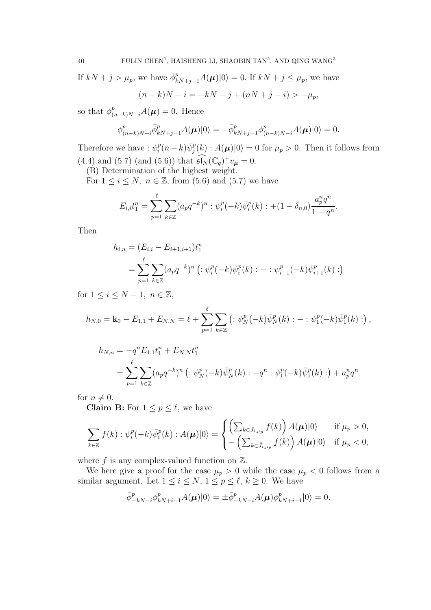If  $kN + j > \mu_p$ , we have  $\bar{\phi}_{kN+j-1}^p A(\mu)|0\rangle = 0$ . If  $kN + j \leq \mu_p$ , we have  $(n-k)N - i = -kN - j + (nN + j - i) > -\mu_p,$ 

so that  $\phi^p_{(n-k)N-i}A(\mu) = 0$ . Hence

$$
\phi_{(n-k)N-i}^p \overline{\phi}_{kN+j-1}^p A(\boldsymbol{\mu}) |0\rangle = -\overline{\phi}_{kN+j-1}^p \phi_{(n-k)N-i}^p A(\boldsymbol{\mu}) |0\rangle = 0.
$$

Therefore we have :  $\psi_i^p$  $i_p^p(n-k)\bar{\psi}_j^p(k)$ :  $A(\mu)|0\rangle = 0$  for  $\mu_p > 0$ . Then it follows from (4.4) and (5.7) (and (5.6)) that  $\widehat{\mathfrak{sl}_N}(\mathbb{C}_q)^+v_{\mu}=0.$ 

(B) Determination of the highest weight.

For  $1 \leq i \leq N$ ,  $n \in \mathbb{Z}$ , from (5.6) and (5.7) we have

$$
E_{i,i}t_1^n = \sum_{p=1}^{\ell} \sum_{k \in \mathbb{Z}} (a_p q^{-k})^n : \psi_i^p(-k)\bar{\psi}_i^p(k) : + (1 - \delta_{n,0})\frac{a_p^n q^n}{1 - q^n}.
$$

Then

$$
h_{i,n} = (E_{i,i} - E_{i+1,i+1})t_1^n
$$
  
= 
$$
\sum_{p=1}^{\ell} \sum_{k \in \mathbb{Z}} (a_p q^{-k})^n \left( : \psi_i^p(-k)\bar{\psi}_i^p(k) : - : \psi_{i+1}^p(-k)\bar{\psi}_{i+1}^p(k) : \right)
$$

for  $1 \leq i \leq N-1$ ,  $n \in \mathbb{Z}$ ,

$$
h_{N,0} = \mathbf{k}_0 - E_{1,1} + E_{N,N} = \ell + \sum_{p=1}^{\ell} \sum_{k \in \mathbb{Z}} \left( : \psi_N^p(-k) \bar{\psi}_N^p(k) : - : \psi_1^p(-k) \bar{\psi}_1^p(k) : \right),
$$

$$
h_{N,n} = -q^n E_{1,1} t_1^n + E_{N,N} t_1^n
$$
  
= 
$$
\sum_{p=1}^{\ell} \sum_{k \in \mathbb{Z}} (a_p q^{-k})^n \left( : \psi_N^p(-k) \bar{\psi}_N^p(k) : -q^n : \psi_1^p(-k) \bar{\psi}_1^p(k) : \right) + a_p^n q^n
$$

for  $n \neq 0$ .

**Claim B:** For  $1 \leq p \leq \ell$ , we have

$$
\sum_{k\in\mathbb{Z}} f(k) : \psi_i^p(-k)\bar{\psi}_i^p(k) : A(\boldsymbol{\mu})|0\rangle = \begin{cases} \left(\sum_{k\in J_{i,\mu_p}} f(k)\right) A(\boldsymbol{\mu})|0\rangle & \text{if } \mu_p > 0, \\ -\left(\sum_{k\in \bar{J}_{i,\mu_p}} f(k)\right) A(\boldsymbol{\mu})|0\rangle & \text{if } \mu_p < 0, \end{cases}
$$

where  $f$  is any complex-valued function on  $\mathbb{Z}$ .

We here give a proof for the case  $\mu_p > 0$  while the case  $\mu_p < 0$  follows from a similar argument. Let  $1 \leq i \leq N$ ,  $1 \leq p \leq \ell$ ,  $k \geq 0$ . We have

$$
\bar{\phi}^p_{-kN-i}\phi^p_{kN+i-1}A(\boldsymbol{\mu})|0\rangle = \pm \bar{\phi}^p_{-kN-i}A(\boldsymbol{\mu})\phi^p_{kN+i-1}|0\rangle = 0.
$$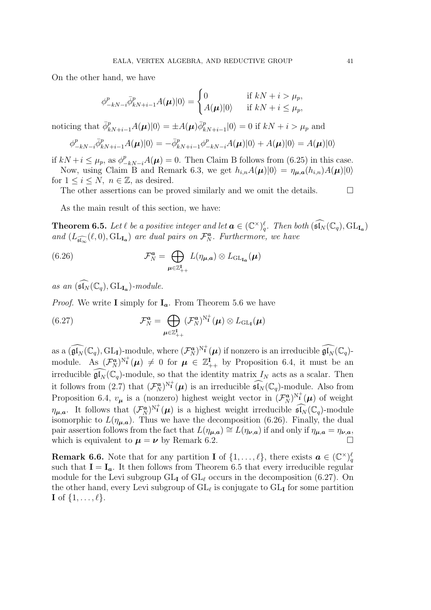On the other hand, we have

$$
\phi_{-kN-i}^p \bar{\phi}_{kN+i-1}^p A(\boldsymbol{\mu}) |0\rangle = \begin{cases} 0 & \text{if } kN+i > \mu_p, \\ A(\boldsymbol{\mu}) |0\rangle & \text{if } kN+i \leq \mu_p, \end{cases}
$$

noticing that  $\bar{\phi}_{kN+i-1}^p A(\mu)|0\rangle = \pm A(\mu)\bar{\phi}_{kN+i-1}^p|0\rangle = 0$  if  $kN + i > \mu_p$  and

$$
\phi_{-kN-i}^p \bar{\phi}_{kN+i-1}^p A(\boldsymbol{\mu})|0\rangle = -\bar{\phi}_{kN+i-1}^p \phi_{-kN-i}^p A(\boldsymbol{\mu})|0\rangle + A(\boldsymbol{\mu})|0\rangle = A(\boldsymbol{\mu})|0\rangle
$$

if  $kN + i \leq \mu_p$ , as  $\phi_{-kN-i}^p A(\mu) = 0$ . Then Claim B follows from (6.25) in this case. Now, using Claim B and Remark 6.3, we get  $h_{i,n}A(\mu)|0\rangle = \eta_{\mu,a}(h_{i,n})A(\mu)|0\rangle$ 

for  $1 \leq i \leq N$ ,  $n \in \mathbb{Z}$ , as desired.

The other assertions can be proved similarly and we omit the details.  $\Box$ 

As the main result of this section, we have:

**Theorem 6.5.** Let  $\ell$  be a positive integer and let  $\mathbf{a} \in (\mathbb{C}^{\times})_q^{\ell}$ . Then both  $(\widehat{\mathfrak{sl}_N}(\mathbb{C}_q), GL_{\mathbf{I}_{\mathbf{a}}})$ and  $(L_{\widehat{\mathfrak{sl}_\infty}}(\ell,0), GL_{\mathbf{I}_a})$  are dual pairs on  $\mathcal{F}_N^a$ . Furthermore, we have

(6.26) 
$$
\mathcal{F}_N^a = \bigoplus_{\mu \in \mathbb{Z}_{++}^{\mathbf{I}}} L(\eta_{\mu,a}) \otimes L_{\mathrm{GL}_{\mathbf{I}_{\mathbf{a}}}}(\mu)
$$

as an  $(\widehat{\mathfrak{sl}_N}(\mathbb{C}_q), GL_{\mathbf{I}_{\mathbf{a}}})$ -module.

*Proof.* We write I simply for  $I_a$ . From Theorem 5.6 we have

(6.27) 
$$
\mathcal{F}_N^{\mathbf{a}} = \bigoplus_{\boldsymbol{\mu} \in \mathbb{Z}_{++}^{\mathbf{I}}} (\mathcal{F}_N^{\mathbf{a}})^{N_{\mathbf{I}}^+}(\boldsymbol{\mu}) \otimes L_{\mathrm{GL}_{\mathbf{I}}}(\boldsymbol{\mu})
$$

as a  $(\widehat{\mathfrak{gl}_N}(\mathbb{C}_q), GL_I)$ -module, where  $(\mathcal{F}_N^{\boldsymbol{a}})^{N_I^+}(\boldsymbol{\mu})$  if nonzero is an irreducible  $\widehat{\mathfrak{gl}_N}(\mathbb{C}_q)$ module. As  $(\mathcal{F}_N^{\boldsymbol{a}})^{N^+_{\boldsymbol{\mathsf{I}}}}(\boldsymbol{\mu}) \neq 0$  for  $\boldsymbol{\mu} \in \mathbb{Z}_{++}^{\boldsymbol{\mathsf{I}}}$  by Proposition 6.4, it must be an irreducible  $\widehat{\mathfrak{gl}_N}(\mathbb{C}_q)$ -module, so that the identity matrix  $I_N$  acts as a scalar. Then it follows from (2.7) that  $(\mathcal{F}_N^{\mathbf{a}})^{N^+_{\mathbf{I}}}(\boldsymbol{\mu})$  is an irreducible  $\widehat{\mathfrak{sl}_N}(\mathbb{C}_q)$ -module. Also from Proposition 6.4,  $v_{\mu}$  is a (nonzero) highest weight vector in  $(\mathcal{F}_N^{\mathbf{a}})^{N^+_{\mathbf{I}}}(\mu)$  of weight  $\eta_{\mu,a}$ . It follows that  $(\mathcal{F}_N^a)^{N^+_1}(\mu)$  is a highest weight irreducible  $\widehat{\mathfrak{sl}_N}(\mathbb{C}_q)$ -module isomorphic to  $L(\eta_{\mu,a})$ . Thus we have the decomposition (6.26). Finally, the dual pair assertion follows from the fact that  $L(\eta_{\mu,a}) \cong L(\eta_{\nu,a})$  if and only if  $\eta_{\mu,a} = \eta_{\nu,a}$ , which is equivalent to  $\mu = \nu$  by Remark 6.2.

**Remark 6.6.** Note that for any partition **I** of  $\{1,\ldots,\ell\}$ , there exists  $\boldsymbol{a} \in (\mathbb{C}^{\times})_q^{\ell}$ such that  $I = I_a$ . It then follows from Theorem 6.5 that every irreducible regular module for the Levi subgroup  $GL_{\mathbf{I}}$  of  $GL_{\ell}$  occurs in the decomposition (6.27). On the other hand, every Levi subgroup of  $GL_{\ell}$  is conjugate to  $GL_{I}$  for some partition  $\mathbf{I}$  of  $\{1,\ldots,\ell\}.$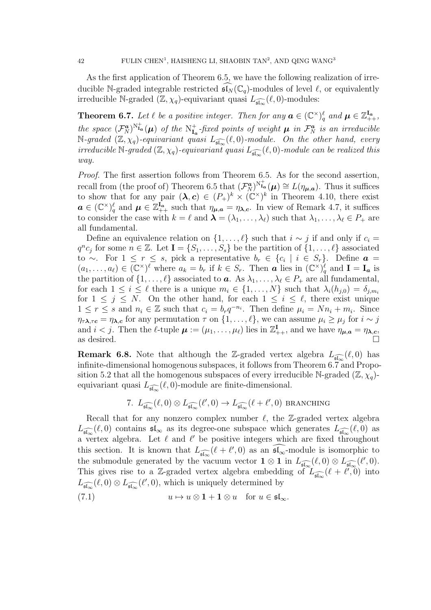As the first application of Theorem 6.5, we have the following realization of irreducible N-graded integrable restricted  $\widehat{\mathfrak{sl}_N}(\mathbb{C}_q)$ -modules of level  $\ell$ , or equivalently irreducible N-graded  $(\mathbb{Z}, \chi_q)$ -equivariant quasi  $L_{\widehat{\mathfrak{sl}_\infty}}(\ell, 0)$ -modules:

**Theorem 6.7.** Let  $\ell$  be a positive integer. Then for any  $\mathbf{a} \in (\mathbb{C}^{\times})_q^{\ell}$  and  $\mathbf{\mu} \in \mathbb{Z}_{++}^{\mathbf{I}_{\mathbf{a}}},$ the space  $(\mathcal{F}_{N}^{\boldsymbol{a}})^{N^+_{\boldsymbol{1a}}}(\boldsymbol{\mu})$  of the  $N^+_{\boldsymbol{1a}}$ -fixed points of weight  $\boldsymbol{\mu}$  in  $\mathcal{F}_{N}^{\boldsymbol{a}}$  is an irreducible  $\mathbb{N}\text{-}\mathit{graded }(\mathbb{Z},\chi_q)\text{-}\mathit{equivariant quasi }L_{\widehat{\mathfrak{sl}_\infty}}(\ell,0)\text{-}\mathit{module}.$  On the other hand, every irreducible N-graded  $(\mathbb{Z}, \chi_q)$ -equivariant quasi  $L_{\widehat{\mathfrak{sl}_\infty}}(\ell, 0)$ -module can be realized this way.

Proof. The first assertion follows from Theorem 6.5. As for the second assertion, recall from (the proof of) Theorem 6.5 that  $(\mathcal{F}_{N}^{\boldsymbol{a}})^{N^+_{\text{Ia}}}(\boldsymbol{\mu}) \cong L(\eta_{\boldsymbol{\mu},\boldsymbol{a}})$ . Thus it suffices to show that for any pair  $(\lambda, c) \in (P_+)^k \times (\mathbb{C}^{\times})^k$  in Theorem 4.10, there exist  $a \in (\mathbb{C}^{\times})_q^{\ell}$  and  $\mu \in \mathbb{Z}_{++}^{\mathbf{I}_{a}}$  such that  $\eta_{\mu,a} = \eta_{\lambda,c}$ . In view of Remark 4.7, it suffices to consider the case with  $k = \ell$  and  $\boldsymbol{\lambda} = (\lambda_1, \ldots, \lambda_\ell)$  such that  $\lambda_1, \ldots, \lambda_\ell \in P_+$  are all fundamental.

Define an equivalence relation on  $\{1,\ldots,\ell\}$  such that  $i \sim j$  if and only if  $c_i =$  $q^n c_j$  for some  $n \in \mathbb{Z}$ . Let  $\mathbf{I} = \{S_1, \ldots, S_s\}$  be the partition of  $\{1, \ldots, \ell\}$  associated to ∼. For  $1 \leq r \leq s$ , pick a representative  $b_r \in \{c_i \mid i \in S_r\}$ . Define  $\boldsymbol{a} =$  $(a_1,\ldots,a_\ell)\in (\mathbb{C}^\times)^{\ell}$  where  $a_k=b_r$  if  $k\in S_r$ . Then **a** lies in  $(\mathbb{C}^\times)^{\ell}_q$  and  $I=I_a$  is the partition of  $\{1,\ldots,\ell\}$  associated to  $\boldsymbol{a}$ . As  $\lambda_1,\ldots,\lambda_\ell\in P_+$  are all fundamental, for each  $1 \leq i \leq \ell$  there is a unique  $m_i \in \{1, ..., N\}$  such that  $\lambda_i(h_{i,0}) = \delta_{i,m_i}$ for  $1 \leq j \leq N$ . On the other hand, for each  $1 \leq i \leq \ell$ , there exist unique  $1 \leq r \leq s$  and  $n_i \in \mathbb{Z}$  such that  $c_i = b_r q^{-n_i}$ . Then define  $\mu_i = N n_i + m_i$ . Since  $\eta_{\tau\lambda,\tau\epsilon} = \eta_{\lambda,\epsilon}$  for any permutation  $\tau$  on  $\{1,\ldots,\ell\}$ , we can assume  $\mu_i \geq \mu_j$  for  $i \sim j$ and  $i < j$ . Then the  $\ell$ -tuple  $\mu := (\mu_1, \ldots, \mu_\ell)$  lies in  $\mathbb{Z}_{++}^{\mathbf{I}}$ , and we have  $\eta_{\mu,a} = \eta_{\lambda,c}$ , as desired.  $\square$ 

**Remark 6.8.** Note that although the Z-graded vertex algebra  $L_{\widehat{\mathfrak{sl}_{\infty}}}(\ell,0)$  has infinite-dimensional homogenous subspaces, it follows from Theorem 6.7 and Proposition 5.2 that all the homogenous subspaces of every irreducible N-graded  $(\mathbb{Z}, \chi_q)$ equivariant quasi  $L_{\widehat{\mathfrak{sl}_\infty}}(\ell,0)$ -module are finite-dimensional.

7. 
$$
L_{\widehat{\mathfrak{sl}_\infty}}(\ell,0)\otimes L_{\widehat{\mathfrak{sl}_\infty}}(\ell',0)\to L_{\widehat{\mathfrak{sl}_\infty}}(\ell+\ell',0)
$$
 *branching*

Recall that for any nonzero complex number  $\ell$ , the Z-graded vertex algebra  $L_{\widehat{\mathfrak{sl}_\infty}}(\ell,0)$  contains  $\mathfrak{sl}_\infty$  as its degree-one subspace which generates  $L_{\widehat{\mathfrak{sl}_\infty}}(\ell,0)$  as a vertex algebra. Let  $\ell$  and  $\ell'$  be positive integers which are fixed throughout this section. It is known that  $L_{\widehat{\mathfrak{sl}_\infty}}(\ell+\ell',0)$  as an  $\widehat{\mathfrak{sl}_\infty}$ -module is isomorphic to the submodule generated by the vacuum vector  $1 \otimes 1$  in  $L_{\widehat{\mathfrak{sl}_\infty}}(\ell,0) \otimes L_{\widehat{\mathfrak{sl}_\infty}}(\ell',0)$ . This gives rise to a Z-graded vertex algebra embedding of  $L_{\widehat{\mathfrak{sl}_\infty}}(\ell + \ell, 0)$  into  $L_{\widehat{\mathfrak{sl}_\infty}}(\ell,0)\otimes L_{\widehat{\mathfrak{sl}_\infty}}(\ell',0)$ , which is uniquely determined by

(7.1) 
$$
u \mapsto u \otimes \mathbf{1} + \mathbf{1} \otimes u \quad \text{for } u \in \mathfrak{sl}_{\infty}.
$$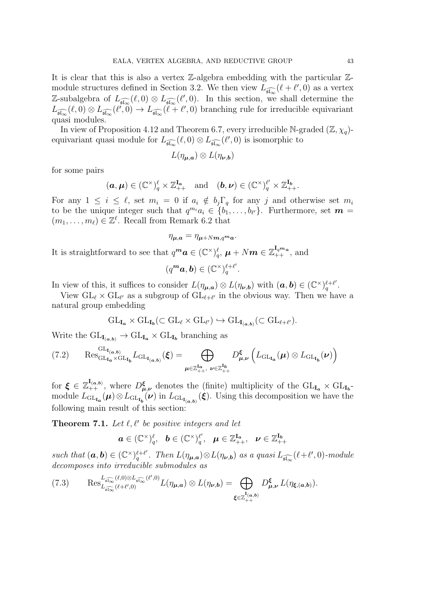It is clear that this is also a vertex  $\mathbb{Z}$ -algebra embedding with the particular  $\mathbb{Z}$ module structures defined in Section 3.2. We then view  $L_{\widehat{\mathfrak{sl}_\infty}}(\ell+\ell',0)$  as a vertex Z-subalgebra of  $L_{\widehat{\mathfrak{sl}_{\infty}}}(\ell,0) \otimes L_{\widehat{\mathfrak{sl}_{\infty}}}(\ell',0)$ . In this section, we shall determine the  $L_{\widehat{\mathfrak{sl}_\infty}}(\ell,0)\otimes L_{\widehat{\mathfrak{sl}_\infty}}(\ell',0)\to L_{\widehat{\mathfrak{sl}_\infty}}(\ell+\ell',0)$  branching rule for irreducible equivariant quasi modules.

In view of Proposition 4.12 and Theorem 6.7, every irreducible N-graded  $(\mathbb{Z}, \chi_q)$ equivariant quasi module for  $L_{\widehat{\mathfrak{sl}_\infty}}(\ell,0) \otimes L_{\widehat{\mathfrak{sl}_\infty}}(\ell',0)$  is isomorphic to

$$
L(\eta_{\boldsymbol{\mu},\boldsymbol{a}})\otimes L(\eta_{\boldsymbol{\nu},\boldsymbol{b}})
$$

for some pairs

$$
(\boldsymbol{a}, \boldsymbol{\mu}) \in (\mathbb{C}^{\times})_q^{\ell} \times \mathbb{Z}_{++}^{\mathbf{I}_{\boldsymbol{a}}} \text{ and } (\boldsymbol{b}, \boldsymbol{\nu}) \in (\mathbb{C}^{\times})_q^{\ell'} \times \mathbb{Z}_{++}^{\mathbf{I}_{\boldsymbol{b}}}.
$$

For any  $1 \leq i \leq \ell$ , set  $m_i = 0$  if  $a_i \notin b_j \Gamma_q$  for any j and otherwise set  $m_i$ to be the unique integer such that  $q^{m_i}a_i \in \{b_1, \ldots, b_{\ell'}\}$ . Furthermore, set  $m =$  $(m_1, \ldots, m_\ell) \in \mathbb{Z}^\ell$ . Recall from Remark 6.2 that

$$
\eta_{\mu,a} = \eta_{\mu+Nm,q^m a}.
$$

It is straightforward to see that  $q^m a \in (\mathbb{C}^{\times})_q^{\ell}, \mu + Nm \in \mathbb{Z}_{++}^{\mathbf{I}_{q^m a}},$  and

$$
(q^m a, b) \in (\mathbb{C}^\times)^{\ell + \ell'}_q.
$$

In view of this, it suffices to consider  $L(\eta_{\mu,a}) \otimes L(\eta_{\nu,b})$  with  $(a,b) \in (\mathbb{C}^\times)^{\ell+\ell'}_q$  $\frac{\ell + \ell'}{q}$  .

View  $GL_{\ell} \times GL_{\ell'}$  as a subgroup of  $GL_{\ell+\ell'}$  in the obvious way. Then we have a natural group embedding

$$
\mathrm{GL}_{\mathbf{I}_{\mathbf{a}}}\times \mathrm{GL}_{\mathbf{I}_{\mathbf{b}}}(\subset \mathrm{GL}_{\ell}\times \mathrm{GL}_{\ell'})\hookrightarrow \mathrm{GL}_{\mathbf{I}_{(\mathbf{a},\mathbf{b})}}(\subset \mathrm{GL}_{\ell+\ell'}).
$$

Write the  $\mathrm{GL}_{\mathbf{I}_{(a,b)}} \to \mathrm{GL}_{\mathbf{I}_{a}} \times \mathrm{GL}_{\mathbf{I}_{b}}$  branching as

$$
(7.2) \qquad \operatorname{Res}^{\operatorname{GL}_{\mathbf{I}_{\mathfrak{a}}}}_{\operatorname{GL}_{\mathbf{I}_{\mathfrak{a}}}\times\operatorname{GL}_{\mathbf{I}_{\mathfrak{b}}}} L_{\operatorname{GL}_{\mathbf{I}_{(\mathfrak{a},\mathfrak{b})}}}(\xi)=\bigoplus_{\mu\in\mathbb{Z}_{++}^{\mathbf{I}_{\mathfrak{a}}}},\ \nu\in\mathbb{Z}_{++}^{\mathbf{I}_{\mathfrak{b}}}} \left( L_{\operatorname{GL}_{\mathbf{I}_{\mathfrak{a}}}}(\mu)\otimes L_{\operatorname{GL}_{\mathbf{I}_{\mathfrak{b}}}}(\nu)\right)
$$

for  $\xi \in \mathbb{Z}_{++}^{\mathbf{I}_{(a,b)}}$ , where  $D_{\mu,\nu}^{\xi}$  denotes the (finite) multiplicity of the  $GL_{\mathbf{I}_{a}} \times GL_{\mathbf{I}_{b}}$ module  $L_{\text{GL}_{I_a}}(\mu) \otimes L_{\text{GL}_{I_b}}(\nu)$  in  $L_{\text{GL}_{I_{(a,b)}}}(\xi)$ . Using this decomposition we have the following main result of this section:

**Theorem 7.1.** Let  $\ell, \ell'$  be positive integers and let

$$
\boldsymbol{a}\in (\mathbb{C}^{\times})_q^{\ell}, \hspace{2mm} \boldsymbol{b}\in (\mathbb{C}^{\times})_q^{\ell'}, \hspace{2mm} \boldsymbol{\mu}\in \mathbb{Z}_{++}^{\mathrm{I}_{\mathrm{a}}}, \hspace{2mm} \boldsymbol{\nu}\in \mathbb{Z}_{++}^{\mathrm{I}_{\mathrm{b}}}
$$

such that  $(\mathbf{a}, \mathbf{b}) \in (\mathbb{C}^\times)^{\ell+\ell'}_{\mathbf{a}}$  $\int_q^{\ell+\ell'}$ . Then  $L(\eta_{\mu,a}) \otimes L(\eta_{\nu,b})$  as a quasi  $L_{\widehat{\mathfrak{sl}_\infty}}(\ell+\ell',0)$ -module decomposes into irreducible submodules as

$$
(7.3) \qquad \operatorname{Res}_{L_{\widehat{\mathfrak{sl}_\infty}}(\ell+\ell',0)}^{L_{\widehat{\mathfrak{sl}_\infty}}(\ell,0)\otimes L_{\widehat{\mathfrak{sl}_\infty}}(\ell',0)} L(\eta_{\mu,a}) \otimes L(\eta_{\nu,b}) = \bigoplus_{\xi \in \mathbb{Z}_{++}^{\mathrm{I}_{(a,b)}}} D_{\mu,\nu}^{\xi} L(\eta_{\xi,(a,b)}).
$$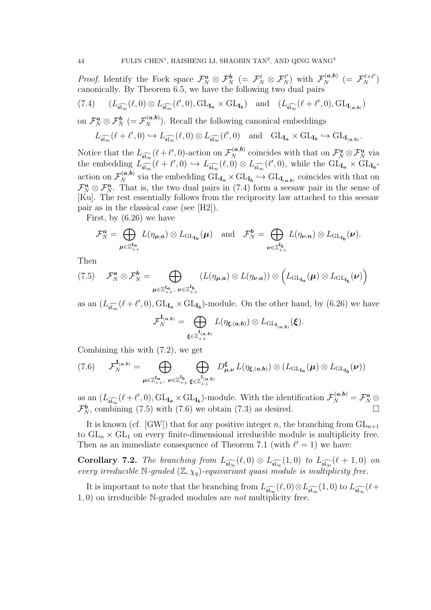*Proof.* Identify the Fock space  $\mathcal{F}_N^{\mathbf{a}} \otimes \mathcal{F}_N^{\mathbf{b}}$  (=  $\mathcal{F}_N^{\ell} \otimes \mathcal{F}_N^{\ell'}$ ) with  $\mathcal{F}_N^{(\mathbf{a},\mathbf{b})}$  (=  $\mathcal{F}_N^{\ell+\ell'}$ ) canonically. By Theorem 6.5, we have the following two dual pairs

(7.4) 
$$
(L_{\widehat{\mathfrak{sl}_\infty}}(\ell,0)\otimes L_{\widehat{\mathfrak{sl}_\infty}}(\ell',0),\mathrm{GL}_{\mathbf{I}_{\mathbf{a}}}\times \mathrm{GL}_{\mathbf{I}_{\mathbf{b}}})
$$
 and  $(L_{\widehat{\mathfrak{sl}_\infty}}(\ell+\ell',0),\mathrm{GL}_{\mathbf{I}_{(\mathbf{a},\mathbf{b})}})$ 

on  $\mathcal{F}_N^a \otimes \mathcal{F}_N^b$  (=  $\mathcal{F}_N^{(a,b)}$ ). Recall the following canonical embeddings

$$
L_{\widehat{\mathfrak{sl}_\infty}}(\ell+\ell',0)\hookrightarrow L_{\widehat{\mathfrak{sl}_\infty}}(\ell,0)\otimes L_{\widehat{\mathfrak{sl}_\infty}}(\ell',0)\quad\text{and}\quad \mathrm{GL}_{\mathbf{I}_{\mathbf{a}}}\times\mathrm{GL}_{\mathbf{I}_{\mathbf{b}}}\hookrightarrow\mathrm{GL}_{\mathbf{I}_{(\mathbf{a},\mathbf{b})}}.
$$

Notice that the  $L_{\widehat{\mathfrak{sl}_\infty}}(\ell+\ell',0)$ -action on  $\mathcal{F}_N^{(a,b)}$  coincides with that on  $\mathcal{F}_N^a \otimes \mathcal{F}_N^a$  via the embedding  $L_{\widehat{\mathfrak{sl}_\infty}}(\ell+\ell',0) \hookrightarrow L_{\widehat{\mathfrak{sl}_\infty}}(\ell,0) \otimes L_{\widehat{\mathfrak{sl}_\infty}}(\ell',0)$ , while the  $GL_{I_a} \times GL_{I_b}$ action on  $\mathcal{F}_N^{(a,b)}$  via the embedding  $GL_{I_a} \times GL_{I_b} \hookrightarrow GL_{I_{(a,b)}}$  coincides with that on  $\mathcal{F}_N^a \otimes \mathcal{F}_N^a$ . That is, the two dual pairs in (7.4) form a seesaw pair in the sense of [Ku]. The rest essentially follows from the reciprocity law attached to this seesaw pair as in the classical case (see [H2]).

First, by (6.26) we have

$$
\mathcal{F}_N^{\mathbf{a}} = \bigoplus_{\boldsymbol{\mu} \in \mathbb{Z}_{++}^{\mathbf{I}_{\mathbf{a}}}} L(\eta_{\boldsymbol{\mu},\mathbf{a}}) \otimes L_{\mathrm{GL}_{\mathbf{I}_{\mathbf{a}}}}(\boldsymbol{\mu}) \quad \text{and} \quad \mathcal{F}_N^{\boldsymbol{b}} = \bigoplus_{\boldsymbol{\nu} \in \mathbb{Z}_{++}^{\mathbf{I}_{\mathbf{b}}}} L(\eta_{\boldsymbol{\nu},\mathbf{n}}) \otimes L_{\mathrm{GL}_{\mathbf{I}_{\mathbf{b}}}}(\boldsymbol{\nu}).
$$

Then

$$
(7.5) \qquad \mathcal{F}_{N}^{\mathbf{a}} \otimes \mathcal{F}_{N}^{\mathbf{b}} = \bigoplus_{\boldsymbol{\mu} \in \mathbb{Z}_{++}^{\mathbf{I}_{\mathbf{a}}}, \ \boldsymbol{\nu} \in \mathbb{Z}_{++}^{\mathbf{I}_{\mathbf{b}}}} (L(\eta_{\boldsymbol{\mu},\mathbf{a}}) \otimes L(\eta_{\boldsymbol{\nu},\mathbf{a}})) \otimes \left( L_{\mathrm{GL}_{\mathbf{I}_{\mathbf{a}}}}(\boldsymbol{\mu}) \otimes L_{\mathrm{GL}_{\mathbf{I}_{\mathbf{b}}}}(\boldsymbol{\nu}) \right)
$$

as an  $(L_{\widehat{\mathfrak{sl}_\infty}}(\ell+\ell',0),GL_{\mathbf{I}_{\mathbf{a}}}\times GL_{\mathbf{I}_{\mathbf{b}}})$ -module. On the other hand, by (6.26) we have

$$
\mathcal{F}_N^{\mathbf{I}_{(a,b)}} = \bigoplus_{\xi \in \mathbb{Z}_{++}^{\mathbf{I}_{(a,b)}}} L(\eta_{\xi, (a,b)}) \otimes L_{\mathrm{GL}_{\mathbf{I}_{(a,b)}}}(\xi).
$$

Combining this with (7.2), we get

$$
(7.6) \qquad \mathcal{F}_N^{\mathbf{I}_{(\mathbf{a},\mathbf{b})}} = \bigoplus_{\boldsymbol{\mu} \in \mathbb{Z}_{++}^{\mathbf{I}_{\mathbf{a}}}}, \bigoplus_{\boldsymbol{\nu} \in \mathbb{Z}_{++}^{\mathbf{I}_{\mathbf{b}}}} \bigoplus_{\boldsymbol{\xi} \in \mathbb{Z}_{++}^{\mathbf{I}_{(\mathbf{a},\mathbf{b})}}} D_{\boldsymbol{\mu},\boldsymbol{\nu}}^{\boldsymbol{\xi}} L(\eta_{\boldsymbol{\xi},(\mathbf{a},\mathbf{b})}) \otimes (L_{\mathrm{GL}_{\mathbf{I}_{\mathbf{a}}}}(\boldsymbol{\mu}) \otimes L_{\mathrm{GL}_{\mathbf{I}_{\mathbf{b}}}}(\boldsymbol{\nu}))
$$

as an  $(L_{\widehat{\mathfrak{sl}_\infty}}(\ell+\ell',0), GL_{\mathbf{I}_{\mathbf{a}}}\times GL_{\mathbf{I}_{\mathbf{b}}})$ -module. With the identification  $\mathcal{F}_{N}^{(\mathbf{a},\mathbf{b})}=\mathcal{F}_{N}^{\mathbf{a}}\otimes$  $\mathcal{F}_{N}^{b}$ , combining (7.5) with (7.6) we obtain (7.3) as desired.

It is known (cf. [GW]) that for any positive integer n, the branching from  $GL_{n+1}$ to  $GL_n \times GL_1$  on every finite-dimensional irreducible module is multiplicity free. Then as an immediate consequence of Theorem 7.1 (with  $\ell' = 1$ ) we have:

**Corollary 7.2.** The branching from  $L_{\widehat{\mathfrak{sl}_\infty}}(\ell,0) \otimes L_{\widehat{\mathfrak{sl}_\infty}}(1,0)$  to  $L_{\widehat{\mathfrak{sl}_\infty}}(\ell+1,0)$  on every irreducible N-graded  $(\mathbb{Z}, \chi_q)$ -equivariant quasi module is multiplicity free.

It is important to note that the branching from  $L_{\widehat{\mathfrak{sl}_\infty}}(\ell,0)\otimes L_{\widehat{\mathfrak{sl}_\infty}}(1,0)$  to  $L_{\widehat{\mathfrak{sl}_\infty}}(\ell+1)$ 1, 0) on irreducible N-graded modules are not multiplicity free.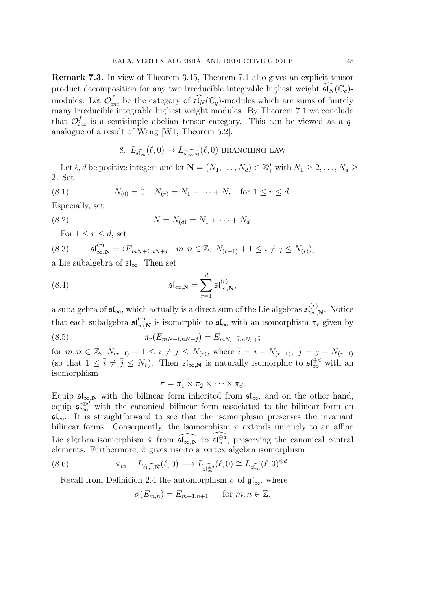Remark 7.3. In view of Theorem 3.15, Theorem 7.1 also gives an explicit tensor product decomposition for any two irreducible integrable highest weight  $\mathfrak{sl}_N(\mathbb{C}_q)$ modules. Let  $\mathcal{O}_{int}^f$  be the category of  $\widehat{\mathfrak{sl}_N}(\mathbb{C}_q)$ -modules which are sums of finitely many irreducible integrable highest weight modules. By Theorem 7.1 we conclude that  $\mathcal{O}_{int}^{f}$  is a semisimple abelian tensor category. This can be viewed as a qanalogue of a result of Wang [W1, Theorem 5.2].

8. 
$$
L_{\widehat{\mathfrak{sl}_\infty}}(\ell,0) \to L_{\widehat{\mathfrak{sl}_{\infty,{\bf N}}}}(\ell,0)
$$
 *BRANCHING LAW*

Let  $\ell, d$  be positive integers and let  $\mathbf{N} = (N_1, \ldots, N_d) \in \mathbb{Z}_+^d$  with  $N_1 \geq 2, \ldots, N_d \geq 1$ 2. Set

(8.1) 
$$
N_{(0)} = 0, \quad N_{(r)} = N_1 + \cdots + N_r \quad \text{for } 1 \le r \le d.
$$

Especially, set

(8.2) 
$$
N = N_{(d)} = N_1 + \dots + N_d.
$$

For  $1 \leq r \leq d$ , set

(8.3) 
$$
\mathfrak{sl}_{\infty,\mathbf{N}}^{(r)} = \langle E_{mN+i,nN+j} \mid m, n \in \mathbb{Z}, N_{(r-1)} + 1 \le i \ne j \le N_{(r)} \rangle,
$$

a Lie subalgebra of  $\mathfrak{sl}_{\infty}$ . Then set

(8.4) 
$$
\mathfrak{sl}_{\infty,\mathbf{N}} = \sum_{r=1}^d \mathfrak{sl}_{\infty,\mathbf{N}}^{(r)},
$$

a subalgebra of  $\mathfrak{sl}_{\infty}$ , which actually is a direct sum of the Lie algebras  $\mathfrak{sl}_{\infty,N}^{(r)}$ . Notice that each subalgebra  $\mathfrak{sl}_{\infty,N}^{(r)}$  is isomorphic to  $\mathfrak{sl}_{\infty}$  with an isomorphism  $\pi_r$  given by

(8.5) 
$$
\pi_r(E_{mN+i,nN+j}) = E_{mN_r + \bar{i}, nN_r + \bar{j}}
$$

for  $m, n \in \mathbb{Z}, N_{(r-1)} + 1 \leq i \neq j \leq N_{(r)}$ , where  $\overline{i} = i - N_{(r-1)}, \overline{j} = j - N_{(r-1)}$ (so that  $1 \leq \bar{i} \neq \bar{j} \leq N_r$ ). Then  $\mathfrak{sl}_{\infty, \mathbb{N}}$  is naturally isomorphic to  $\mathfrak{sl}_{\infty}^{\oplus d}$  with an isomorphism

$$
\pi = \pi_1 \times \pi_2 \times \cdots \times \pi_d.
$$

Equip  $\mathfrak{sl}_{\infty,N}$  with the bilinear form inherited from  $\mathfrak{sl}_{\infty}$ , and on the other hand, equip  $\mathfrak{sl}_{\infty}^{\oplus d}$  with the canonical bilinear form associated to the bilinear form on  $\mathfrak{sl}_{\infty}$ . It is straightforward to see that the isomorphism preserves the invariant bilinear forms. Consequently, the isomorphism  $\pi$  extends uniquely to an affine Lie algebra isomorphism  $\hat{\pi}$  from  $\widehat{\mathfrak{sl}_{\infty,\mathbf{N}}}$  to  $\widehat{\mathfrak{sl}_{\infty,\mathbf{N}}}$ , preserving the canonical central elements. Furthermore,  $\hat{\pi}$  gives rise to a vertex algebra isomorphism

(8.6) 
$$
\pi_{va}: L_{\widehat{\mathfrak{sl}_\infty,\mathbf{N}}}(\ell,0)\longrightarrow L_{\widehat{\mathfrak{sl}_\infty}(\ell,0)}\cong L_{\widehat{\mathfrak{sl}_\infty}}(\ell,0)^{\otimes d}.
$$

Recall from Definition 2.4 the automorphism  $\sigma$  of  $\mathfrak{gl}_{\infty}$ , where

$$
\sigma(E_{m,n}) = E_{m+1,n+1} \quad \text{for } m, n \in \mathbb{Z}.
$$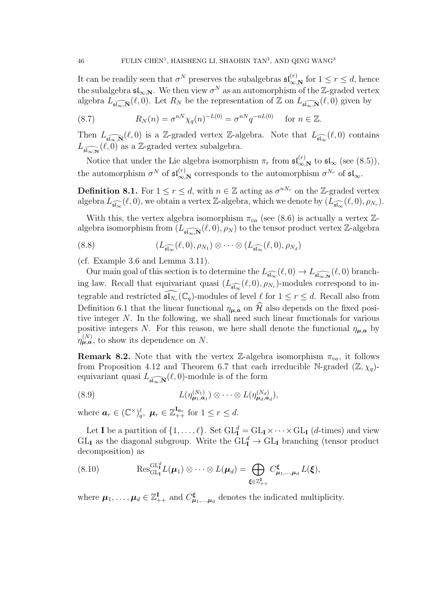It can be readily seen that  $\sigma^N$  preserves the subalgebras  $\mathfrak{sl}_{\infty,N}^{(r)}$  for  $1 \le r \le d$ , hence the subalgebra  $\mathfrak{sl}_{\infty,{\bf N}}$ . We then view  $\sigma^N$  as an automorphism of the Z-graded vertex algebra  $\widetilde{L_{\widehat{\mathfrak{sl}_\infty,\mathbb{N}}}}(\ell,0)$ . Let  $R_N$  be the representation of  $\mathbb Z$  on  $\widetilde{L_{\widehat{\mathfrak{sl}_\infty,\mathbb{N}}}}(\ell,0)$  given by

(8.7) 
$$
R_N(n) = \sigma^{nN} \chi_q(n)^{-L(0)} = \sigma^{nN} q^{-nL(0)} \text{ for } n \in \mathbb{Z}.
$$

Then  $L_{\widehat{\mathfrak{sl}_\infty,\mathbb{N}}}(\ell,0)$  is a Z-graded vertex Z-algebra. Note that  $L_{\widehat{\mathfrak{sl}_\infty}}(\ell,0)$  contains  $L_{\widehat{\mathfrak{sl}_{\infty,{\bf N}}}}(\ell,0)$  as a Z-graded vertex subalgebra.

Notice that under the Lie algebra isomorphism  $\pi_r$  from  $\mathfrak{sl}_{\infty,N}^{\langle r \rangle}$  to  $\mathfrak{sl}_{\infty}$  (see (8.5)), the automorphism  $\sigma^N$  of  $\mathfrak{sl}_{\infty,N}^{(r)}$  corresponds to the automorphism  $\sigma^{N_r}$  of  $\mathfrak{sl}_{\infty}$ .

**Definition 8.1.** For  $1 \leq r \leq d$ , with  $n \in \mathbb{Z}$  acting as  $\sigma^{nN_r}$  on the Z-graded vertex algebra  $L_{\widehat{\mathfrak{sl}_\infty}}(\ell,0)$ , we obtain a vertex Z-algebra, which we denote by  $(\widehat{L}_{\widehat{\mathfrak{sl}_\infty}}(\ell,0),\rho_{N_r})$ .

With this, the vertex algebra isomorphism  $\pi_{va}$  (see (8.6) is actually a vertex  $\mathbb{Z}$ algebra isomorphism from  $(L_{\widehat{\mathfrak{sl}_\infty,\mathbb{N}}}(\ell,0), \rho_N)$  to the tensor product vertex Z-algebra

(8.8) 
$$
(L_{\widehat{\mathfrak{sl}_\infty}}(\ell,0),\rho_{N_1})\otimes\cdots\otimes (L_{\widehat{\mathfrak{sl}_\infty}}(\ell,0),\rho_{N_d})
$$

(cf. Example 3.6 and Lemma 3.11).

Our main goal of this section is to determine the  $L_{\widehat{\mathfrak{sl}_\infty}}(\ell,0) \to L_{\widehat{\mathfrak{sl}_{\infty,{\bf N}}}}(\ell,0)$  branching law. Recall that equivariant quasi  $(L_{\widehat{\mathfrak{sl}_\infty}}(\ell,0), \rho_{N_r})$ -modules correspond to integrable and restricted  $\widehat{\mathfrak{sl}_{N_r}}(\mathbb{C}_q)$ -modules of level  $\ell$  for  $1 \leq r \leq d$ . Recall also from Definition 6.1 that the linear functional  $\eta_{\mu,a}$  on  $\hat{\mathcal{H}}$  also depends on the fixed positive integer N. In the following, we shall need such linear functionals for various positive integers N. For this reason, we here shall denote the functional  $\eta_{\mu,a}$  by  $\eta_{\mu,a}^{(N)}$ , to show its dependence on N.

**Remark 8.2.** Note that with the vertex Z-algebra isomorphism  $\pi_{va}$ , it follows from Proposition 4.12 and Theorem 6.7 that each irreducible N-graded  $(\mathbb{Z}, \chi_q)$ equivariant quasi  $L_{\widehat{\mathfrak{sl}_\infty,\mathbb{N}}}(\ell,0)$ -module is of the form

(8.9) 
$$
L(\eta_{\mu_1,\mathbf{a}_1}^{(N_1)}) \otimes \cdots \otimes L(\eta_{\mu_d,\mathbf{a}_d}^{(N_d)}),
$$

where  $\mathbf{a}_r \in (\mathbb{C}^{\times})_q^{\ell}, \ \mathbf{\mu}_r \in \mathbb{Z}_{++}^{\mathbf{I}_{\mathbf{a}_r}}$  for  $1 \leq r \leq d$ .

Let **I** be a partition of  $\{1, \ldots, \ell\}$ . Set  $\mathrm{GL}_{\mathbf{I}}^d = \mathrm{GL}_{\mathbf{I}} \times \cdots \times \mathrm{GL}_{\mathbf{I}}$  (*d*-times) and view  $GL_{\mathbf{I}}$  as the diagonal subgroup. Write the  $GL_{\mathbf{I}}^d \to GL_{\mathbf{I}}$  branching (tensor product decomposition) as

(8.10) 
$$
\operatorname{Res}_{\mathrm{GL}_{\mathbf{I}}}^{\mathrm{GL}_{\mathbf{I}}^{\mathbf{I}}} L(\boldsymbol{\mu}_1) \otimes \cdots \otimes L(\boldsymbol{\mu}_d) = \bigoplus_{\boldsymbol{\xi} \in \mathbb{Z}_{++}^{\mathbf{I}}} C_{\boldsymbol{\mu}_1,\ldots,\boldsymbol{\mu}_d}^{\boldsymbol{\xi}} L(\boldsymbol{\xi}),
$$

where  $\mu_1, \ldots, \mu_d \in \mathbb{Z}_{++}^{\mathbf{I}}$  and  $C_{\mu_1,\ldots,\mu_d}^{\xi}$  denotes the indicated multiplicity.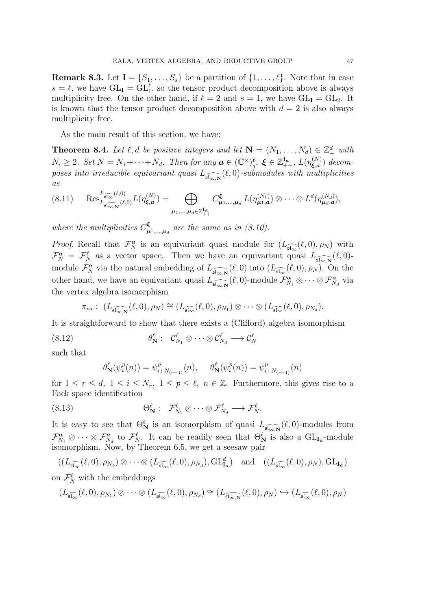**Remark 8.3.** Let  $I = \{S_1, \ldots, S_s\}$  be a partition of  $\{1, \ldots, \ell\}$ . Note that in case  $s = \ell$ , we have  $GL_{\mathbf{I}} = GL_1^{\ell}$ , so the tensor product decomposition above is always multiplicity free. On the other hand, if  $\ell = 2$  and  $s = 1$ , we have  $GL_{\mathbf{I}} = GL_2$ . It is known that the tensor product decomposition above with  $d = 2$  is also always multiplicity free.

As the main result of this section, we have:

**Theorem 8.4.** Let  $\ell$ , d be positive integers and let  $\mathbf{N} = (N_1, \ldots, N_d) \in \mathbb{Z}_+^d$  with  $N_i \geq 2$ . Set  $N = N_1 + \cdots + N_d$ . Then for any  $\boldsymbol{a} \in (\mathbb{C}^{\times})_q^{\ell}$ ,  $\boldsymbol{\xi} \in \mathbb{Z}_{++}^{\mathbf{I}_{\mathbf{a}}}$ ,  $L(\eta_{\boldsymbol{\xi},\boldsymbol{a}}^{(N)})$  $\zeta_{\mathbf{a},\mathbf{a}}^{(N)}$ ) decomposes into irreducible equivariant quasi  $L_{\widehat{\mathfrak{sl}_{\infty,{\bf N}}}}(\ell,0)$ -submodules with multiplicities as

$$
(8.11) \quad \operatorname{Res}_{L_{\widehat{\mathfrak{sl}_{\infty,\mathbf{N}}}}}^{L_{\widehat{\mathfrak{sl}_{\infty}}}(\ell,0)} L(\eta_{\xi,a}^{(N)}) = \bigoplus_{\mu_1,\dots,\mu_d \in \mathbb{Z}_{++}^{\mathbf{I}_{\mathbf{a}}}} C_{\mu_1,\dots,\mu_d}^{\xi} L(\eta_{\mu_1,a}^{(N_1)}) \otimes \dots \otimes L^d(\eta_{\mu_d,a}^{(N_d)}),
$$

where the multiplicities  $C_{\mu}^{\xi}$  $\mathbf{L}_{\boldsymbol{\mu}^1,\dots,\boldsymbol{\mu}_d}^{\boldsymbol{\kappa}}$  are the same as in (8.10).

*Proof.* Recall that  $\mathcal{F}_N^a$  is an equivariant quasi module for  $(L_{\widehat{\mathfrak{sl}_\infty}}(\ell,0),\rho_N)$  with  $\mathcal{F}_N^a = \mathcal{F}_N^{\ell}$  as a vector space. Then we have an equivariant quasi  $L_{\widehat{\mathfrak{sl}_{\infty,{\bf N}}}}(\ell,0)$ module  $\mathcal{F}_{N}^{\boldsymbol{a}}$  via the natural embedding of  $L_{\widehat{\mathfrak{sl}_{\infty,{\bf N}}}}(\ell,0)$  into  $(L_{\widehat{\mathfrak{sl}_{\infty}}}(\ell,0),\rho_N)$ . On the other hand, we have an equivariant quasi  $L_{\widehat{\mathfrak{sl}_{\infty,{\bf N}}}}(\ell,0)$ -module  $\mathcal{F}_{N_1}^{\bf{a}} \otimes \cdots \otimes \mathcal{F}_{N_d}^{\bf{a}}$  via the vertex algebra isomorphism

$$
\pi_{va}: (L_{\widehat{\mathfrak{sl}_{\infty,{\bf N}}}}(\ell,0),\rho_N)\cong (L_{\widehat{\mathfrak{sl}_{\infty}}}(\ell,0),\rho_{N_1})\otimes\cdots\otimes (L_{\widehat{\mathfrak{sl}_{\infty}}}(\ell,0),\rho_{N_d}).
$$

It is straightforward to show that there exists a (Clifford) algebra isomorphism

θ ℓ <sup>N</sup> : C ℓ <sup>N</sup><sup>1</sup> ⊗ · · · ⊗ C<sup>ℓ</sup> <sup>N</sup><sup>d</sup> −→ C<sup>ℓ</sup> (8.12) <sup>N</sup>

such that

$$
\theta_{\mathbf{N}}^{\ell}(\psi_i^p(n)) = \psi_{i+N_{(r-1)}}^p(n), \quad \theta_{\mathbf{N}}^{\ell}(\bar{\psi}_i^p(n)) = \bar{\psi}_{i+N_{(r-1)}}^p(n)
$$

for  $1 \leq r \leq d, 1 \leq i \leq N_r, 1 \leq p \leq \ell, n \in \mathbb{Z}$ . Furthermore, this gives rise to a Fock space identification

(8.13) 
$$
\Theta_{\mathbf{N}}^{\ell}: \ \mathcal{F}_{N_1}^{\ell} \otimes \cdots \otimes \mathcal{F}_{N_d}^{\ell} \longrightarrow \mathcal{F}_{N}^{\ell}.
$$

It is easy to see that  $\Theta_{\bf N}^{\ell}$  is an isomorphism of quasi  $L_{\widehat{\mathfrak{sl}_{\infty,{\bf N}}}}(\ell,0)$ -modules from  $\mathcal{F}_{N_1}^{\boldsymbol{a}} \otimes \cdots \otimes \mathcal{F}_{N_d}^{\boldsymbol{a}}$  to  $\mathcal{F}_{N}^{\ell}$ . It can be readily seen that  $\Theta_{\bf N}^{\ell}$  is also a  $GL_{I_{\boldsymbol{a}}}$ -module isomorphism. Now, by Theorem 6.5, we get a seesaw pair

$$
((L_{\widehat{\mathfrak{sl}_\infty}}(\ell,0),\rho_{N_1})\otimes\cdots\otimes(L_{\widehat{\mathfrak{sl}_\infty}}(\ell,0),\rho_{N_d}),\mathrm{GL}_{\mathbf{I}_a}^d) \text{ and } ((L_{\widehat{\mathfrak{sl}_\infty}}(\ell,0),\rho_N),\mathrm{GL}_{\mathbf{I}_a})
$$

on  $\mathcal{F}_N^{\ell}$  with the embeddings

$$
(L_{\widehat{\mathfrak{sl}_\infty}}(\ell,0),\rho_{N_1})\otimes\cdots\otimes (L_{\widehat{\mathfrak{sl}_\infty}}(\ell,0),\rho_{N_d})\cong (L_{\widehat{\mathfrak{sl}_{\infty,{\bf N}}}}(\ell,0),\rho_N)\hookrightarrow (L_{\widehat{\mathfrak{sl}_\infty}}(\ell,0),\rho_N)
$$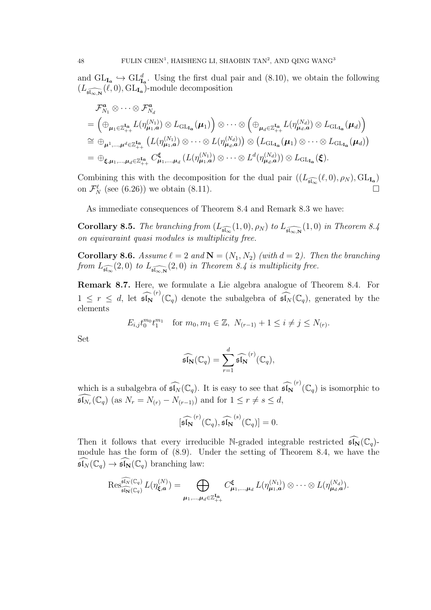and  $GL_{I_a} \hookrightarrow GL_{I_a}^d$ . Using the first dual pair and (8.10), we obtain the following  $(L_{\widehat{\mathfrak{sl}_{\infty,{\bf N}}}}(\ell,0),\mathrm{GL}_{{\bf I}_{\bm a}})$ -module decomposition

$$
\mathcal{F}_{N_1}^{\mathbf{a}} \otimes \cdots \otimes \mathcal{F}_{N_d}^{\mathbf{a}}
$$
\n
$$
= \left( \bigoplus_{\mu_1 \in \mathbb{Z}_{++}^{\mathbf{I}_{\mathbf{a}}}} L(\eta_{\mu_1, \mathbf{a}}^{(N_1)}) \otimes L_{\mathrm{GL}_{\mathbf{I}_{\mathbf{a}}}}(\mu_1) \right) \otimes \cdots \otimes \left( \bigoplus_{\mu_d \in \mathbb{Z}_{++}^{\mathbf{I}_{\mathbf{a}}}} L(\eta_{\mu_d, \mathbf{a}}^{(N_d)}) \otimes L_{\mathrm{GL}_{\mathbf{I}_{\mathbf{a}}}}(\mu_d) \right)
$$
\n
$$
\cong \bigoplus_{\mu^1, \dots, \mu^d \in \mathbb{Z}_{++}^{\mathbf{I}_{\mathbf{a}}}} \left( L(\eta_{\mu_1, \mathbf{a}}^{(N_1)}) \otimes \cdots \otimes L(\eta_{\mu_d, \mathbf{a}}^{(N_d)}) \right) \otimes \left( L_{\mathrm{GL}_{\mathbf{I}_{\mathbf{a}}}}(\mu_1) \otimes \cdots \otimes L_{\mathrm{GL}_{\mathbf{I}_{\mathbf{a}}}}(\mu_d) \right)
$$
\n
$$
= \bigoplus_{\xi, \mu_1, \dots, \mu_d \in \mathbb{Z}_{++}^{\mathbf{I}_{\mathbf{a}}}} C_{\mu_1, \dots, \mu_d}^{\xi} (L(\eta_{\mu_1, \mathbf{a}}^{(N_1)}) \otimes \cdots \otimes L^d(\eta_{\mu_d, \mathbf{a}}^{(N_d)}) \otimes L_{\mathrm{GL}_{\mathbf{I}_{\mathbf{a}}}}(\xi).
$$

Combining this with the decomposition for the dual pair  $((L_{\widehat{\mathfrak{sl}_\infty}}(\ell,0),\rho_N),\mathrm{GL}_{\mathbf{I}_{\mathbf{a}}})$ on  $\mathcal{F}_N^{\ell}$  (see (6.26)) we obtain (8.11).

As immediate consequences of Theorem 8.4 and Remark 8.3 we have:

**Corollary 8.5.** The branching from  $(L_{\widehat{\mathfrak{sl}_\infty}}(1,0), \rho_N)$  to  $L_{\widehat{\mathfrak{sl}_{\infty,N}}}(1,0)$  in Theorem 8.4 on equivaraint quasi modules is multiplicity free.

**Corollary 8.6.** Assume  $\ell = 2$  and  $\mathbf{N} = (N_1, N_2)$  (with  $d = 2$ ). Then the branching from  $L_{\widehat{\mathfrak{sl}_\infty}}(2,0)$  to  $L_{\widehat{\mathfrak{sl}_{\infty,\mathbf{N}}}}(2,0)$  in Theorem 8.4 is multiplicity free.

Remark 8.7. Here, we formulate a Lie algebra analogue of Theorem 8.4. For  $1 \leq r \leq d$ , let  $\widehat{\mathfrak{sl}_N}^{(r)}(\mathbb{C}_q)$  denote the subalgebra of  $\widehat{\mathfrak{sl}_N}(\mathbb{C}_q)$ , generated by the elements

$$
E_{i,j}t_0^{m_0}t_1^{m_1} \quad \text{for } m_0, m_1 \in \mathbb{Z}, \ N_{(r-1)} + 1 \le i \ne j \le N_{(r)}.
$$

Set

$$
\widehat{\mathfrak{sl}_{{\bf N}}}(\mathbb{C}_q)=\sum_{r=1}^d\widehat{\mathfrak{sl}_{{\bf N}}}^{(r)}(\mathbb{C}_q),
$$

which is a subalgebra of  $\widehat{\mathfrak{sl}_N}(\mathbb{C}_q)$ . It is easy to see that  $\widehat{\mathfrak{sl}_N}^{(r)}(\mathbb{C}_q)$  is isomorphic to  $\widehat{\mathfrak{sl}_{N_r}}(\mathbb{C}_q)$  (as  $N_r = N_{(r)} - N_{(r-1)}$ ) and for  $1 \le r \ne s \le d$ ,

$$
[\widehat{\mathfrak{sl}_N}^{(r)}(\mathbb{C}_q), \widehat{\mathfrak{sl}_N}^{(s)}(\mathbb{C}_q)] = 0.
$$

Then it follows that every irreducible N-graded integrable restricted  $\widehat{\mathfrak{sl}_N}(\mathbb{C}_q)$ module has the form of (8.9). Under the setting of Theorem 8.4, we have the  $\widehat{\mathfrak{sl}_N}(\mathbb{C}_q) \to \widehat{\mathfrak{sl}_N}(\mathbb{C}_q)$  branching law:

$$
\operatorname{Res}_{\widehat{\mathfrak{sl}_N}(\mathbb{C}_q)}^{\widehat{\mathfrak{sl}_N}(\mathbb{C}_q)} L(\eta_{\xi,a}^{(N)}) = \bigoplus_{\mu_1,\dots,\mu_d \in \mathbb{Z}_{++}^{\mathbf{I}_{\mathbf{a}}}} C_{\mu_1,\dots,\mu_d}^{\xi} L(\eta_{\mu_1,a}^{(N_1)}) \otimes \cdots \otimes L(\eta_{\mu_d,a}^{(N_d)}).
$$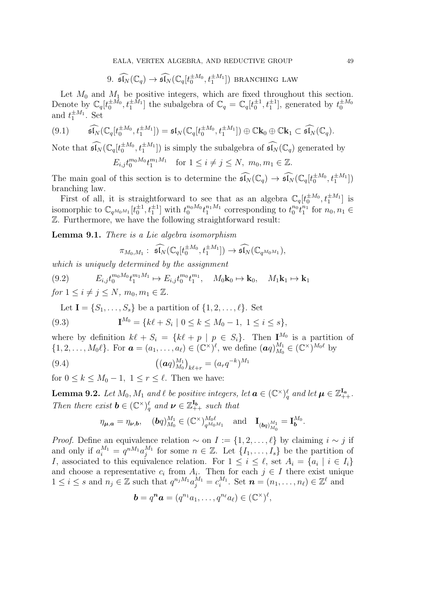9. 
$$
\widehat{\mathfrak{sl}_N}(\mathbb{C}_q) \to \widehat{\mathfrak{sl}_N}(\mathbb{C}_q[t_0^{\pm M_0}, t_1^{\pm M_1}])
$$
 BRANCHING LAW

Let  $M_0$  and  $M_1$  be positive integers, which are fixed throughout this section. Denote by  $\mathbb{C}_q[t_0^{\pm M_0}, t_1^{\pm M_1}]$  the subalgebra of  $\mathbb{C}_q = \mathbb{C}_q[t_0^{\pm 1}, t_1^{\pm 1}]$ , generated by  $t_0^{\pm M_0}$ and  $t_1^{\pm M_1}$ . Set

$$
(9.1) \qquad \widehat{\mathfrak{sl}_N}(\mathbb{C}_q[t_0^{\pm M_0}, t_1^{\pm M_1}]) = \mathfrak{sl}_N(\mathbb{C}_q[t_0^{\pm M_0}, t_1^{\pm M_1}]) \oplus \mathbb{C}\mathbf{k}_0 \oplus \mathbb{C}\mathbf{k}_1 \subset \widehat{\mathfrak{sl}_N}(\mathbb{C}_q).
$$

Note that  $\widehat{\mathfrak{sl}_N}(\mathbb{C}_q[t_0^{\pm M_0}, t_1^{\pm M_1}])$  is simply the subalgebra of  $\widehat{\mathfrak{sl}_N}(\mathbb{C}_q)$  generated by

$$
E_{i,j}t_0^{m_0M_0}t_1^{m_1M_1} \quad \text{for } 1 \le i \ne j \le N, \ m_0, m_1 \in \mathbb{Z}.
$$

The main goal of this section is to determine the  $\widehat{\mathfrak{sl}_N}(\mathbb{C}_q) \to \widehat{\mathfrak{sl}_N}(\mathbb{C}_q[t_0^{\pm M_0}, t_1^{\pm M_1}])$ branching law.

First of all, it is straightforward to see that as an algebra  $\mathbb{C}_q[t_0^{\pm M_0}, t_1^{\pm M_1}]$  is isomorphic to  $\mathbb{C}_{q^{M_0M_1}}[t_0^{\pm 1}, t_1^{\pm 1}]$  with  $t_0^{n_0M_0}t_1^{n_1M_1}$  corresponding to  $t_0^{n_0}t_1^{n_1}$  for  $n_0, n_1 \in$ Z. Furthermore, we have the following straightforward result:

Lemma 9.1. There is a Lie algebra isomorphism

$$
\pi_{M_0,M_1}: \; \widehat{\mathfrak{sl}_N}(\mathbb{C}_q[t_0^{\pm M_0},t_1^{\pm M_1}]) \to \widehat{\mathfrak{sl}_N}(\mathbb{C}_{q^{M_0M_1}}),
$$

which is uniquely determined by the assignment

(9.2)  $E_{i,j} t_0^{m_0 M_0} t_1^{m_1 M_1} \mapsto E_{i,j} t_0^{m_0} t_1^{m_1}, \quad M_0 \mathbf{k}_0 \mapsto \mathbf{k}_0, \quad M_1 \mathbf{k}_1 \mapsto \mathbf{k}_1$ for  $1 \leq i \neq j \leq N$ ,  $m_0, m_1 \in \mathbb{Z}$ .

Let  $I = \{S_1, \ldots, S_s\}$  be a partition of  $\{1, 2, \ldots, \ell\}$ . Set

(9.3) 
$$
\mathbf{I}^{M_0} = \{k\ell + S_i \mid 0 \le k \le M_0 - 1, 1 \le i \le s\},\
$$

where by definition  $k\ell + S_i = \{k\ell + p \mid p \in S_i\}$ . Then  $I^{M_0}$  is a partition of  $\{1, 2, \ldots, M_0\ell\}$ . For  $\boldsymbol{a} = (a_1, \ldots, a_\ell) \in (\mathbb{C}^\times)^{\ell}$ , we define  $(\boldsymbol{a}q)_{M_0}^{M_1}$  $\frac{M_1}{M_0} \in (\mathbb{C}^\times)^{M_0\ell}$  by

(9.4) 
$$
\left( \left( \boldsymbol{a} q \right)_{M_0}^{M_1} \right)_{k \ell + r} = \left( a_r q^{-k} \right)^{M_1}
$$

for  $0 \leq k \leq M_0 - 1$ ,  $1 \leq r \leq \ell$ . Then we have:

**Lemma 9.2.** Let  $M_0$ ,  $M_1$  and  $\ell$  be positive integers, let  $\boldsymbol{a} \in (\mathbb{C}^{\times})_q^{\ell}$  and let  $\boldsymbol{\mu} \in \mathbb{Z}_{++}^{\mathbf{I}_{\boldsymbol{a}}}$ . Then there exist  $\mathbf{b} \in (\mathbb{C}^{\times})_q^{\ell}$  and  $\mathbf{\nu} \in \mathbb{Z}_{++}^{\mathbf{I}_{b}}$  such that

$$
\eta_{\boldsymbol{\mu},\boldsymbol{a}} = \eta_{\boldsymbol{\nu},\boldsymbol{b}}, \quad (\boldsymbol{b}_q)_{M_0}^{M_1} \in (\mathbb{C}^\times)^{M_0\ell}_{q^{M_0M_1}} \quad \text{and} \quad \mathbf{I}_{(\boldsymbol{b}_q)_{M_0}^{M_1}} = \mathbf{I}_{\boldsymbol{b}}^{M_0}
$$

.

*Proof.* Define an equivalence relation  $\sim$  on  $I := \{1, 2, ..., \ell\}$  by claiming  $i \sim j$  if and only if  $a_i^{M_1} = q^{nM_1} a_j^{M_1}$  for some  $n \in \mathbb{Z}$ . Let  $\{I_1, \ldots, I_s\}$  be the partition of I, associated to this equivalence relation. For  $1 \leq i \leq \ell$ , set  $A_i = \{a_i \mid i \in I_i\}$ and choose a representative  $c_i$  from  $A_i$ . Then for each  $j \in I$  there exist unique  $1 \leq i \leq s$  and  $n_j \in \mathbb{Z}$  such that  $q^{n_j M_1} a_j^{M_1} = c_i^{M_1}$ . Set  $\boldsymbol{n} = (n_1, \ldots, n_\ell) \in \mathbb{Z}^\ell$  and

$$
\mathbf{b}=q^n\mathbf{a}=(q^{n_1}a_1,\ldots,q^{n_\ell}a_\ell)\in(\mathbb{C}^\times)^{\ell},
$$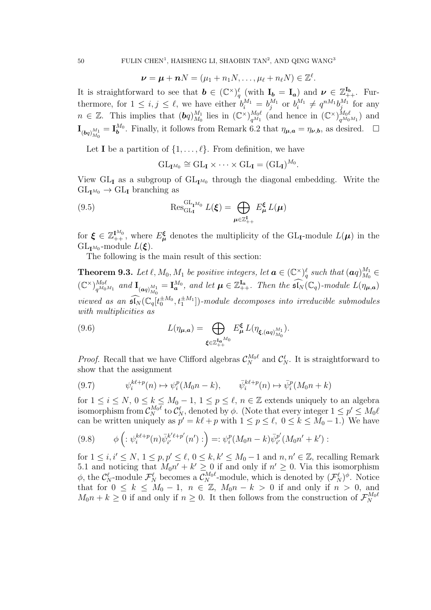$$
\boldsymbol{\nu} = \boldsymbol{\mu} + \boldsymbol{n} N = (\mu_1 + n_1 N, \dots, \mu_\ell + n_\ell N) \in \mathbb{Z}^\ell.
$$

It is straightforward to see that  $\mathbf{b} \in (\mathbb{C}^{\times})_q^{\ell}$  (with  $\mathbf{I}_b = \mathbf{I}_a$ ) and  $\mathbf{\nu} \in \mathbb{Z}_{++}^{\mathbf{I}_b}$ . Furthermore, for  $1 \leq i, j \leq \ell$ , we have either  $b_i^{M_1} = b_j^{M_1}$  or  $b_i^{M_1} \neq q^{nM_1}b_j^{M_1}$  for any  $n \in \mathbb{Z}$ . This implies that  $(\boldsymbol{b}q)_{M_0}^{M_1}$  $\frac{M_1}{M_0}$  lies in  $(\mathbb{C}^{\times})^{M_0\ell}_{q^{M_1}}$  $\frac{M_0\ell}{q^{M_1}}$  (and hence in  $(\mathbb{C}^{\times})_{q^{M_0\ell}}^{M_0\ell}$  $\frac{M_0\ell}{q^{M_0M_1}}$  and  $\mathbf{I}_{(\mathbf{b}q)_{M_0}^{M_1}} = \mathbf{I}_{\mathbf{b}}^{M_0}$ . Finally, it follows from Remark 6.2 that  $\eta_{\mathbf{\mu},\mathbf{a}} = \eta_{\mathbf{\nu},\mathbf{b}}$ , as desired.  $\Box$ 

Let I be a partition of  $\{1, \ldots, \ell\}$ . From definition, we have

$$
\mathrm{GL}_{{\bf I}^{M_0}}\cong \mathrm{GL}_{\bf I}\times \cdots \times \mathrm{GL}_{\bf I}=(\mathrm{GL}_{\bf I})^{M_0}.
$$

View  $GL_{\mathbf{I}}$  as a subgroup of  $GL_{\mathbf{I}^{M_0}}$  through the diagonal embedding. Write the  $GL_{I^{M_0}} \to GL_I$  branching as

(9.5) 
$$
\operatorname{Res}_{\mathrm{GL}_{\mathbf{I}}}^{\mathrm{GL}_{\mathbf{I}^{M_0}}} L(\boldsymbol{\xi}) = \bigoplus_{\boldsymbol{\mu} \in \mathbb{Z}_{++}^{\mathbf{I}}} E_{\boldsymbol{\mu}}^{\boldsymbol{\xi}} L(\boldsymbol{\mu})
$$

for  $\xi \in \mathbb{Z}_{++}^{\mathbf{I}^{M_0}}$ , where  $E_{\mu}^{\xi}$  denotes the multiplicity of the GL<sub>I</sub>-module  $L(\mu)$  in the  $GL_{I^{M_0}}$ -module  $L(\xi)$ .

The following is the main result of this section:

**Theorem 9.3.** Let  $\ell$ ,  $M_0$ ,  $M_1$  be positive integers, let  $\boldsymbol{a} \in (\mathbb{C}^{\times})^{\ell}_{q}$  such that  $(\boldsymbol{a}q)_{M_0}^{M_1}$  $\frac{M_1}{M_0} \in$  $(\mathbb{C}^{\times})^{M_0\ell}_{a^{M_0}}$  $_{q^{M_0M_1}}^{M_0\ell}$  and  $\mathbf{I}_{(aq)_{M_0}^{M_1}} = \mathbf{I}_{\boldsymbol{a}}^{M_0}$ , and let  $\boldsymbol{\mu} \in \mathbb{Z}_{++}^{\mathbf{I}_{\boldsymbol{a}}}$ . Then the  $\widehat{\mathfrak{sl}_N}(\mathbb{C}_q)$ -module  $L(\eta_{\boldsymbol{\mu},\boldsymbol{a}})$ viewed as an  $\widehat{\mathfrak{sl}_N}(\mathbb{C}_q[t_0^{\pm M_0}, t_1^{\pm M_1}])$ -module decomposes into irreducible submodules with multiplicities as

(9.6) 
$$
L(\eta_{\mu,a}) = \bigoplus_{\xi \in \mathbb{Z}_{++}^{\mathbf{I}_{a}M_{0}}} E_{\mu}^{\xi} L(\eta_{\xi,(aq)_{M_{0}}^{M_{1}}}).
$$

*Proof.* Recall that we have Clifford algebras  $\mathcal{C}_N^{M_0\ell}$  and  $\mathcal{C}_N^{\ell}$ . It is straightforward to show that the assignment

$$
(9.7) \qquad \psi_i^{k\ell+p}(n) \mapsto \psi_i^p(M_0n-k), \qquad \bar{\psi}_i^{k\ell+p}(n) \mapsto \bar{\psi}_i^p(M_0n+k)
$$

for  $1 \leq i \leq N$ ,  $0 \leq k \leq M_0 - 1$ ,  $1 \leq p \leq \ell$ ,  $n \in \mathbb{Z}$  extends uniquely to an algebra isomorphism from  $\mathcal{C}_N^{M_0\ell}$  to  $\mathcal{C}_N^{\ell}$ , denoted by  $\phi$ . (Note that every integer  $1 \le p' \le M_0\ell$ can be written uniquely as  $p' = k\ell + p$  with  $1 \le p \le \ell$ ,  $0 \le k \le M_0 - 1$ .) We have

$$
(9.8) \qquad \phi\left(\frac{1}{i}\psi_i^{k\ell+p}(n)\bar{\psi}_{i'}^{k'\ell+p'}(n')\right) = \frac{1}{i}\psi_i^p(M_0n-k)\bar{\psi}_{i'}^{p'}(M_0n'+k')\right).
$$

for  $1 \leq i, i' \leq N, 1 \leq p, p' \leq \ell, 0 \leq k, k' \leq M_0 - 1$  and  $n, n' \in \mathbb{Z}$ , recalling Remark 5.1 and noticing that  $M_0 n' + k' \ge 0$  if and only if  $n' \ge 0$ . Via this isomorphism  $\phi$ , the  $\mathcal{C}_N^{\ell}$ -module  $\mathcal{F}_N^{\ell}$  becomes a  $\mathcal{C}_N^{M_0\ell}$ -module, which is denoted by  $(\mathcal{F}_N^{\ell})^{\phi}$ . Notice that for  $0 \leq k \leq M_0 - 1$ ,  $n \in \mathbb{Z}$ ,  $M_0 n - k > 0$  if and only if  $n > 0$ , and  $M_0 n + k \geq 0$  if and only if  $n \geq 0$ . It then follows from the construction of  $\mathcal{F}_N^{M_0 \ell}$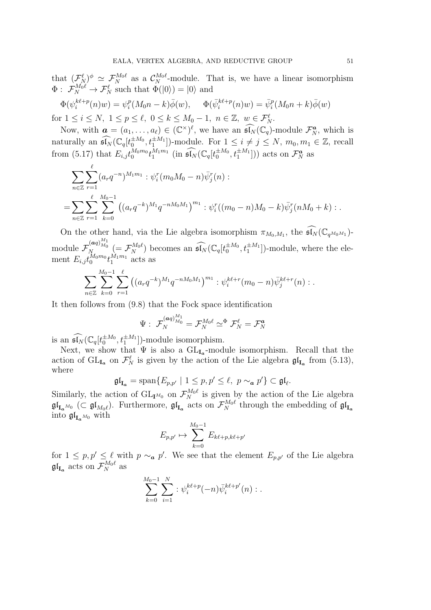that  $(\mathcal{F}_N^{\ell})^{\phi} \simeq \mathcal{F}_N^{M_0\ell}$  as a  $\mathcal{C}_N^{M_0\ell}$ -module. That is, we have a linear isomorphism  $\Phi: \ \mathcal{F}_N^{M_0 \ell} \to \mathcal{F}_N^{\ell}$  such that  $\Phi(|0\rangle) = |0\rangle$  and

$$
\Phi(\psi_i^{k\ell+p}(n)w) = \psi_i^p(M_0n-k)\overline{\phi}(w), \qquad \Phi(\overline{\psi}_i^{k\ell+p}(n)w) = \overline{\psi}_i^p(M_0n+k)\overline{\phi}(w)
$$
  
for  $1 \le i \le N$ ,  $1 \le p \le \ell$ ,  $0 \le k \le M_0-1$ ,  $n \in \mathbb{Z}$ ,  $w \in \mathcal{F}_N^{\ell}$ .

Now, with  $\mathbf{a} = (a_1, \ldots, a_\ell) \in (\mathbb{C}^\times)^{\ell}$ , we have an  $\widehat{\mathfrak{sl}_N}(\mathbb{C}_q)$ -module  $\mathcal{F}_N^{\mathbf{a}}$ , which is naturally an  $\widehat{\mathfrak{sl}_N}(\mathbb{C}_q[t_0^{\pm M_0}, t_1^{\pm M_1}])$ -module. For  $1 \leq i \neq j \leq N$ ,  $m_0, m_1 \in \mathbb{Z}$ , recall from (5.17) that  $E_{i,j}t_0^{M_0m_0}t_1^{M_1m_1}$  (in  $\widehat{\mathfrak{sl}_N}(\mathbb{C}_q[t_0^{\pm M_0}, t_1^{\pm M_1}]))$  acts on  $\mathcal{F}_N^{\boldsymbol{a}}$  as

$$
\sum_{n\in\mathbb{Z}}\sum_{r=1}^{\ell} (a_r q^{-n})^{M_1 m_1} : \psi_i^r (m_0 M_0 - n) \bar{\psi}_j^r(n) :
$$
  
= 
$$
\sum_{n\in\mathbb{Z}}\sum_{r=1}^{\ell} \sum_{k=0}^{M_0 - 1} ((a_r q^{-k})^{M_1} q^{-nM_0 M_1})^{m_1} : \psi_i^r ((m_0 - n)M_0 - k) \bar{\psi}_j^r (nM_0 + k) : .
$$

On the other hand, via the Lie algebra isomorphism  $\pi_{M_0,M_1}$ , the  $\widehat{\mathfrak{sl}_N}(\mathbb{C}_{q^{M_0M_1}})$ module  $\mathcal{F}_{N}^{(aq)_{M_0}^{M_1}}$  (=  $\mathcal{F}_{N}^{M_0\ell}$ ) becomes an  $\widehat{\mathfrak{sl}_N}(\mathbb{C}_q[t_0^{\pm M_0}, t_1^{\pm M_1}])$ -module, where the element  $E_{i,j}t_0^{M_0m_0}t_1^{M_1m_1}$  acts as

$$
\sum_{n\in\mathbb{Z}}\sum_{k=0}^{M_0-1}\sum_{r=1}^\ell \left((a_r q^{-k})^{M_1}q^{-nM_0M_1}\right)^{m_1}:\psi_i^{k\ell+r}(m_0-n)\bar{\psi}_j^{k\ell+r}(n):.
$$

It then follows from (9.8) that the Fock space identification

$$
\Psi:\; \mathcal{F}_N^{(\boldsymbol{a} \boldsymbol{q})_{M_0}^{M_1}} = \mathcal{F}_N^{M_0\ell} \simeq^\Phi \mathcal{F}_N^{\ell} = \mathcal{F}_N^{\boldsymbol{a}}
$$

is an  $\widehat{\mathfrak{sl}_N}(\mathbb{C}_q[t_0^{\pm M_0}, t_1^{\pm M_1}])$ -module isomorphism.

Next, we show that  $\Psi$  is also a  $GL_{I_a}$ -module isomorphism. Recall that the action of  $GL_{I_a}$  on  $\mathcal{F}_N^{\ell}$  is given by the action of the Lie algebra  $\mathfrak{gl}_{I_a}$  from (5.13), where

$$
\mathfrak{gl}_{\mathbf{I}_{\mathbf{a}}} = \mathrm{span}\{E_{p,p'} \mid 1 \le p, p' \le \ell, \ p \sim_{\mathbf{a}} p'\} \subset \mathfrak{gl}_{\ell}.
$$

Similarly, the action of  $GL_{\mathbf{I}^{M_0}}$  on  $\mathcal{F}_{N}^{M_0\ell}$  is given by the action of the Lie algebra  $\mathfrak{gl}_{I_{\mathbf{a}}^{M_0}}\ (\subset \mathfrak{gl}_{M_0\ell}).$  Furthermore,  $\mathfrak{gl}_{I_{\mathbf{a}}}$  acts on  $\mathcal{F}_N^{M_0\ell}$  through the embedding of  $\mathfrak{gl}_{I_{\mathbf{a}}}$ into  $\mathfrak{gl}_{\mathbf{Ia^{M_0}$  with

$$
E_{p,p'} \mapsto \sum_{k=0}^{M_0-1} E_{k\ell+p,k\ell+p'}
$$

for  $1 \leq p, p' \leq \ell$  with  $p \sim_a p'$ . We see that the element  $E_{p,p'}$  of the Lie algebra  $\mathfrak{gl}_{{\bf I}_{\bm a}}$  acts on  $\mathcal{F}_N^{M_0\ell}$  as

$$
\sum_{k=0}^{M_0-1} \sum_{i=1}^N : \psi_i^{k\ell+p}(-n)\bar{\psi}_i^{k\ell+p'}(n) : .
$$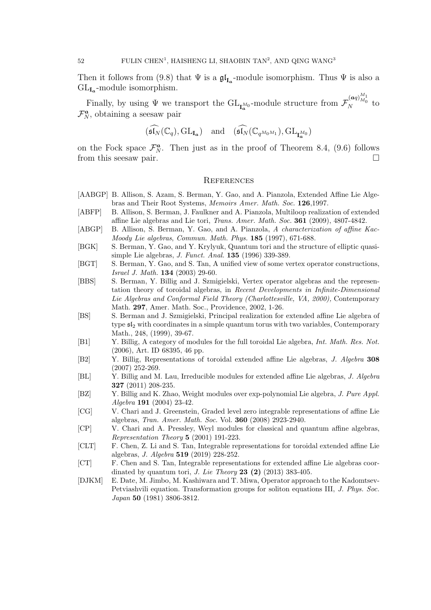Then it follows from (9.8) that  $\Psi$  is a  $\mathfrak{gl}_{I_a}$ -module isomorphism. Thus  $\Psi$  is also a  $GL_{I_a}$ -module isomorphism.

Finally, by using  $\Psi$  we transport the  $\mathrm{GL}_{\mathbf{I}_{\mathbf{a}}^{M_0}}$ -module structure from  $\mathcal{F}_{N}^{(\boldsymbol{a}q)_{M_0}^{M_1}}$  to  $\mathcal{F}_N^{\boldsymbol{a}}$ , obtaining a seesaw pair

$$
(\widehat{\mathfrak{sl}_N}(\mathbb{C}_q),\mathrm{GL}_{{\bf I}_{\bm a}}) \quad \text{and} \quad (\widehat{\mathfrak{sl}_N}(\mathbb{C}_{q^{M_0M_1}}),\mathrm{GL}_{{\bf I}_{\bm a}^{M_0}})
$$

on the Fock space  $\mathcal{F}_{N}^{a}$ . Then just as in the proof of Theorem 8.4, (9.6) follows from this seesaw pair.

### **REFERENCES**

- [AABGP] B. Allison, S. Azam, S. Berman, Y. Gao, and A. Pianzola, Extended Affine Lie Algebras and Their Root Systems, Memoirs Amer. Math. Soc. 126,1997.
- [ABFP] B. Allison, S. Berman, J. Faulkner and A. Pianzola, Multiloop realization of extended affine Lie algebras and Lie tori, Trans. Amer. Math. Soc. 361 (2009), 4807-4842.
- [ABGP] B. Allison, S. Berman, Y. Gao, and A. Pianzola, A characterization of affine Kac-Moody Lie algebras, Commun. Math. Phys. 185 (1997), 671-688.
- [BGK] S. Berman, Y. Gao, and Y. Krylyuk, Quantum tori and the structure of elliptic quasisimple Lie algebras, J. Funct. Anal. 135 (1996) 339-389.
- [BGT] S. Berman, Y. Gao, and S. Tan, A unified view of some vertex operator constructions, Israel J. Math. 134 (2003) 29-60.
- [BBS] S. Berman, Y. Billig and J. Szmigielski, Vertex operator algebras and the representation theory of toroidal algebras, in Recent Developments in Infinite-Dimensional Lie Algebras and Conformal Field Theory (Charlottesville, VA, 2000), Contemporary Math. 297, Amer. Math. Soc., Providence, 2002, 1-26.
- [BS] S. Berman and J. Szmigielski, Principal realization for extended affine Lie algebra of type  $5l_2$  with coordinates in a simple quantum torus with two variables, Contemporary Math., 248, (1999), 39-67.
- [B1] Y. Billig, A category of modules for the full toroidal Lie algebra, Int. Math. Res. Not. (2006), Art. ID 68395, 46 pp.
- [B2] Y. Billig, Representations of toroidal extended affine Lie algebras, J. Algebra 308 (2007) 252-269.
- [BL] Y. Billig and M. Lau, Irreducible modules for extended affine Lie algebras, J. Algebra 327 (2011) 208-235.
- [BZ] Y. Billig and K. Zhao, Weight modules over exp-polynomial Lie algebra, J. Pure Appl. Algebra 191 (2004) 23-42.
- [CG] V. Chari and J. Greenstein, Graded level zero integrable representations of affine Lie algebras, Tran. Amer. Math. Soc. Vol. 360 (2008) 2923-2940.
- [CP] V. Chari and A. Pressley, Weyl modules for classical and quantum affine algebras, Representation Theory 5 (2001) 191-223.
- [CLT] F. Chen, Z. Li and S. Tan, Integrable representations for toroidal extended affine Lie algebras, J. Algebra 519 (2019) 228-252.
- [CT] F. Chen and S. Tan, Integrable representations for extended affine Lie algebras coordinated by quantum tori, J. Lie Theory 23 (2) (2013) 383-405.
- [DJKM] E. Date, M. Jimbo, M. Kashiwara and T. Miwa, Operator approach to the Kadomtsev-Petviashvili equation. Transformation groups for soliton equations III, J. Phys. Soc. Japan 50 (1981) 3806-3812.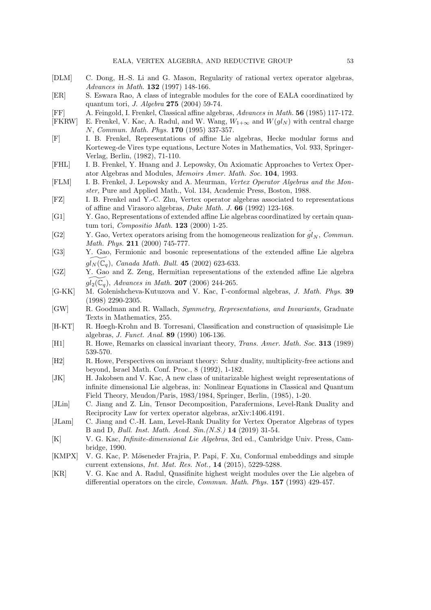- [DLM] C. Dong, H.-S. Li and G. Mason, Regularity of rational vertex operator algebras, Advances in Math. **132** (1997) 148-166.
- [ER] S. Eswara Rao, A class of integrable modules for the core of EALA coordinatized by quantum tori, J. Algebra 275 (2004) 59-74.
- [FF] A. Feingold, I. Frenkel, Classical affine algebras, Advances in Math. 56 (1985) 117-172.
- [FKRW] E. Frenkel, V. Kac, A. Radul, and W. Wang,  $W_{1+\infty}$  and  $W(gl_N)$  with central charge N, Commun. Math. Phys. 170 (1995) 337-357.
- [F] I. B. Frenkel, Representations of affine Lie algebras, Hecke modular forms and Korteweg-de Vires type equations, Lecture Notes in Mathematics, Vol. 933, Springer-Verlag, Berlin, (1982), 71-110.
- [FHL] I. B. Frenkel, Y. Huang and J. Lepowsky, On Axiomatic Approaches to Vertex Operator Algebras and Modules, Memoirs Amer. Math. Soc. 104, 1993.
- [FLM] I. B. Frenkel, J. Lepowsky and A. Meurman, Vertex Operator Algebras and the Monster, Pure and Applied Math., Vol. 134, Academic Press, Boston, 1988.
- [FZ] I. B. Frenkel and Y.-C. Zhu, Vertex operator algebras associated to representations of affine and Virasoro algebras, Duke Math. J. 66 (1992) 123-168.
- [G1] Y. Gao, Representations of extended affine Lie algebras coordinatized by certain quantum tori, Compositio Math. 123 (2000) 1-25.
- [G2] Y. Gao, Vertex operators arising from the homogeneous realization for  $\hat{gl}_N$ , Commun. *Math. Phys.*  $211$  (2000) 745-777.
- [G3] Y. Gao, Fermionic and bosonic representations of the extended affine Lie algebra  $gl_N (\mathbb{C}_q)$ , Canada Math. Bull. 45 (2002) 623-633.
- [GZ] Y. Gao and Z. Zeng, Hermitian representations of the extended affine Lie algebra  $gl_2(\mathbb{C}_q)$ , Advances in Math. 207 (2006) 244-265.
- [G-KK] M. Golenishcheva-Kutuzova and V. Kac, Γ-conformal algebras, J. Math. Phys. 39 (1998) 2290-2305.
- [GW] R. Goodman and R. Wallach, Symmetry, Representations, and Invariants, Graduate Texts in Mathematics, 255.
- [H-KT] R. Høegh-Krohn and B. Torresani, Classification and construction of quasisimple Lie algebras, J. Funct. Anal. 89 (1990) 106-136.
- [H1] R. Howe, Remarks on classical invariant theory, Trans. Amer. Math. Soc. 313 (1989) 539-570.
- [H2] R. Howe, Perspectives on invariant theory: Schur duality, multiplicity-free actions and beyond, Israel Math. Conf. Proc., 8 (1992), 1-182.
- [JK] H. Jakobsen and V. Kac, A new class of unitarizable highest weight representations of infinite dimensional Lie algebras, in: Nonlinear Equations in Classical and Quantum Field Theory, Meudon/Paris, 1983/1984, Springer, Berlin, (1985), 1-20.
- [JLin] C. Jiang and Z. Lin, Tensor Decomposition, Parafermions, Level-Rank Duality and Reciprocity Law for vertex operator algebras, arXiv:1406.4191.
- [JLam] C. Jiang and C.-H. Lam, Level-Rank Duality for Vertex Operator Algebras of types B and D, Bull. Inst. Math. Acad. Sin.(N.S.) 14 (2019) 31-54.
- [K] V. G. Kac, Infinite-dimensional Lie Algebras, 3rd ed., Cambridge Univ. Press, Cambridge, 1990.
- [KMPX] V. G. Kac, P. Möseneder Frajria, P. Papi, F. Xu, Conformal embeddings and simple current extensions, Int. Mat. Res. Not., 14 (2015), 5229-5288.
- [KR] V. G. Kac and A. Radul, Quasifinite highest weight modules over the Lie algebra of differential operators on the circle, Commun. Math. Phys. 157 (1993) 429-457.